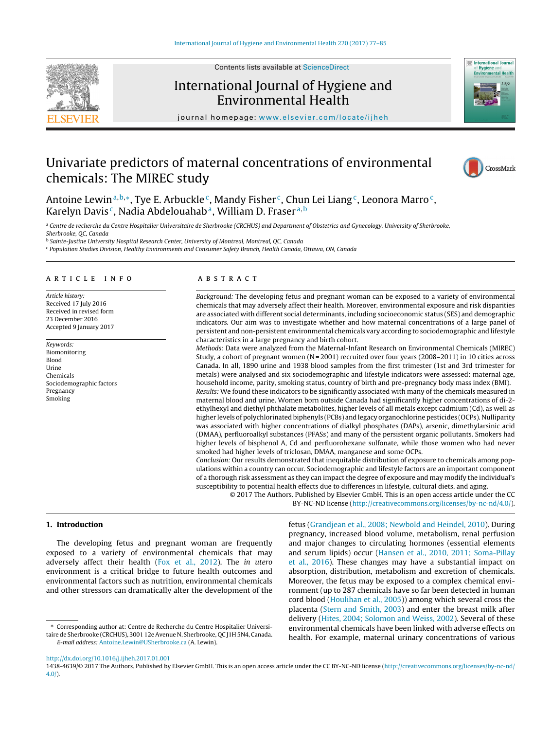

Contents lists available at [ScienceDirect](http://www.sciencedirect.com/science/journal/14384639)

# International Journal of Hygiene and Environmental Health



iournal homepage: [www.elsevier.com/locate/ijheh](http://www.elsevier.com/locate/ijheh)

# Univariate predictors of maternal concentrations of environmental chemicals: The MIREC study



Antoine Lewin<sup>a,b,∗</sup>, Tye E. Arbuckle<sup>c</sup>, Mandy Fisher<sup>c</sup>, Chun Lei Liang<sup>c</sup>, Leonora Marro<sup>c</sup>, Karelyn Davis<sup>c</sup>, Nadia Abdelouahab<sup>a</sup>, William D. Fraser<sup>a, b</sup>

a Centre de recherche du Centre Hospitalier Universitaire de Sherbrooke (CRCHUS) and Department of Obstetrics and Gynecology, University of Sherbrooke, Sherbrooke, QC, Canada

**b Sainte-Justine University Hospital Research Center, University of Montreal, Montreal, QC, Canada** 

<sup>c</sup> Population Studies Division, Healthy Environments and Consumer Safety Branch, Health Canada, Ottawa, ON, Canada

## a r t i c l e i n f o

Article history: Received 17 July 2016 Received in revised form 23 December 2016 Accepted 9 January 2017

Keywords: Biomonitoring Blood Urine Chemicals Sociodemographic factors Pregnancy Smoking

## a b s t r a c t

Background: The developing fetus and pregnant woman can be exposed to a variety of environmental chemicals that may adversely affect their health. Moreover, environmental exposure and risk disparities are associated with different social determinants, including socioeconomic status (SES) and demographic indicators. Our aim was to investigate whether and how maternal concentrations of a large panel of persistent and non-persistent environmental chemicals vary according to sociodemographic and lifestyle characteristics in a large pregnancy and birth cohort.

Methods: Data were analyzed from the Maternal-Infant Research on Environmental Chemicals (MIREC) Study, a cohort of pregnant women (N = 2001) recruited over four years (2008–2011) in 10 cities across Canada. In all, 1890 urine and 1938 blood samples from the first trimester (1st and 3rd trimester for metals) were analysed and six sociodemographic and lifestyle indicators were assessed: maternal age, household income, parity, smoking status, country of birth and pre-pregnancy body mass index (BMI). Results: We found these indicators to be significantly associated with many of the chemicals measured in maternal blood and urine. Women born outside Canada had significantly higher concentrations of di-2 ethylhexyl and diethyl phthalate metabolites, higher levels of all metals except cadmium (Cd), as well as higher levels of polychlorinated biphenyls (PCBs) and legacy organochlorine pesticides (OCPs). Nulliparity was associated with higher concentrations of dialkyl phosphates (DAPs), arsenic, dimethylarsinic acid (DMAA), perfluoroalkyl substances (PFASs) and many of the persistent organic pollutants. Smokers had higher levels of bisphenol A, Cd and perfluorohexane sulfonate, while those women who had never

smoked had higher levels of triclosan, DMAA, manganese and some OCPs. Conclusion: Our results demonstrated that inequitable distribution of exposure to chemicals among populations within a country can occur. Sociodemographic and lifestyle factors are an important component of a thorough risk assessment as they can impact the degree of exposure and may modify the individual's susceptibility to potential health effects due to differences in lifestyle, cultural diets, and aging.

© 2017 The Authors. Published by Elsevier GmbH. This is an open access article under the CC BY-NC-ND license [\(http://creativecommons.org/licenses/by-nc-nd/4.0/](http://creativecommons.org/licenses/by-nc-nd/4.0/)).

## **1. Introduction**

The developing fetus and pregnant woman are frequently exposed to a variety of environmental chemicals that may adversely affect their health ([Fox](#page-7-0) et [al.,](#page-7-0) [2012\).](#page-7-0) The in utero environment is a critical bridge to future health outcomes and environmental factors such as nutrition, environmental chemicals and other stressors can dramatically alter the development of the fetus [\(Grandjean](#page-7-0) et [al.,](#page-7-0) [2008;](#page-7-0) [Newbold](#page-7-0) [and](#page-7-0) [Heindel,](#page-7-0) [2010\).](#page-7-0) During pregnancy, increased blood volume, metabolism, renal perfusion and major changes to circulating hormones (essential elements and serum lipids) occur ([Hansen](#page-7-0) et [al.,](#page-7-0) [2010,](#page-7-0) [2011;](#page-7-0) [Soma-Pillay](#page-7-0) et [al.,](#page-7-0) [2016\).](#page-7-0) These changes may have a substantial impact on absorption, distribution, metabolism and excretion of chemicals. Moreover, the fetus may be exposed to a complex chemical environment (up to 287 chemicals have so far been detected in human cord blood [\(Houlihan](#page-7-0) et [al.,](#page-7-0) [2005\)\)](#page-7-0) among which several cross the placenta ([Stern](#page-8-0) [and](#page-8-0) [Smith,](#page-8-0) [2003\)](#page-8-0) and enter the breast milk after delivery ([Hites,](#page-7-0) [2004;](#page-7-0) [Solomon](#page-7-0) [and](#page-7-0) [Weiss,](#page-7-0) [2002\).](#page-7-0) Several of these environmental chemicals have been linked with adverse effects on health. For example, maternal urinary concentrations of various

<sup>∗</sup> Corresponding author at: Centre de Recherche du Centre Hospitalier Universitaire de Sherbrooke (CRCHUS), 3001 12e Avenue N, Sherbrooke, QC J1H 5N4, Canada. E-mail address: [Antoine.Lewin@USherbrooke.ca](mailto:Antoine.Lewin@USherbrooke.ca) (A. Lewin).

[http://dx.doi.org/10.1016/j.ijheh.2017.01.001](dx.doi.org/10.1016/j.ijheh.2017.01.001)

<sup>1438-4639/©</sup> 2017 The Authors. Published by Elsevier GmbH. This is an open access article under the CC BY-NC-ND license ([http://creativecommons.org/licenses/by-nc-nd/](http://creativecommons.org/licenses/by-nc-nd/4.0/) [4.0/](http://creativecommons.org/licenses/by-nc-nd/4.0/)).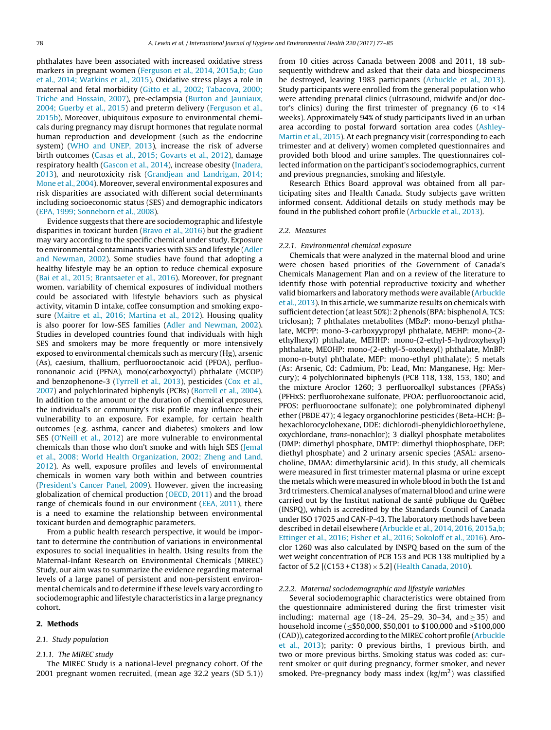phthalates have been associated with increased oxidative stress markers in pregnant women ([Ferguson](#page-7-0) et [al.,](#page-7-0) [2014,](#page-7-0) [2015a,b;](#page-7-0) [Guo](#page-7-0) et [al.,](#page-7-0) [2014;](#page-7-0) [Watkins](#page-7-0) et [al.,](#page-7-0) [2015\).](#page-7-0) Oxidative stress plays a role in maternal and fetal morbidity [\(Gitto](#page-7-0) et [al.,](#page-7-0) [2002;](#page-7-0) [Tabacova,](#page-7-0) [2000;](#page-7-0) [Triche](#page-7-0) [and](#page-7-0) [Hossain,](#page-7-0) [2007\),](#page-7-0) pre-eclampsia ([Burton](#page-6-0) [and](#page-6-0) [Jauniaux,](#page-6-0) [2004;](#page-6-0) [Guerby](#page-6-0) et [al.,](#page-6-0) [2015\)](#page-6-0) and preterm delivery ([Ferguson](#page-7-0) et [al.,](#page-7-0) [2015b\).](#page-7-0) Moreover, ubiquitous exposure to environmental chemicals during pregnancy may disrupt hormones that regulate normal human reproduction and development (such as the endocrine system) ([WHO](#page-8-0) [and](#page-8-0) [UNEP,](#page-8-0) [2013\),](#page-8-0) increase the risk of adverse birth outcomes ([Casas](#page-6-0) et [al.,](#page-6-0) [2015;](#page-6-0) [Govarts](#page-6-0) et [al.,](#page-6-0) [2012\),](#page-6-0) damage respiratory health [\(Gascon](#page-7-0) et [al.,](#page-7-0) [2014\),](#page-7-0) increase obesity ([Inadera,](#page-7-0) [2013\),](#page-7-0) and neurotoxicity risk [\(Grandjean](#page-7-0) [and](#page-7-0) [Landrigan,](#page-7-0) [2014;](#page-7-0) [Mone](#page-7-0) et [al.,](#page-7-0) [2004\).](#page-7-0) Moreover, several environmental exposures and risk disparities are associated with different social determinants including socioeconomic status (SES) and demographic indicators ([EPA,](#page-6-0) [1999;](#page-6-0) [Sonneborn](#page-6-0) et [al.,](#page-6-0) [2008\).](#page-6-0)

Evidence suggests that there are sociodemographic and lifestyle disparities in toxicant burden [\(Bravo](#page-6-0) et [al.,](#page-6-0) [2016\)](#page-6-0) but the gradient may vary according to the specific chemical under study. Exposure to environmental contaminants varies with SES and lifestyle ([Adler](#page-6-0) [and](#page-6-0) [Newman,](#page-6-0) [2002\).](#page-6-0) Some studies have found that adopting a healthy lifestyle may be an option to reduce chemical exposure ([Bai](#page-6-0) et [al.,](#page-6-0) [2015;](#page-6-0) [Brantsaeter](#page-6-0) et [al.,](#page-6-0) [2016\).](#page-6-0) Moreover, for pregnant women, variability of chemical exposures of individual mothers could be associated with lifestyle behaviors such as physical activity, vitamin D intake, coffee consumption and smoking exposure ([Maitre](#page-7-0) et [al.,](#page-7-0) [2016;](#page-7-0) [Martina](#page-7-0) et [al.,](#page-7-0) [2012\).](#page-7-0) Housing quality is also poorer for low-SES families ([Adler](#page-6-0) [and](#page-6-0) [Newman,](#page-6-0) [2002\).](#page-6-0) Studies in developed countries found that individuals with high SES and smokers may be more frequently or more intensively exposed to environmental chemicals such as mercury (Hg), arsenic (As), caesium, thallium, perfluorooctanoic acid (PFOA), perfluorononanoic acid (PFNA), mono(carboxyoctyl) phthalate (MCOP) and benzophenone-3 [\(Tyrrell](#page-8-0) et [al.,](#page-8-0) [2013\),](#page-8-0) pesticides ([Cox](#page-6-0) et [al.,](#page-6-0) [2007\)](#page-6-0) and polychlorinated biphenyls (PCBs) [\(Borrell](#page-6-0) et [al.,](#page-6-0) [2004\).](#page-6-0) In addition to the amount or the duration of chemical exposures, the individual's or community's risk profile may influence their vulnerability to an exposure. For example, for certain health outcomes (e.g. asthma, cancer and diabetes) smokers and low SES ([O'Neill](#page-7-0) et [al.,](#page-7-0) [2012\)](#page-7-0) are more vulnerable to environmental chemicals than those who don't smoke and with high SES [\(Jemal](#page-7-0) et [al.,](#page-7-0) [2008;](#page-7-0) [World](#page-7-0) [Health](#page-7-0) [Organization,](#page-7-0) [2002;](#page-7-0) [Zheng](#page-7-0) [and](#page-7-0) [Land,](#page-7-0) [2012\).](#page-7-0) As well, exposure profiles and levels of environmental chemicals in women vary both within and between countries ([President's](#page-8-0) [Cancer](#page-8-0) [Panel,](#page-8-0) [2009\).](#page-8-0) However, given the increasing globalization of chemical production ([OECD,](#page-7-0) [2011\)](#page-7-0) and the broad range of chemicals found in our environment [\(EEA,](#page-6-0) [2011\),](#page-6-0) there is a need to examine the relationship between environmental toxicant burden and demographic parameters.

From a public health research perspective, it would be important to determine the contribution of variations in environmental exposures to social inequalities in health. Using results from the Maternal-Infant Research on Environmental Chemicals (MIREC) Study, our aim was to summarize the evidence regarding maternal levels of a large panel of persistent and non-persistent environmental chemicals and to determine if these levels vary according to sociodemographic and lifestyle characteristics in a large pregnancy cohort.

## **2. Methods**

#### 2.1. Study population

#### 2.1.1. The MIREC study

The MIREC Study is a national-level pregnancy cohort. Of the 2001 pregnant women recruited, (mean age 32.2 years (SD 5.1)) from 10 cities across Canada between 2008 and 2011, 18 subsequently withdrew and asked that their data and biospecimens be destroyed, leaving 1983 participants [\(Arbuckle](#page-6-0) et [al.,](#page-6-0) [2013\).](#page-6-0) Study participants were enrolled from the general population who were attending prenatal clinics (ultrasound, midwife and/or doctor's clinics) during the first trimester of pregnancy (6 to  $\leq 14$ weeks). Approximately 94% of study participants lived in an urban area according to postal forward sortation area codes ([Ashley-](#page-6-0)Martin et [al.,](#page-6-0) [2015\).](#page-6-0) At each pregnancy visit (corresponding to each trimester and at delivery) women completed questionnaires and provided both blood and urine samples. The questionnaires collected information on the participant's sociodemographics, current and previous pregnancies, smoking and lifestyle.

Research Ethics Board approval was obtained from all participating sites and Health Canada. Study subjects gave written informed consent. Additional details on study methods may be found in the published cohort profile ([Arbuckle](#page-6-0) et [al.,](#page-6-0) [2013\).](#page-6-0)

#### 2.2. Measures

### 2.2.1. Environmental chemical exposure

Chemicals that were analyzed in the maternal blood and urine were chosen based priorities of the Government of Canada's Chemicals Management Plan and on a review of the literature to identify those with potential reproductive toxicity and whether valid biomarkers and laboratory methods were available ([Arbuckle](#page-6-0) et [al.,](#page-6-0) [2013\).](#page-6-0) In this article, we summarize results on chemicals with sufficient detection (at least 50%): 2 phenols (BPA: bisphenol A, TCS: triclosan); 7 phthalates metabolites (MBzP: mono-benzyl phthalate, MCPP: mono-3-carboxyypropyl phthalate, MEHP: mono-(2 ethylhexyl) phthalate, MEHHP: mono-(2-ethyl-5-hydroxyhexyl) phthalate, MEOHP: mono-(2-ethyl-5-oxohexyl) phthalate, MnBP: mono-n-butyl phthalate, MEP: mono-ethyl phthalate); 5 metals (As: Arsenic, Cd: Cadmium, Pb: Lead, Mn: Manganese, Hg: Mercury); 4 polychlorinated biphenyls (PCB 118, 138, 153, 180) and the mixture Aroclor 1260; 3 perfluoroalkyl substances (PFASs) (PFHxS: perfluorohexane sulfonate, PFOA: perfluorooctanoic acid, PFOS: perfluorooctane sulfonate); one polybrominated diphenyl ether (PBDE 47); 4 legacy organochlorine pesticides (Beta-HCH:  $\beta$ hexachlorocyclohexane, DDE: dichlorodi-phenyldichloroethylene, oxychlordane, trans-nonachlor); 3 dialkyl phosphate metabolites (DMP: dimethyl phosphate, DMTP: dimethyl thiophosphate, DEP: diethyl phosphate) and 2 urinary arsenic species (ASAL: arsenocholine, DMAA: dimethylarsinic acid). In this study, all chemicals were measured in first trimester maternal plasma or urine except the metals which were measured in whole blood in both the 1st and 3rd trimesters. Chemical analyses of maternal blood and urine were carried out by the Institut national de santé publique du Québec (INSPQ), which is accredited by the Standards Council of Canada under ISO 17025 and CAN-P-43. The laboratory methods have been described in detail elsewhere ([Arbuckle](#page-6-0) et [al.,](#page-6-0) [2014,](#page-6-0) [2016,](#page-6-0) [2015a,b;](#page-6-0) [Ettinger](#page-6-0) et [al.,](#page-6-0) [2016;](#page-6-0) [Fisher](#page-6-0) et [al.,](#page-6-0) [2016;](#page-6-0) [Sokoloff](#page-6-0) et [al.,](#page-6-0) [2016\).](#page-6-0) Aroclor 1260 was also calculated by INSPQ based on the sum of the wet weight concentration of PCB 153 and PCB 138 multiplied by a factor of 5.2 [(C153 + C138)  $\times$  5.2] ([Health](#page-7-0) [Canada,](#page-7-0) [2010\).](#page-7-0)

#### 2.2.2. Maternal sociodemographic and lifestyle variables

Several sociodemographic characteristics were obtained from the questionnaire administered during the first trimester visit including: maternal age (18–24, 25–29, 30–34, and  $\geq$  35) and household income (≤\$50,000, \$50,001 to \$100,000 and >\$100,000 (CAD)), categorized according to theMIREC cohort profile ([Arbuckle](#page-6-0) et [al.,](#page-6-0) [2013\);](#page-6-0) parity: 0 previous births, 1 previous birth, and two or more previous births. Smoking status was coded as: current smoker or quit during pregnancy, former smoker, and never smoked. Pre-pregnancy body mass index  $(kg/m<sup>2</sup>)$  was classified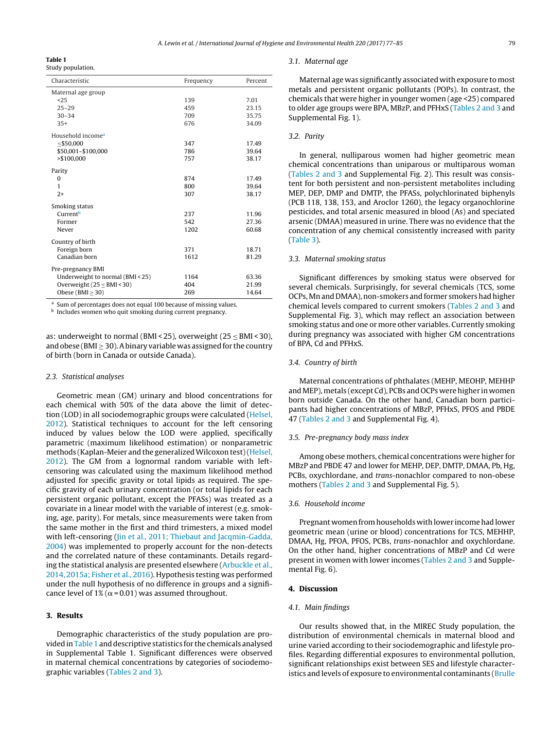#### **Table 1**

Study population.

| Characteristic                                                        | Frequency | Percent |
|-----------------------------------------------------------------------|-----------|---------|
| Maternal age group                                                    |           |         |
| 25                                                                    | 139       | 7.01    |
| $25 - 29$                                                             | 459       | 23.15   |
| $30 - 34$                                                             | 709       | 35.75   |
| $35+$                                                                 | 676       | 34.09   |
| Household income <sup>a</sup>                                         |           |         |
| $<$ \$50,000                                                          | 347       | 17.49   |
| \$50,001-\$100,000                                                    | 786       | 39.64   |
| >\$100,000                                                            | 757       | 38.17   |
| Parity                                                                |           |         |
| $\Omega$                                                              | 874       | 17.49   |
| 1                                                                     | 800       | 39.64   |
| $2+$                                                                  | 307       | 38.17   |
| Smoking status                                                        |           |         |
| Current <sup>b</sup>                                                  | 237       | 11.96   |
| Former                                                                | 542       | 27.36   |
| Never                                                                 | 1202      | 60.68   |
| Country of birth                                                      |           |         |
| Foreign born                                                          | 371       | 18.71   |
| Canadian born                                                         | 1612      | 81.29   |
| Pre-pregnancy BMI                                                     |           |         |
| Underweight to normal (BMI < 25)                                      | 1164      | 63.36   |
| Overweight $(25 \leq BMI < 30)$                                       | 404       | 21.99   |
| Obese ( $BMI > 30$ )                                                  | 269       | 14.64   |
| a<br>Sum of percentages does not equal 100 because of missing values. |           |         |

**b** Includes women who quit smoking during current pregnancy.

as: underweight to normal (BMI < 25), overweight (25 ≤ BMI < 30), and obese (BMI  $>$  30). A binary variable was assigned for the country of birth (born in Canada or outside Canada).

#### 2.3. Statistical analyses

Geometric mean (GM) urinary and blood concentrations for each chemical with 50% of the data above the limit of detection (LOD) in all sociodemographic groups were calculated ([Helsel,](#page-7-0) [2012\).](#page-7-0) Statistical techniques to account for the left censoring induced by values below the LOD were applied, specifically parametric (maximum likelihood estimation) or nonparametric methods (Kaplan-Meier and the generalized Wilcoxon test) ([Helsel,](#page-7-0) [2012\).](#page-7-0) The GM from a lognormal random variable with leftcensoring was calculated using the maximum likelihood method adjusted for specific gravity or total lipids as required. The specific gravity of each urinary concentration (or total lipids for each persistent organic pollutant, except the PFASs) was treated as a covariate in a linear model with the variable of interest (e.g. smoking, age, parity). For metals, since measurements were taken from the same mother in the first and third trimesters, a mixed model with left-censoring [\(Jin](#page-7-0) et [al.,](#page-7-0) [2011;](#page-7-0) [Thiebaut](#page-7-0) [and](#page-7-0) [Jacqmin-Gadda,](#page-7-0) [2004\)](#page-7-0) was implemented to properly account for the non-detects and the correlated nature of these contaminants. Details regarding the statistical analysis are presented elsewhere ([Arbuckle](#page-6-0) et [al.,](#page-6-0) [2014,](#page-6-0) [2015a;](#page-6-0) [Fisher](#page-6-0) et [al.,](#page-6-0) [2016\).](#page-6-0) Hypothesis testing was performed under the null hypothesis of no difference in groups and a significance level of 1% ( $\alpha$  = 0.01) was assumed throughout.

# **3. Results**

Demographic characteristics of the study population are provided inTable 1 and descriptive statistics for the chemicals analysed in Supplemental Table 1. Significant differences were observed in maternal chemical concentrations by categories of sociodemographic variables ([Tables](#page-3-0) 2 and 3).

#### 3.1. Maternal age

Maternal age was significantly associated with exposure to most metals and persistent organic pollutants (POPs). In contrast, the chemicals that were higher in younger women (age <25) compared to older age groups were BPA, MBzP, and PFHxS ([Tables](#page-3-0) 2 and 3 and Supplemental Fig. 1).

## 3.2. Parity

In general, nulliparous women had higher geometric mean chemical concentrations than uniparous or multiparous woman [\(Tables](#page-3-0) 2 and 3 and Supplemental Fig. 2). This result was consistent for both persistent and non-persistent metabolites including MEP, DEP, DMP and DMTP, the PFASs, polychlorinated biphenyls (PCB 118, 138, 153, and Aroclor 1260), the legacy organochlorine pesticides, and total arsenic measured in blood (As) and speciated arsenic (DMAA) measured in urine. There was no evidence that the concentration of any chemical consistently increased with parity [\(Table](#page-4-0) 3).

#### 3.3. Maternal smoking status

Significant differences by smoking status were observed for several chemicals. Surprisingly, for several chemicals (TCS, some OCPs, Mn and DMAA), non-smokers and former smokers had higher chemical levels compared to current smokers ([Tables](#page-3-0) 2 and 3 and Supplemental Fig. 3), which may reflect an association between smoking status and one or more other variables. Currently smoking during pregnancy was associated with higher GM concentrations of BPA, Cd and PFHxS.

## 3.4. Country of birth

Maternal concentrations of phthalates (MEHP, MEOHP, MEHHP and MEP), metals (except Cd), PCBs and OCPs were higher in women born outside Canada. On the other hand, Canadian born participants had higher concentrations of MBzP, PFHxS, PFOS and PBDE 47 ([Tables](#page-3-0) 2 and 3 and Supplemental Fig. 4).

#### 3.5. Pre-pregnancy body mass index

Among obese mothers, chemical concentrations were higher for MBzP and PBDE 47 and lower for MEHP, DEP, DMTP, DMAA, Pb, Hg, PCBs, oxychlordane, and trans-nonachlor compared to non-obese mothers [\(Tables](#page-3-0) 2 and 3 and Supplemental Fig. 5).

## 3.6. Household income

Pregnant women from households with lower income had lower geometric mean (urine or blood) concentrations for TCS, MEHHP, DMAA, Hg, PFOA, PFOS, PCBs, trans-nonachlor and oxychlordane. On the other hand, higher concentrations of MBzP and Cd were present in women with lower incomes ([Tables](#page-3-0) 2 and 3 and Supplemental Fig. 6).

### **4. Discussion**

## 4.1. Main findings

Our results showed that, in the MIREC Study population, the distribution of environmental chemicals in maternal blood and urine varied according to their sociodemographic and lifestyle profiles. Regarding differential exposures to environmental pollution, significant relationships exist between SES and lifestyle characteristics and levels of exposure to environmental contaminants [\(Brulle](#page-6-0)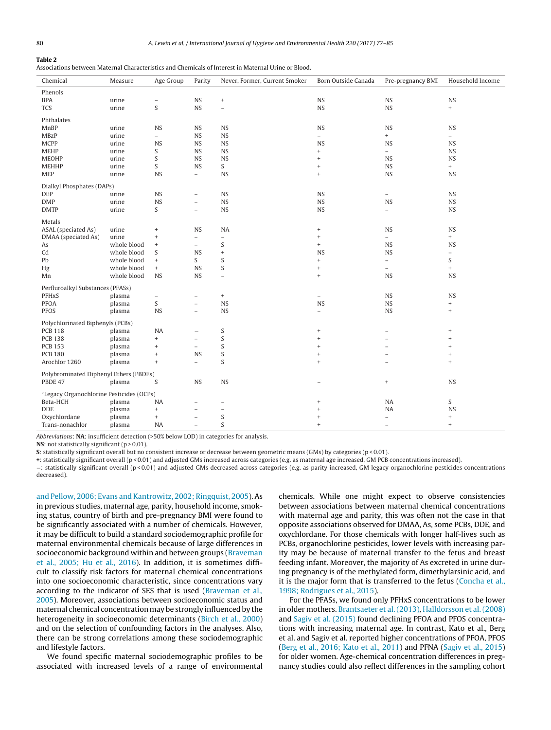# <span id="page-3-0"></span>**Table 2**

|  |  |  |  | Associations between Maternal Characteristics and Chemicals of Interest in Maternal Urine or Blood. |  |  |  |  |  |  |  |
|--|--|--|--|-----------------------------------------------------------------------------------------------------|--|--|--|--|--|--|--|
|--|--|--|--|-----------------------------------------------------------------------------------------------------|--|--|--|--|--|--|--|

| Chemical                                             | Measure     | Age Group                        | Parity                   | Never, Former, Current Smoker | Born Outside Canada      | Pre-pregnancy BMI        | Household Income                 |
|------------------------------------------------------|-------------|----------------------------------|--------------------------|-------------------------------|--------------------------|--------------------------|----------------------------------|
| Phenols                                              |             |                                  |                          |                               |                          |                          |                                  |
| <b>BPA</b>                                           | urine       | $\overline{\phantom{0}}$         | <b>NS</b>                | $^+$                          | NS                       | NS                       | <b>NS</b>                        |
| <b>TCS</b>                                           | urine       | S                                | <b>NS</b>                | $\equiv$                      | <b>NS</b>                | NS                       | $^{+}$                           |
| Phthalates                                           |             |                                  |                          |                               |                          |                          |                                  |
| MnBP                                                 | urine       | <b>NS</b>                        | <b>NS</b>                | <b>NS</b>                     | <b>NS</b>                | NS                       | <b>NS</b>                        |
| <b>MBzP</b>                                          | urine       | $\overline{a}$                   | <b>NS</b>                | NS                            | $\frac{1}{2}$            | $+$                      | $-$                              |
| <b>MCPP</b>                                          | urine       | <b>NS</b>                        | <b>NS</b>                | <b>NS</b>                     | <b>NS</b>                | <b>NS</b>                | <b>NS</b>                        |
| <b>MEHP</b>                                          | urine       | S                                | <b>NS</b>                | <b>NS</b>                     | $\ddot{}$                | $\equiv$                 | <b>NS</b>                        |
| <b>MEOHP</b>                                         | urine       | S                                | <b>NS</b>                | <b>NS</b>                     | $\ddot{}$                | <b>NS</b>                | <b>NS</b>                        |
| <b>MEHHP</b>                                         | urine       | S                                | <b>NS</b>                | S                             | $\qquad \qquad +$        | <b>NS</b>                | $+$                              |
| <b>MEP</b>                                           | urine       | <b>NS</b>                        | $\overline{\phantom{a}}$ | <b>NS</b>                     | $\ddot{}$                | <b>NS</b>                | <b>NS</b>                        |
| Dialkyl Phosphates (DAPs)                            |             |                                  |                          |                               |                          |                          |                                  |
| DEP                                                  | urine       | <b>NS</b>                        | $\overline{\phantom{m}}$ | <b>NS</b>                     | <b>NS</b>                | $\qquad \qquad -$        | <b>NS</b>                        |
| <b>DMP</b>                                           | urine       | <b>NS</b>                        | $\overline{\phantom{0}}$ | <b>NS</b>                     | <b>NS</b>                | <b>NS</b>                | <b>NS</b>                        |
| <b>DMTP</b>                                          | urine       | S                                | $\overline{\phantom{a}}$ | <b>NS</b>                     | <b>NS</b>                | $\qquad \qquad -$        | <b>NS</b>                        |
|                                                      |             |                                  |                          |                               |                          |                          |                                  |
| Metals                                               |             |                                  |                          |                               |                          |                          |                                  |
| ASAL (speciated As)                                  | urine       | $\qquad \qquad +$                | <b>NS</b>                | <b>NA</b>                     | $\qquad \qquad +$        | <b>NS</b>                | <b>NS</b>                        |
| DMAA (speciated As)                                  | urine       | $\qquad \qquad +$                | $\overline{\phantom{a}}$ | $\overline{\phantom{0}}$      | $\qquad \qquad +$        | $\equiv$                 | $+$                              |
| As                                                   | whole blood | $\begin{array}{c} + \end{array}$ | $\overline{\phantom{a}}$ | S                             | $^{+}$                   | <b>NS</b>                | <b>NS</b>                        |
| Cd                                                   | whole blood | S                                | <b>NS</b>                | $^{\mathrm{+}}$               | <b>NS</b>                | <b>NS</b>                | $\overline{\phantom{a}}$         |
| Pb                                                   | whole blood | $+$                              | S                        | S                             | $\ddot{}$                | $\overline{\phantom{0}}$ | S                                |
| Hg                                                   | whole blood | $+$                              | <b>NS</b>                | S                             | $\, +$                   | $\overline{a}$           | $\qquad \qquad +$                |
| Mn                                                   | whole blood | <b>NS</b>                        | <b>NS</b>                | $\overline{\phantom{0}}$      | $\qquad \qquad +$        | <b>NS</b>                | <b>NS</b>                        |
| Perfluroalkyl Substances (PFASs)                     |             |                                  |                          |                               |                          |                          |                                  |
| <b>PFHxS</b>                                         | plasma      | -                                | $\qquad \qquad -$        | $^+$                          | $\overline{\phantom{a}}$ | <b>NS</b>                | <b>NS</b>                        |
| <b>PFOA</b>                                          | plasma      | S                                | $\overline{\phantom{a}}$ | <b>NS</b>                     | <b>NS</b>                | NS                       | $\begin{array}{c} + \end{array}$ |
| <b>PFOS</b>                                          | plasma      | <b>NS</b>                        | $\overline{\phantom{a}}$ | <b>NS</b>                     | $\qquad \qquad -$        | <b>NS</b>                | $^+$                             |
| Polychlorinated Biphenyls (PCBs)                     |             |                                  |                          |                               |                          |                          |                                  |
| <b>PCB 118</b>                                       | plasma      | <b>NA</b>                        |                          | $\mathsf S$                   | $\ddot{}$                |                          | $^{+}$                           |
| <b>PCB 138</b>                                       | plasma      | $\ddot{}$                        | $\overline{\phantom{m}}$ | S                             | $\ddot{}$                |                          | $\ddot{}$                        |
| <b>PCB 153</b>                                       | plasma      | $\begin{array}{c} + \end{array}$ | $\overline{\phantom{a}}$ | S                             | $\ddot{}$                |                          | $\ddot{}$                        |
| <b>PCB 180</b>                                       | plasma      | $\qquad \qquad +$                | <b>NS</b>                | S                             | $\ddot{}$                | $\overline{a}$           | $^{+}$                           |
| Arochlor 1260                                        | plasma      | $\begin{array}{c} + \end{array}$ | $\overline{\phantom{a}}$ | S                             | $\ddot{}$                |                          | $^{+}$                           |
|                                                      |             |                                  |                          |                               |                          |                          |                                  |
| Polybrominated Diphenyl Ethers (PBDEs)               |             |                                  |                          |                               |                          |                          |                                  |
| PBDE 47                                              | plasma      | S                                | <b>NS</b>                | <b>NS</b>                     |                          | $\ddot{}$                | <b>NS</b>                        |
| <sup>o</sup> Legacy Organochlorine Pesticides (OCPs) |             |                                  |                          |                               |                          |                          |                                  |
| Beta-HCH                                             | plasma      | NA                               | -                        | $\overline{\phantom{0}}$      | $\ddot{}$                | NA                       | S                                |
| <b>DDE</b>                                           | plasma      | $\qquad \qquad +$                | $\overline{\phantom{m}}$ | $\qquad \qquad -$             | $\ddot{}$                | <b>NA</b>                | <b>NS</b>                        |
| Oxychlordane                                         | plasma      | $+$                              | $\equiv$                 | $\mathsf S$                   | $\ddot{}$                | $\equiv$                 | $\begin{array}{c} + \end{array}$ |
| Trans-nonachlor                                      | plasma      | NA                               | $\overline{\phantom{a}}$ | S                             | $\ddot{}$                | $\qquad \qquad -$        | $\ddot{}$                        |

Abbreviations: **NA**: insufficient detection (>50% below LOD) in categories for analysis.

**NS**: not statistically significant (p > 0.01).

**S**: statistically significant overall but no consistent increase or decrease between geometric means (GMs) by categories (p < 0.01).

**+**: statistically significant overall (p < 0.01) and adjusted GMs increased across categories (e.g. as maternal age increased, GM PCB concentrations increased).

−: statistically significant overall (p < 0.01) and adjusted GMs decreased across categories (e.g. as parity increased, GM legacy organochlorine pesticides concentrations decreased).

[and](#page-6-0) [Pellow,](#page-6-0) [2006;](#page-6-0) [Evans](#page-6-0) [and](#page-6-0) [Kantrowitz,](#page-6-0) [2002;](#page-6-0) [Ringquist,](#page-6-0) [2005\).](#page-6-0) As in previous studies, maternal age, parity, household income, smoking status, country of birth and pre-pregnancy BMI were found to be significantly associated with a number of chemicals. However, it may be difficult to build a standard sociodemographic profile for maternal environmental chemicals because of large differences in socioeconomic background within and between groups ([Braveman](#page-6-0) et [al.,](#page-6-0) [2005;](#page-6-0) [Hu](#page-6-0) et [al.,](#page-6-0) [2016\).](#page-6-0) In addition, it is sometimes difficult to classify risk factors for maternal chemical concentrations into one socioeconomic characteristic, since concentrations vary according to the indicator of SES that is used ([Braveman](#page-6-0) et [al.,](#page-6-0) [2005\).](#page-6-0) Moreover, associations between socioeconomic status and maternal chemical concentration may be strongly influenced by the heterogeneity in socioeconomic determinants ([Birch](#page-6-0) et [al.,](#page-6-0) [2000\)](#page-6-0) and on the selection of confounding factors in the analyses. Also, there can be strong correlations among these sociodemographic and lifestyle factors.

We found specific maternal sociodemographic profiles to be associated with increased levels of a range of environmental chemicals. While one might expect to observe consistencies between associations between maternal chemical concentrations with maternal age and parity, this was often not the case in that opposite associations observed for DMAA, As, some PCBs, DDE, and oxychlordane. For those chemicals with longer half-lives such as PCBs, organochlorine pesticides, lower levels with increasing parity may be because of maternal transfer to the fetus and breast feeding infant. Moreover, the majority of As excreted in urine during pregnancy is of the methylated form, dimethylarsinic acid, and it is the major form that is transferred to the fetus ([Concha](#page-6-0) et [al.,](#page-6-0) [1998;](#page-6-0) [Rodrigues](#page-6-0) et [al.,](#page-6-0) [2015\).](#page-6-0)

For the PFASs, we found only PFHxS concentrations to be lower in older mothers. [Brantsaeter](#page-6-0) et [al.](#page-6-0) [\(2013\),](#page-6-0) [Halldorsson](#page-7-0) et [al.](#page-7-0) [\(2008\)](#page-7-0) and [Sagiv](#page-8-0) et [al.](#page-8-0) [\(2015\)](#page-8-0) found declining PFOA and PFOS concentrations with increasing maternal age. In contrast, Kato et al., Berg et al. and Sagiv et al. reported higher concentrations of PFOA, PFOS [\(Berg](#page-6-0) et [al.,](#page-6-0) [2016;](#page-6-0) [Kato](#page-6-0) et [al.,](#page-6-0) [2011\)](#page-6-0) and PFNA [\(Sagiv](#page-8-0) et [al.,](#page-8-0) [2015\)](#page-8-0) for older women. Age-chemical concentration differences in pregnancy studies could also reflect differences in the sampling cohort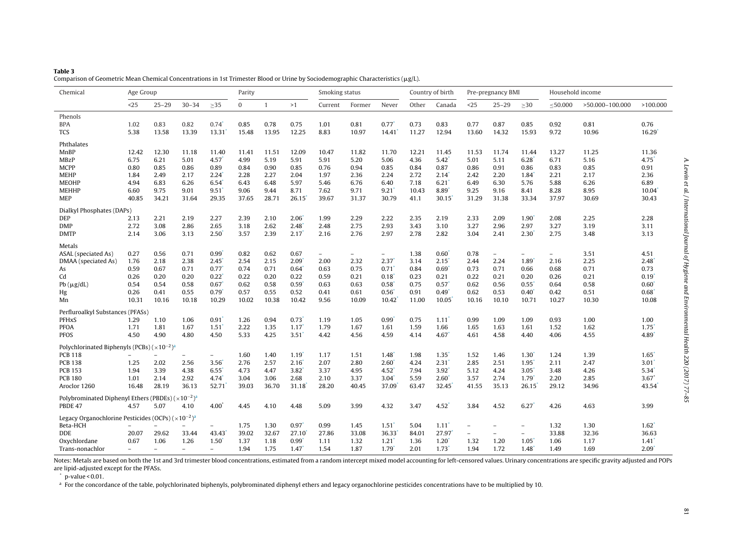<span id="page-4-0"></span>

| Table 3                                                                                                                                |
|----------------------------------------------------------------------------------------------------------------------------------------|
| Comparison of Geometric Mean Chemical Concentrations in 1st Trimester Blood or Urine by Sociodemographic Characteristics ( $\mu$ g/L). |

| Chemical                                                                 | Age Group                |                          |           | Parity                   |              |                |                                  | Smoking status           |        | Country of birth    |       | Pre-pregnancy BMI   |                          |                          | Household income         |               |                 |                |
|--------------------------------------------------------------------------|--------------------------|--------------------------|-----------|--------------------------|--------------|----------------|----------------------------------|--------------------------|--------|---------------------|-------|---------------------|--------------------------|--------------------------|--------------------------|---------------|-----------------|----------------|
|                                                                          | $25$                     | $25 - 29$                | $30 - 34$ | $\geq$ 35                | $\mathbf{0}$ | $\overline{1}$ | >1                               | Current                  | Former | Never               | Other | Canada              | $25$                     | $25 - 29$                | $\geq$ 30                | $\leq 50.000$ | >50,000-100,000 | >100.000       |
| Phenols                                                                  |                          |                          |           |                          |              |                |                                  |                          |        |                     |       |                     |                          |                          |                          |               |                 |                |
| <b>BPA</b>                                                               | 1.02                     | 0.83                     | 0.82      | $0.74$ <sup>*</sup>      | 0.85         | 0.78           | 0.75                             | 1.01                     | 0.81   | 0.77                | 0.73  | 0.83                | 0.77                     | 0.87                     | 0.85                     | 0.92          | 0.81            | 0.76           |
| <b>TCS</b>                                                               | 5.38                     | 13.58                    | 13.39     | 13.31                    | 15.48        | 13.95          | 12.25                            | 8.83                     | 10.97  | 14.41               | 11.27 | 12.94               | 13.60                    | 14.32                    | 15.93                    | 9.72          | 10.96           | 16.29          |
| Phthalates                                                               |                          |                          |           |                          |              |                |                                  |                          |        |                     |       |                     |                          |                          |                          |               |                 |                |
| MnBP                                                                     | 12.42                    | 12.30                    | 11.18     | 11.40                    | 11.41        | 11.51          | 12.09                            | 10.47                    | 11.82  | 11.70               | 12.21 | 11.45               | 11.53                    | 11.74                    | 11.44                    | 13.27         | 11.25           | 11.36          |
| <b>MBzP</b>                                                              | 6.75                     | 6.21                     | 5.01      | $4.57$ <sup>*</sup>      | 4.99         | 5.19           | 5.91                             | 5.91                     | 5.20   | 5.06                | 4.36  | $5.42^*$            | 5.01                     | 5.11                     | 6.28                     | 6.71          | 5.16            | 4.75           |
| <b>MCPP</b>                                                              | 0.80                     | 0.85                     | 0.86      | 0.89                     | 0.84         | 0.90           | 0.85                             | 0.76                     | 0.94   | 0.85                | 0.84  | 0.87                | 0.86                     | 0.91                     | 0.86                     | 0.83          | 0.85            | 0.91           |
| <b>MEHP</b>                                                              | 1.84                     | 2.49                     | 2.17      | 2.24                     | 2.28         | 2.27           | 2.04                             | 1.97                     | 2.36   | 2.24                | 2.72  | 2.14                | 2.42                     | 2.20                     | 1.84                     | 2.21          | 2.17            | 2.36           |
| <b>MEOHP</b>                                                             | 4.94                     | 6.83                     | 6.26      | 6.54                     | 6.43         | 6.48           | 5.97                             | 5.46                     | 6.76   | 6.40                | 7.18  | 6.21                | 6.49                     | 6.30                     | 5.76                     | 5.88          | 6.26            | 6.89           |
| <b>MEHHP</b>                                                             | 6.60                     | 9.75                     | 9.01      | $9.51$ <sup>*</sup>      | 9.06         | 9.44           | 8.71                             | 7.62                     | 9.71   | 9.21                | 10.43 | 8.89                | 9.25                     | 9.16                     | 8.41                     | 8.28          | 8.95            | 10.04          |
| <b>MEP</b>                                                               | 40.85                    | 34.21                    | 31.64     | 29.35                    | 37.65        | 28.71          | 26.15                            | 39.67                    | 31.37  | 30.79               | 41.1  | 30.15               | 31.29                    | 31.38                    | 33.34                    | 37.97         | 30.69           | 30.43          |
| Dialkyl Phosphates (DAPs)                                                |                          |                          |           |                          |              |                |                                  |                          |        |                     |       |                     |                          |                          |                          |               |                 |                |
| DEP                                                                      | 2.13                     | 2.21                     | 2.19      | 2.27                     | 2.39         | 2.10           | 2.06                             | 1.99                     | 2.29   | 2.22                | 2.35  | 2.19                | 2.33                     | 2.09                     | 1.90                     | 2.08          | 2.25            | 2.28           |
| <b>DMP</b>                                                               | 2.72                     | 3.08                     | 2.86      | 2.65                     | 3.18         | 2.62           | 2.48                             | 2.48                     | 2.75   | 2.93                | 3.43  | 3.10                | 3.27                     | 2.96                     | 2.97                     | 3.27          | 3.19            | 3.11           |
| <b>DMTP</b>                                                              | 2.14                     | 3.06                     | 3.13      | $2.50^*$                 | 3.57         | 2.39           | $2.17$ <sup>*</sup>              | 2.16                     | 2.76   | 2.97                | 2.78  | 2.82                | 3.04                     | 2.41                     | 2.30                     | 2.75          | 3.48            | 3.13           |
| Metals                                                                   |                          |                          |           |                          |              |                |                                  |                          |        |                     |       |                     |                          |                          |                          |               |                 |                |
| ASAL (speciated As)                                                      | 0.27                     | 0.56                     | 0.71      | $0.99^*$                 | 0.82         | 0.62           | 0.67                             | $\overline{\phantom{a}}$ | $-$    | $-$                 | 1.38  | $0.60^{\circ}$      | 0.78                     | $\overline{\phantom{0}}$ | $\overline{\phantom{a}}$ | $-$           | 3.51            | 4.51           |
| DMAA (speciated As)                                                      | 1.76                     | 2.18                     | 2.38      | 2.45                     | 2.54         | 2.15           | 2.09                             | 2.00                     | 2.32   | 2.37                | 3.14  | 2.15                | 2.44                     | 2.24                     | 1.89                     | 2.16          | 2.25            | 2.48           |
| As                                                                       | 0.59                     | 0.67                     | 0.71      | 0.77                     | 0.74         | 0.71           | 0.64                             | 0.63                     | 0.75   | 0.71                | 0.84  | 0.69                | 0.73                     | 0.71                     | 0.66                     | 0.68          | 0.71            | 0.73           |
| Cd                                                                       | 0.26                     | 0.20                     | 0.20      | $0.22^*$                 | 0.22         | 0.20           | 0.22                             | 0.59                     | 0.21   | 0.18                | 0.23  | 0.21                | 0.22                     | 0.21                     | 0.20                     | 0.26          | 0.21            | 0.19           |
| $Pb(\mu g/dL)$                                                           | 0.54                     | 0.54                     | 0.58      | 0.67                     | 0.62         | 0.58           | 0.59                             | 0.63                     | 0.63   | 0.58                | 0.75  | 0.57                | 0.62                     | 0.56                     | 0.55                     | 0.64          | 0.58            | $0.60^{\circ}$ |
| Hg                                                                       | 0.26                     | 0.41                     | 0.55      | $0.79^{*}$               | 0.57         | 0.55           | 0.52                             | 0.41                     | 0.61   | 0.56                | 0.91  | 0.49                | 0.62                     | 0.53                     | 0.40                     | 0.42          | 0.51            | 0.68           |
| Mn                                                                       | 10.31                    | 10.16                    | 10.18     | 10.29                    | 10.02        | 10.38          | 10.42                            | 9.56                     | 10.09  | 10.42               | 11.00 | 10.05               | 10.16                    | 10.10                    | 10.71                    | 10.27         | 10.30           | 10.08          |
| Perfluroalkyl Substances (PFASs)                                         |                          |                          |           |                          |              |                |                                  |                          |        |                     |       |                     |                          |                          |                          |               |                 |                |
| <b>PFHxS</b>                                                             | 1.29                     | 1.10                     | 1.06      | 0.91                     | 1.26         | 0.94           | 0.73                             | 1.19                     | 1.05   | 0.99                | 0.75  | 1,11'               | 0.99                     | 1.09                     | 1.09                     | 0.93          | 1.00            | 1.00           |
| <b>PFOA</b>                                                              | 1.71                     | 1.81                     | 1.67      | 1.51                     | 2.22         | 1.35           | $1.17$ <sup>*</sup>              | 1.79                     | 1.67   | 1.61                | 1.59  | 1.66                | 1.65                     | 1.63                     | 1.61                     | 1.52          | 1.62            | 1.75           |
| <b>PFOS</b>                                                              | 4.50                     | 4.90                     | 4.80      | 4.50                     | 5.33         | 4.25           | 3.51                             | 4.42                     | 4.56   | 4.59                | 4.14  | 4.67                | 4.61                     | 4.58                     | 4.40                     | 4.06          | 4.55            | 4.89           |
| Polychlorinated Biphenyls (PCBs) $(x10^{-2})^a$                          |                          |                          |           |                          |              |                |                                  |                          |        |                     |       |                     |                          |                          |                          |               |                 |                |
| <b>PCB 118</b>                                                           |                          |                          |           | $\overline{\phantom{a}}$ | 1.60         | 1.40           | $1.19$ <sup><math>'</math></sup> | 1.17                     | 1.51   | 1.48                | 1.98  | 1.35                | 1.52                     | 1.46                     | 1.30                     | 1.24          | 1.39            | 1.65           |
| <b>PCB 138</b>                                                           | 1.25                     | 2.02                     | 2.56      | 3.56                     | 2.76         | 2.57           | 2.16                             | 2.07                     | 2.80   | 2.60                | 4.24  | 2.31                | 2.85                     | 2.51                     | 1.95                     | 2.11          | 2.47            | 3.01           |
| <b>PCB 153</b>                                                           | 1.94                     | 3.39                     | 4.38      | $6.55$ <sup>*</sup>      | 4.73         | 4.47           | 3.82                             | 3.37                     | 4.95   | 4.52                | 7.94  | 3.92                | 5.12                     | 4.24                     | 3.05                     | 3.48          | 4.26            | 5.34           |
| <b>PCB 180</b>                                                           | 1.01                     | 2.14                     | 2.92      | 4.74                     | 3.04         | 3.06           | 2.68                             | 2.10                     | 3.37   | 3.04                | 5.59  | $2.60*$             | 3.57                     | 2.74                     | 1.79                     | 2.20          | 2.85            | $3.67*$        |
| Aroclor 1260                                                             | 16.48                    | 28.19                    | 36.13     | 52.71                    | 39.03        | 36.70          | 31.18                            | 28.20                    | 40.45  | 37.09               | 63.47 | 32.45               | 41.55                    | 35.13                    | 26.15                    | 29.12         | 34.96           | 43.54          |
| Polybrominated Diphenyl Ethers (PBDEs) $(x10^{-2})^a$                    |                          |                          |           |                          |              |                |                                  |                          |        |                     |       |                     |                          |                          |                          |               |                 |                |
| PBDE 47                                                                  | 4.57                     | 5.07                     | 4.10      | $4.00*$                  | 4.45         | 4.10           | 4.48                             | 5.09                     | 3.99   | 4.32                | 3.47  | $4.52$ <sup>*</sup> | 3.84                     | 4.52                     | 6.27                     | 4.26          | 4.63            | 3.99           |
|                                                                          |                          |                          |           |                          |              |                |                                  |                          |        |                     |       |                     |                          |                          |                          |               |                 |                |
| Legacy Organochlorine Pesticides (OCPs) $(\times 10^{-2})^a$<br>Beta-HCH | $\overline{\phantom{0}}$ |                          |           | $\equiv$                 | 1.75         | 1.30           | 0.97                             | 0.99                     | 1.45   | $1.51$ <sup>*</sup> | 5.04  | $1.11$ <sup>*</sup> | $\overline{\phantom{a}}$ | $\overline{\phantom{0}}$ | $\overline{\phantom{a}}$ | 1.32          | 1.30            | $1.62^*$       |
| <b>DDE</b>                                                               | 20.07                    | 29.62                    | 33.44     | 43.43                    | 39.02        | 32.67          | 27.10                            | 27.86                    | 33.08  | 36.33               | 84.01 | 27.97               | $\overline{\phantom{a}}$ | $\overline{\phantom{0}}$ | $\overline{\phantom{0}}$ | 33.88         | 32.36           | 36.63          |
| Oxychlordane                                                             | 0.67                     | 1.06                     | 1.26      | $1.50^*$                 | 1.37         | 1.18           | $0.99$ <sup>*</sup>              | 1.11                     | 1.32   | 1.21                | 1.36  | 1.20                | 1.32                     | 1.20                     | 1.05                     | 1.06          | 1.17            | 1.41           |
| Trans-nonachlor                                                          |                          | $\overline{\phantom{0}}$ |           | $\equiv$                 | 1.94         | 1.75           | 1.47                             | 1.54                     | 1.87   | 1.79                | 2.01  | 1.73                | 1.94                     | 1.72                     | 1.48                     | 1.49          | 1.69            | 2.09           |

Notes: Metals are based on both the 1st and 3rd trimester blood concentrations, estimated from <sup>a</sup> random intercept mixed model accounting for left-censored values. Urinary concentrations are specific gravity adjusted and POPs are lipid-adjusted except for the PFASs.

p-value <sup>&</sup>lt; 0.01.

<sup>a</sup> For the concordance of the table, polychlorinated biphenyls, polybrominated diphenyl ethers and legacy organochlorine pesticides concentrations have to be multiplied by 10.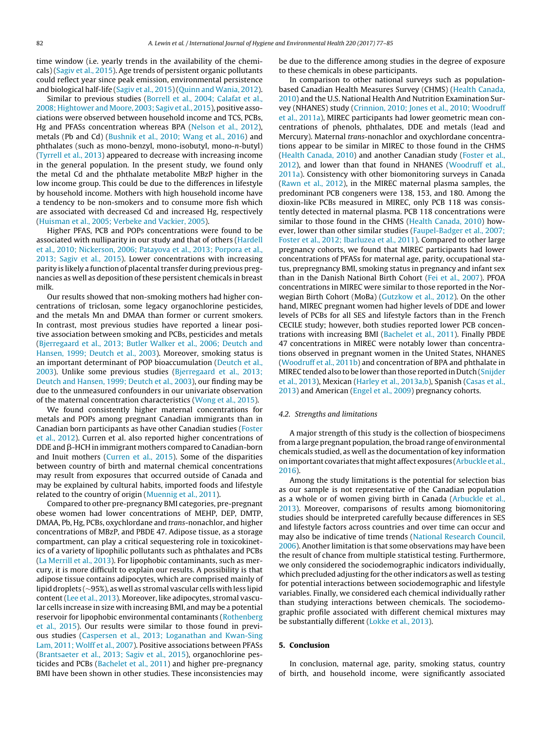time window (i.e. yearly trends in the availability of the chemicals) [\(Sagiv](#page-8-0) et [al.,](#page-8-0) [2015\).](#page-8-0) Age trends of persistent organic pollutants could reflect year since peak emission, environmental persistence and biological half-life ([Sagiv](#page-8-0) et [al.,](#page-8-0) [2015\)\(Quinn](#page-8-0) [and](#page-8-0) [Wania,](#page-8-0) [2012\).](#page-8-0)

Similar to previous studies ([Borrell](#page-6-0) et [al.,](#page-6-0) [2004;](#page-6-0) [Calafat](#page-6-0) et [al.,](#page-6-0) [2008;](#page-6-0) [Hightower](#page-6-0) [and](#page-6-0) [Moore,](#page-6-0) [2003;](#page-6-0) [Sagiv](#page-6-0) et [al.,](#page-6-0) [2015\),](#page-6-0) positive associations were observed between household income and TCS, PCBs, Hg and PFASs concentration whereas BPA [\(Nelson](#page-7-0) et [al.,](#page-7-0) [2012\),](#page-7-0) metals (Pb and Cd) [\(Bushnik](#page-6-0) et [al.,](#page-6-0) [2010;](#page-6-0) [Wang](#page-6-0) et [al.,](#page-6-0) [2016\)](#page-6-0) and phthalates (such as mono-benzyl, mono-isobutyl, mono-n-butyl) ([Tyrrell](#page-8-0) et [al.,](#page-8-0) [2013\)](#page-8-0) appeared to decrease with increasing income in the general population. In the present study, we found only the metal Cd and the phthalate metabolite MBzP higher in the low income group. This could be due to the differences in lifestyle by household income. Mothers with high household income have a tendency to be non-smokers and to consume more fish which are associated with decreased Cd and increased Hg, respectively ([Huisman](#page-7-0) et [al.,](#page-7-0) [2005;](#page-7-0) [Verbeke](#page-7-0) [and](#page-7-0) [Vackier,](#page-7-0) [2005\).](#page-7-0)

Higher PFAS, PCB and POPs concentrations were found to be associated with nulliparity in our study and that of others [\(Hardell](#page-7-0) et [al.,](#page-7-0) [2010;](#page-7-0) [Nickerson,](#page-7-0) [2006;](#page-7-0) [Patayova](#page-7-0) et [al.,](#page-7-0) [2013;](#page-7-0) [Porpora](#page-7-0) et [al.,](#page-7-0) [2013;](#page-7-0) [Sagiv](#page-7-0) et [al.,](#page-7-0) [2015\).](#page-7-0) Lower concentrations with increasing parity is likely a function of placental transfer during previous pregnancies as well as deposition of these persistent chemicals in breast milk.

Our results showed that non-smoking mothers had higher concentrations of triclosan, some legacy organochlorine pesticides, and the metals Mn and DMAA than former or current smokers. In contrast, most previous studies have reported a linear positive association between smoking and PCBs, pesticides and metals ([Bjerregaard](#page-6-0) et [al.,](#page-6-0) [2013;](#page-6-0) [Butler](#page-6-0) [Walker](#page-6-0) et [al.,](#page-6-0) [2006;](#page-6-0) [Deutch](#page-6-0) [and](#page-6-0) [Hansen,](#page-6-0) [1999;](#page-6-0) [Deutch](#page-6-0) et [al.,](#page-6-0) [2003\).](#page-6-0) Moreover, smoking status is an important determinant of POP bioaccumulation ([Deutch](#page-6-0) et [al.,](#page-6-0) [2003\).](#page-6-0) Unlike some previous studies [\(Bjerregaard](#page-6-0) et [al.,](#page-6-0) [2013;](#page-6-0) [Deutch](#page-6-0) [and](#page-6-0) [Hansen,](#page-6-0) [1999;](#page-6-0) [Deutch](#page-6-0) et [al.,](#page-6-0) [2003\),](#page-6-0) our finding may be due to the unmeasured confounders in our univariate observation of the maternal concentration characteristics [\(Wong](#page-8-0) et [al.,](#page-8-0) [2015\).](#page-8-0)

We found consistently higher maternal concentrations for metals and POPs among pregnant Canadian immigrants than in Canadian born participants as have other Canadian studies [\(Foster](#page-7-0) et [al.,](#page-7-0) [2012\).](#page-7-0) Curren et al. also reported higher concentrations of DDE and  $\beta$ -HCH in immigrant mothers compared to Canadian-born and Inuit mothers ([Curren](#page-6-0) et [al.,](#page-6-0) [2015\).](#page-6-0) Some of the disparities between country of birth and maternal chemical concentrations may result from exposures that occurred outside of Canada and may be explained by cultural habits, imported foods and lifestyle related to the country of origin [\(Muennig](#page-7-0) et [al.,](#page-7-0) [2011\).](#page-7-0)

Compared to other pre-pregnancy BMI categories, pre-pregnant obese women had lower concentrations of MEHP, DEP, DMTP, DMAA, Pb, Hg, PCBs, oxychlordane and trans-nonachlor, and higher concentrations of MBzP, and PBDE 47. Adipose tissue, as a storage compartment, can play a critical sequestering role in toxicokinetics of a variety of lipophilic pollutants such as phthalates and PCBs ([La](#page-7-0) [Merrill](#page-7-0) et [al.,](#page-7-0) [2013\).](#page-7-0) For lipophobic contaminants, such as mercury, it is more difficult to explain our results. A possibility is that adipose tissue contains adipocytes, which are comprised mainly of lipid droplets (∼95%), as well as stromal vascular cells with less lipid content([Lee](#page-7-0) et [al.,](#page-7-0) [2013\).](#page-7-0) Moreover, like adipocytes, stromal vascular cells increase in size with increasing BMI, and may be a potential reservoir for lipophobic environmental contaminants [\(Rothenberg](#page-8-0) et [al.,](#page-8-0) [2015\).](#page-8-0) Our results were similar to those found in previous studies ([Caspersen](#page-6-0) et [al.,](#page-6-0) [2013;](#page-6-0) [Loganathan](#page-6-0) [and](#page-6-0) [Kwan-Sing](#page-6-0) [Lam,](#page-6-0) [2011;](#page-6-0) [Wolff](#page-6-0) et [al.,](#page-6-0) [2007\).](#page-6-0) Positive associations between PFASs ([Brantsaeter](#page-6-0) et [al.,](#page-6-0) [2013;](#page-6-0) [Sagiv](#page-6-0) et [al.,](#page-6-0) [2015\),](#page-6-0) organochlorine pesticides and PCBs [\(Bachelet](#page-6-0) et [al.,](#page-6-0) [2011\)](#page-6-0) and higher pre-pregnancy BMI have been shown in other studies. These inconsistencies may

be due to the difference among studies in the degree of exposure to these chemicals in obese participants.

In comparison to other national surveys such as populationbased Canadian Health Measures Survey (CHMS) [\(Health](#page-7-0) [Canada,](#page-7-0) [2010\)](#page-7-0) and the U.S. National Health And Nutrition Examination Survey (NHANES) study ([Crinnion,](#page-6-0) [2010;](#page-6-0) [Jones](#page-6-0) et [al.,](#page-6-0) [2010;](#page-6-0) [Woodruff](#page-6-0) et [al.,](#page-6-0) [2011a\),](#page-6-0) MIREC participants had lower geometric mean concentrations of phenols, phthalates, DDE and metals (lead and Mercury). Maternal trans-nonachlor and oxychlordane concentrations appear to be similar in MIREC to those found in the CHMS [\(Health](#page-7-0) [Canada,](#page-7-0) [2010\)](#page-7-0) and another Canadian study ([Foster](#page-7-0) et [al.,](#page-7-0) [2012\),](#page-7-0) and lower than that found in NHANES ([Woodruff](#page-8-0) et [al.,](#page-8-0) [2011a\).](#page-8-0) Consistency with other biomonitoring surveys in Canada [\(Rawn](#page-8-0) et [al.,](#page-8-0) [2012\),](#page-8-0) in the MIREC maternal plasma samples, the predominant PCB congeners were 138, 153, and 180. Among the dioxin-like PCBs measured in MIREC, only PCB 118 was consistently detected in maternal plasma. PCB 118 concentrations were similar to those found in the CHMS [\(Health](#page-7-0) [Canada,](#page-7-0) [2010\)](#page-7-0) how-ever, lower than other similar studies ([Faupel-Badger](#page-7-0) et [al.,](#page-7-0) [2007;](#page-7-0) [Foster](#page-7-0) et [al.,](#page-7-0) [2012;](#page-7-0) [Ibarluzea](#page-7-0) et [al.,](#page-7-0) [2011\).](#page-7-0) Compared to other large pregnancy cohorts, we found that MIREC participants had lower concentrations of PFASs for maternal age, parity, occupational status, prepregnancy BMI, smoking status in pregnancy and infant sex than in the Danish National Birth Cohort [\(Fei](#page-7-0) et [al.,](#page-7-0) [2007\).](#page-7-0) PFOA concentrations in MIREC were similar to those reported in the Norwegian Birth Cohort (MoBa) ([Gutzkow](#page-7-0) et [al.,](#page-7-0) [2012\).](#page-7-0) On the other hand, MIREC pregnant women had higher levels of DDE and lower levels of PCBs for all SES and lifestyle factors than in the French CECILE study; however, both studies reported lower PCB concentrations with increasing BMI ([Bachelet](#page-6-0) et [al.,](#page-6-0) [2011\).](#page-6-0) Finally PBDE 47 concentrations in MIREC were notably lower than concentrations observed in pregnant women in the United States, NHANES [\(Woodruff](#page-8-0) et [al.,](#page-8-0) [2011b\)](#page-8-0) and concentration of BPA and phthalate in MIREC tended also to be lower than those reported in Dutch ([Snijder](#page-8-0) et [al.,](#page-8-0) [2013\),](#page-8-0) Mexican ([Harley](#page-7-0) et [al.,](#page-7-0) [2013a,b\),](#page-7-0) Spanish ([Casas](#page-6-0) et [al.,](#page-6-0) [2013\)](#page-6-0) and American ([Engel](#page-6-0) et [al.,](#page-6-0) [2009\)](#page-6-0) pregnancy cohorts.

#### 4.2. Strengths and limitations

A major strength of this study is the collection of biospecimens from a large pregnant population, the broad range of environmental chemicals studied, as well as the documentation of key information on important covariates that might affect exposures [\(Arbuckle](#page-6-0) et [al.,](#page-6-0) [2016\).](#page-6-0)

Among the study limitations is the potential for selection bias as our sample is not representative of the Canadian population as a whole or of women giving birth in Canada [\(Arbuckle](#page-6-0) et [al.,](#page-6-0) [2013\).](#page-6-0) Moreover, comparisons of results among biomonitoring studies should be interpreted carefully because differences in SES and lifestyle factors across countries and over time can occur and may also be indicative of time trends ([National](#page-7-0) [Research](#page-7-0) [Council,](#page-7-0) [2006\).](#page-7-0) Another limitation is that some observations may have been the result of chance from multiple statistical testing. Furthermore, we only considered the sociodemographic indicators individually, which precluded adjusting for the other indicators as well as testing for potential interactions between sociodemographic and lifestyle variables. Finally, we considered each chemical individually rather than studying interactions between chemicals. The sociodemographic profile associated with different chemical mixtures may be substantially different ([Lokke](#page-7-0) et [al.,](#page-7-0) [2013\).](#page-7-0)

## **5. Conclusion**

In conclusion, maternal age, parity, smoking status, country of birth, and household income, were significantly associated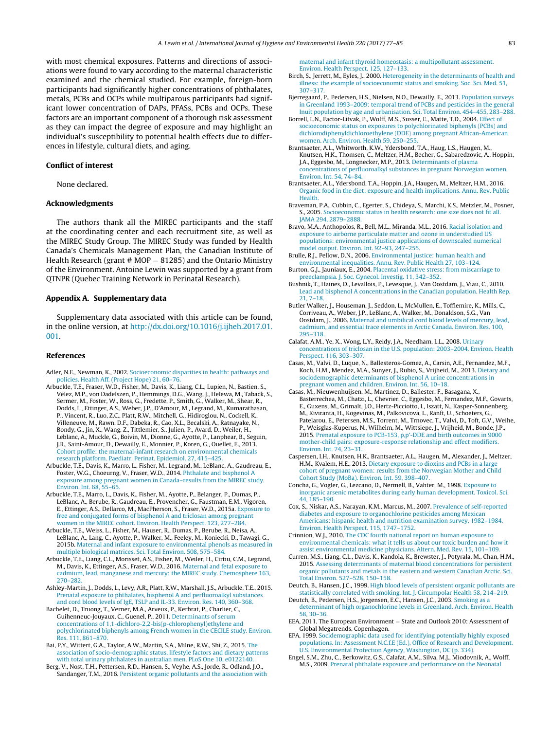<span id="page-6-0"></span>with most chemical exposures. Patterns and directions of associations were found to vary according to the maternal characteristic examined and the chemical studied. For example, foreign-born participants had significantly higher concentrations of phthalates, metals, PCBs and OCPs while multiparous participants had significant lower concentration of DAPs, PFASs, PCBs and OCPs. These factors are an important component of a thorough risk assessment as they can impact the degree of exposure and may highlight an individual's susceptibility to potential health effects due to differences in lifestyle, cultural diets, and aging.

## **Conflict of interest**

None declared.

## **Acknowledgments**

The authors thank all the MIREC participants and the staff at the coordinating center and each recruitment site, as well as the MIREC Study Group. The MIREC Study was funded by Health Canada's Chemicals Management Plan, the Canadian Institute of Health Research (grant # MOP – 81285) and the Ontario Ministry of the Environment. Antoine Lewin was supported by a grant from QTNPR (Quebec Training Network in Perinatal Research).

### **Appendix A. Supplementary data**

Supplementary data associated with this article can be found, in the online version, at [http://dx.doi.org/10.1016/j.ijheh.2017.01.](http://dx.doi.org/10.1016/j.ijheh.2017.01.001) [001](http://dx.doi.org/10.1016/j.ijheh.2017.01.001).

### **References**

- Adler, N.E., Newman, K., 2002. [Socioeconomic](http://refhub.elsevier.com/S1438-4639(16)30178-X/sbref0005) [disparities](http://refhub.elsevier.com/S1438-4639(16)30178-X/sbref0005) [in](http://refhub.elsevier.com/S1438-4639(16)30178-X/sbref0005) [health:](http://refhub.elsevier.com/S1438-4639(16)30178-X/sbref0005) [pathways](http://refhub.elsevier.com/S1438-4639(16)30178-X/sbref0005) [and](http://refhub.elsevier.com/S1438-4639(16)30178-X/sbref0005) [policies.](http://refhub.elsevier.com/S1438-4639(16)30178-X/sbref0005) [Health](http://refhub.elsevier.com/S1438-4639(16)30178-X/sbref0005) [Aff.](http://refhub.elsevier.com/S1438-4639(16)30178-X/sbref0005) [\(Project](http://refhub.elsevier.com/S1438-4639(16)30178-X/sbref0005) [Hope\)](http://refhub.elsevier.com/S1438-4639(16)30178-X/sbref0005) [21,](http://refhub.elsevier.com/S1438-4639(16)30178-X/sbref0005) [60](http://refhub.elsevier.com/S1438-4639(16)30178-X/sbref0005)–[76.](http://refhub.elsevier.com/S1438-4639(16)30178-X/sbref0005)
- Arbuckle, T.E., Fraser, W.D., Fisher, M., Davis, K., Liang, C.L., Lupien, N., Bastien, S., Velez, M.P., von Dadelszen, P., Hemmings, D.G., Wang, J., Helewa, M., Taback, S., Sermer, M., Foster, W., Ross, G., Fredette, P., Smith, G., Walker, M., Shear, R., Dodds, L., Ettinger, A.S., Weber, J.P., D'Amour, M., Legrand, M., Kumarathasan, P., Vincent, R., Luo, Z.C., Platt, R.W., Mitchell, G., Hidiroglou, N., Cockell, K., Villeneuve, M., Rawn, D.F., Dabeka, R., Cao, X.L., Becalski, A., Ratnayake, N., Bondy, G., Jin, X., Wang, Z., Tittlemier, S., Julien, P., Avard, D., Weiler, H., Leblanc, A., Muckle, G., Boivin, M., Dionne, G., Ayotte, P., Lanphear, B., Seguin, J.R., Saint-Amour, D., Dewailly, E., Monnier, P., Koren, G., Ouellet, E., 2013. [Cohort](http://refhub.elsevier.com/S1438-4639(16)30178-X/sbref0010) [profile:](http://refhub.elsevier.com/S1438-4639(16)30178-X/sbref0010) [the](http://refhub.elsevier.com/S1438-4639(16)30178-X/sbref0010) [maternal-infant](http://refhub.elsevier.com/S1438-4639(16)30178-X/sbref0010) [research](http://refhub.elsevier.com/S1438-4639(16)30178-X/sbref0010) [on](http://refhub.elsevier.com/S1438-4639(16)30178-X/sbref0010) [environmental](http://refhub.elsevier.com/S1438-4639(16)30178-X/sbref0010) [chemicals](http://refhub.elsevier.com/S1438-4639(16)30178-X/sbref0010) [research](http://refhub.elsevier.com/S1438-4639(16)30178-X/sbref0010) [platform.](http://refhub.elsevier.com/S1438-4639(16)30178-X/sbref0010) [Paediatr.](http://refhub.elsevier.com/S1438-4639(16)30178-X/sbref0010) [Perinat.](http://refhub.elsevier.com/S1438-4639(16)30178-X/sbref0010) [Epidemiol.](http://refhub.elsevier.com/S1438-4639(16)30178-X/sbref0010) [27,](http://refhub.elsevier.com/S1438-4639(16)30178-X/sbref0010) [415–425.](http://refhub.elsevier.com/S1438-4639(16)30178-X/sbref0010)
- Arbuckle, T.E., Davis, K., Marro, L., Fisher, M., Legrand, M., LeBlanc, A., Gaudreau, E., Foster, W.G., Choeurng, V., Fraser, W.D., 2014. [Phthalate](http://refhub.elsevier.com/S1438-4639(16)30178-X/sbref0015) [and](http://refhub.elsevier.com/S1438-4639(16)30178-X/sbref0015) [bisphenol](http://refhub.elsevier.com/S1438-4639(16)30178-X/sbref0015) [A](http://refhub.elsevier.com/S1438-4639(16)30178-X/sbref0015) [exposure](http://refhub.elsevier.com/S1438-4639(16)30178-X/sbref0015) [among](http://refhub.elsevier.com/S1438-4639(16)30178-X/sbref0015) [pregnant](http://refhub.elsevier.com/S1438-4639(16)30178-X/sbref0015) [women](http://refhub.elsevier.com/S1438-4639(16)30178-X/sbref0015) [in](http://refhub.elsevier.com/S1438-4639(16)30178-X/sbref0015) [Canada](http://refhub.elsevier.com/S1438-4639(16)30178-X/sbref0015)–[results](http://refhub.elsevier.com/S1438-4639(16)30178-X/sbref0015) [from](http://refhub.elsevier.com/S1438-4639(16)30178-X/sbref0015) [the](http://refhub.elsevier.com/S1438-4639(16)30178-X/sbref0015) [MIREC](http://refhub.elsevier.com/S1438-4639(16)30178-X/sbref0015) [study.](http://refhub.elsevier.com/S1438-4639(16)30178-X/sbref0015) [Environ.](http://refhub.elsevier.com/S1438-4639(16)30178-X/sbref0015) [Int.](http://refhub.elsevier.com/S1438-4639(16)30178-X/sbref0015) [68,](http://refhub.elsevier.com/S1438-4639(16)30178-X/sbref0015) [55–65.](http://refhub.elsevier.com/S1438-4639(16)30178-X/sbref0015)
- Arbuckle, T.E., Marro, L., Davis, K., Fisher, M., Ayotte, P., Belanger, P., Dumas, P., LeBlanc, A., Berube, R., Gaudreau, E., Provencher, G., Faustman, E.M., Vigoren, E., Ettinger, A.S., Dellarco, M., MacPherson, S., Fraser, W.D., 2015a. [Exposure](http://refhub.elsevier.com/S1438-4639(16)30178-X/sbref0020) [to](http://refhub.elsevier.com/S1438-4639(16)30178-X/sbref0020) [free](http://refhub.elsevier.com/S1438-4639(16)30178-X/sbref0020) [and](http://refhub.elsevier.com/S1438-4639(16)30178-X/sbref0020) [conjugated](http://refhub.elsevier.com/S1438-4639(16)30178-X/sbref0020) [forms](http://refhub.elsevier.com/S1438-4639(16)30178-X/sbref0020) [of](http://refhub.elsevier.com/S1438-4639(16)30178-X/sbref0020) [bisphenol](http://refhub.elsevier.com/S1438-4639(16)30178-X/sbref0020) [A](http://refhub.elsevier.com/S1438-4639(16)30178-X/sbref0020) [and](http://refhub.elsevier.com/S1438-4639(16)30178-X/sbref0020) [triclosan](http://refhub.elsevier.com/S1438-4639(16)30178-X/sbref0020) [among](http://refhub.elsevier.com/S1438-4639(16)30178-X/sbref0020) [pregnant](http://refhub.elsevier.com/S1438-4639(16)30178-X/sbref0020) [women](http://refhub.elsevier.com/S1438-4639(16)30178-X/sbref0020) [in](http://refhub.elsevier.com/S1438-4639(16)30178-X/sbref0020) [the](http://refhub.elsevier.com/S1438-4639(16)30178-X/sbref0020) [MIREC](http://refhub.elsevier.com/S1438-4639(16)30178-X/sbref0020) [cohort.](http://refhub.elsevier.com/S1438-4639(16)30178-X/sbref0020) [Environ.](http://refhub.elsevier.com/S1438-4639(16)30178-X/sbref0020) [Health](http://refhub.elsevier.com/S1438-4639(16)30178-X/sbref0020) [Perspect.](http://refhub.elsevier.com/S1438-4639(16)30178-X/sbref0020) [123,](http://refhub.elsevier.com/S1438-4639(16)30178-X/sbref0020) [277–284.](http://refhub.elsevier.com/S1438-4639(16)30178-X/sbref0020)
- Arbuckle, T.E., Weiss, L., Fisher, M., Hauser, R., Dumas, P., Berube, R., Neisa, A., LeBlanc, A., Lang, C., Ayotte, P., Walker, M., Feeley, M., Koniecki, D., Tawagi, G., 2015b. [Maternal](http://refhub.elsevier.com/S1438-4639(16)30178-X/sbref0025) [and](http://refhub.elsevier.com/S1438-4639(16)30178-X/sbref0025) [infant](http://refhub.elsevier.com/S1438-4639(16)30178-X/sbref0025) [exposure](http://refhub.elsevier.com/S1438-4639(16)30178-X/sbref0025) [to](http://refhub.elsevier.com/S1438-4639(16)30178-X/sbref0025) [environmental](http://refhub.elsevier.com/S1438-4639(16)30178-X/sbref0025) [phenols](http://refhub.elsevier.com/S1438-4639(16)30178-X/sbref0025) [as](http://refhub.elsevier.com/S1438-4639(16)30178-X/sbref0025) [measured](http://refhub.elsevier.com/S1438-4639(16)30178-X/sbref0025) [in](http://refhub.elsevier.com/S1438-4639(16)30178-X/sbref0025) [multiple](http://refhub.elsevier.com/S1438-4639(16)30178-X/sbref0025) [biological](http://refhub.elsevier.com/S1438-4639(16)30178-X/sbref0025) [matrices.](http://refhub.elsevier.com/S1438-4639(16)30178-X/sbref0025) [Sci.](http://refhub.elsevier.com/S1438-4639(16)30178-X/sbref0025) [Total](http://refhub.elsevier.com/S1438-4639(16)30178-X/sbref0025) [Environ.](http://refhub.elsevier.com/S1438-4639(16)30178-X/sbref0025) [508,](http://refhub.elsevier.com/S1438-4639(16)30178-X/sbref0025) [575–584.](http://refhub.elsevier.com/S1438-4639(16)30178-X/sbref0025)
- Arbuckle, T.E., Liang, C.L., Morisset, A.S., Fisher, M., Weiler, H., Cirtiu, C.M., Legrand, M., Davis, K., Ettinger, A.S., Fraser, W.D., 2016. [Maternal](http://refhub.elsevier.com/S1438-4639(16)30178-X/sbref0030) [and](http://refhub.elsevier.com/S1438-4639(16)30178-X/sbref0030) [fetal](http://refhub.elsevier.com/S1438-4639(16)30178-X/sbref0030) [exposure](http://refhub.elsevier.com/S1438-4639(16)30178-X/sbref0030) [to](http://refhub.elsevier.com/S1438-4639(16)30178-X/sbref0030) [cadmium,](http://refhub.elsevier.com/S1438-4639(16)30178-X/sbref0030) [lead,](http://refhub.elsevier.com/S1438-4639(16)30178-X/sbref0030) [manganese](http://refhub.elsevier.com/S1438-4639(16)30178-X/sbref0030) [and](http://refhub.elsevier.com/S1438-4639(16)30178-X/sbref0030) [mercury:](http://refhub.elsevier.com/S1438-4639(16)30178-X/sbref0030) [the](http://refhub.elsevier.com/S1438-4639(16)30178-X/sbref0030) [MIREC](http://refhub.elsevier.com/S1438-4639(16)30178-X/sbref0030) [study.](http://refhub.elsevier.com/S1438-4639(16)30178-X/sbref0030) [Chemosphere](http://refhub.elsevier.com/S1438-4639(16)30178-X/sbref0030) [163,](http://refhub.elsevier.com/S1438-4639(16)30178-X/sbref0030) [270–282.](http://refhub.elsevier.com/S1438-4639(16)30178-X/sbref0030)
- Ashley-Martin, J., Dodds, L., Levy, A.R., Platt, R.W., Marshall, J.S., Arbuckle, T.E., 2015. [Prenatal](http://refhub.elsevier.com/S1438-4639(16)30178-X/sbref0035) [exposure](http://refhub.elsevier.com/S1438-4639(16)30178-X/sbref0035) [to](http://refhub.elsevier.com/S1438-4639(16)30178-X/sbref0035) [phthalates,](http://refhub.elsevier.com/S1438-4639(16)30178-X/sbref0035) [bisphenol](http://refhub.elsevier.com/S1438-4639(16)30178-X/sbref0035) [A](http://refhub.elsevier.com/S1438-4639(16)30178-X/sbref0035) [and](http://refhub.elsevier.com/S1438-4639(16)30178-X/sbref0035) [perfluoroalkyl](http://refhub.elsevier.com/S1438-4639(16)30178-X/sbref0035) [substances](http://refhub.elsevier.com/S1438-4639(16)30178-X/sbref0035) [and](http://refhub.elsevier.com/S1438-4639(16)30178-X/sbref0035) [cord](http://refhub.elsevier.com/S1438-4639(16)30178-X/sbref0035) [blood](http://refhub.elsevier.com/S1438-4639(16)30178-X/sbref0035) [levels](http://refhub.elsevier.com/S1438-4639(16)30178-X/sbref0035) [of](http://refhub.elsevier.com/S1438-4639(16)30178-X/sbref0035) [IgE,](http://refhub.elsevier.com/S1438-4639(16)30178-X/sbref0035) [TSLP](http://refhub.elsevier.com/S1438-4639(16)30178-X/sbref0035) [and](http://refhub.elsevier.com/S1438-4639(16)30178-X/sbref0035) [IL-33.](http://refhub.elsevier.com/S1438-4639(16)30178-X/sbref0035) [Environ.](http://refhub.elsevier.com/S1438-4639(16)30178-X/sbref0035) [Res.](http://refhub.elsevier.com/S1438-4639(16)30178-X/sbref0035) [140,](http://refhub.elsevier.com/S1438-4639(16)30178-X/sbref0035) [360–368.](http://refhub.elsevier.com/S1438-4639(16)30178-X/sbref0035)
- Bachelet, D., Truong, T., Verner, M.A., Arveux, P., Kerbrat, P., Charlier, C., Guihenneuc-Jouyaux, C., Guenel, P., 2011. [Determinants](http://refhub.elsevier.com/S1438-4639(16)30178-X/sbref0040) [of](http://refhub.elsevier.com/S1438-4639(16)30178-X/sbref0040) [serum](http://refhub.elsevier.com/S1438-4639(16)30178-X/sbref0040) [concentrations](http://refhub.elsevier.com/S1438-4639(16)30178-X/sbref0040) [of](http://refhub.elsevier.com/S1438-4639(16)30178-X/sbref0040) [1,1-dichloro-2,2-bis\(p-chlorophenyl\)ethylene](http://refhub.elsevier.com/S1438-4639(16)30178-X/sbref0040) [and](http://refhub.elsevier.com/S1438-4639(16)30178-X/sbref0040) [polychlorinated](http://refhub.elsevier.com/S1438-4639(16)30178-X/sbref0040) [biphenyls](http://refhub.elsevier.com/S1438-4639(16)30178-X/sbref0040) [among](http://refhub.elsevier.com/S1438-4639(16)30178-X/sbref0040) [French](http://refhub.elsevier.com/S1438-4639(16)30178-X/sbref0040) [women](http://refhub.elsevier.com/S1438-4639(16)30178-X/sbref0040) [in](http://refhub.elsevier.com/S1438-4639(16)30178-X/sbref0040) [the](http://refhub.elsevier.com/S1438-4639(16)30178-X/sbref0040) [CECILE](http://refhub.elsevier.com/S1438-4639(16)30178-X/sbref0040) [study.](http://refhub.elsevier.com/S1438-4639(16)30178-X/sbref0040) [Environ.](http://refhub.elsevier.com/S1438-4639(16)30178-X/sbref0040) [Res.](http://refhub.elsevier.com/S1438-4639(16)30178-X/sbref0040) [111,](http://refhub.elsevier.com/S1438-4639(16)30178-X/sbref0040) [861](http://refhub.elsevier.com/S1438-4639(16)30178-X/sbref0040)–[870.](http://refhub.elsevier.com/S1438-4639(16)30178-X/sbref0040)
- Bai, P.Y., Wittert, G.A., Taylor, A.W., Martin, S.A., Milne, R.W., Shi, Z., 2015. [The](http://refhub.elsevier.com/S1438-4639(16)30178-X/sbref0045) [association](http://refhub.elsevier.com/S1438-4639(16)30178-X/sbref0045) [of](http://refhub.elsevier.com/S1438-4639(16)30178-X/sbref0045) [socio-demographic](http://refhub.elsevier.com/S1438-4639(16)30178-X/sbref0045) [status,](http://refhub.elsevier.com/S1438-4639(16)30178-X/sbref0045) [lifestyle](http://refhub.elsevier.com/S1438-4639(16)30178-X/sbref0045) [factors](http://refhub.elsevier.com/S1438-4639(16)30178-X/sbref0045) [and](http://refhub.elsevier.com/S1438-4639(16)30178-X/sbref0045) [dietary](http://refhub.elsevier.com/S1438-4639(16)30178-X/sbref0045) [patterns](http://refhub.elsevier.com/S1438-4639(16)30178-X/sbref0045) [with](http://refhub.elsevier.com/S1438-4639(16)30178-X/sbref0045) [total](http://refhub.elsevier.com/S1438-4639(16)30178-X/sbref0045) [urinary](http://refhub.elsevier.com/S1438-4639(16)30178-X/sbref0045) [phthalates](http://refhub.elsevier.com/S1438-4639(16)30178-X/sbref0045) [in](http://refhub.elsevier.com/S1438-4639(16)30178-X/sbref0045) [australian](http://refhub.elsevier.com/S1438-4639(16)30178-X/sbref0045) [men.](http://refhub.elsevier.com/S1438-4639(16)30178-X/sbref0045) [PLoS](http://refhub.elsevier.com/S1438-4639(16)30178-X/sbref0045) [One](http://refhub.elsevier.com/S1438-4639(16)30178-X/sbref0045) [10,](http://refhub.elsevier.com/S1438-4639(16)30178-X/sbref0045) [e0122140.](http://refhub.elsevier.com/S1438-4639(16)30178-X/sbref0045)
- Berg, V., Nost, T.H., Pettersen, R.D., Hansen, S., Veyhe, A.S., Jorde, R., Odland, J.O., Sandanger, T.M., 2016. [Persistent](http://refhub.elsevier.com/S1438-4639(16)30178-X/sbref0050) [organic](http://refhub.elsevier.com/S1438-4639(16)30178-X/sbref0050) [pollutants](http://refhub.elsevier.com/S1438-4639(16)30178-X/sbref0050) [and](http://refhub.elsevier.com/S1438-4639(16)30178-X/sbref0050) [the](http://refhub.elsevier.com/S1438-4639(16)30178-X/sbref0050) [association](http://refhub.elsevier.com/S1438-4639(16)30178-X/sbref0050) [with](http://refhub.elsevier.com/S1438-4639(16)30178-X/sbref0050)

[maternal](http://refhub.elsevier.com/S1438-4639(16)30178-X/sbref0050) [and](http://refhub.elsevier.com/S1438-4639(16)30178-X/sbref0050) [infant](http://refhub.elsevier.com/S1438-4639(16)30178-X/sbref0050) [thyroid](http://refhub.elsevier.com/S1438-4639(16)30178-X/sbref0050) [homeostasis:](http://refhub.elsevier.com/S1438-4639(16)30178-X/sbref0050) [a](http://refhub.elsevier.com/S1438-4639(16)30178-X/sbref0050) [multipollutant](http://refhub.elsevier.com/S1438-4639(16)30178-X/sbref0050) [assessment.](http://refhub.elsevier.com/S1438-4639(16)30178-X/sbref0050) [Environ.](http://refhub.elsevier.com/S1438-4639(16)30178-X/sbref0050) [Health](http://refhub.elsevier.com/S1438-4639(16)30178-X/sbref0050) [Perspect.](http://refhub.elsevier.com/S1438-4639(16)30178-X/sbref0050) [125,](http://refhub.elsevier.com/S1438-4639(16)30178-X/sbref0050) [127](http://refhub.elsevier.com/S1438-4639(16)30178-X/sbref0050)–[133.](http://refhub.elsevier.com/S1438-4639(16)30178-X/sbref0050)

- Birch, S., Jerrett, M., Eyles, J., 2000. [Heterogeneity](http://refhub.elsevier.com/S1438-4639(16)30178-X/sbref0055) [in](http://refhub.elsevier.com/S1438-4639(16)30178-X/sbref0055) [the](http://refhub.elsevier.com/S1438-4639(16)30178-X/sbref0055) [determinants](http://refhub.elsevier.com/S1438-4639(16)30178-X/sbref0055) [of](http://refhub.elsevier.com/S1438-4639(16)30178-X/sbref0055) [health](http://refhub.elsevier.com/S1438-4639(16)30178-X/sbref0055) [and](http://refhub.elsevier.com/S1438-4639(16)30178-X/sbref0055) [illness:](http://refhub.elsevier.com/S1438-4639(16)30178-X/sbref0055) [the](http://refhub.elsevier.com/S1438-4639(16)30178-X/sbref0055) [example](http://refhub.elsevier.com/S1438-4639(16)30178-X/sbref0055) [of](http://refhub.elsevier.com/S1438-4639(16)30178-X/sbref0055) [socioeconomic](http://refhub.elsevier.com/S1438-4639(16)30178-X/sbref0055) [status](http://refhub.elsevier.com/S1438-4639(16)30178-X/sbref0055) [and](http://refhub.elsevier.com/S1438-4639(16)30178-X/sbref0055) [smoking.](http://refhub.elsevier.com/S1438-4639(16)30178-X/sbref0055) [Soc.](http://refhub.elsevier.com/S1438-4639(16)30178-X/sbref0055) [Sci.](http://refhub.elsevier.com/S1438-4639(16)30178-X/sbref0055) [Med.](http://refhub.elsevier.com/S1438-4639(16)30178-X/sbref0055) [51,](http://refhub.elsevier.com/S1438-4639(16)30178-X/sbref0055) [307](http://refhub.elsevier.com/S1438-4639(16)30178-X/sbref0055)–[317.](http://refhub.elsevier.com/S1438-4639(16)30178-X/sbref0055)
- Bjerregaard, P., Pedersen, H.S., Nielsen, N.O., Dewailly, E., 2013. [Population](http://refhub.elsevier.com/S1438-4639(16)30178-X/sbref0060) [surveys](http://refhub.elsevier.com/S1438-4639(16)30178-X/sbref0060) [in](http://refhub.elsevier.com/S1438-4639(16)30178-X/sbref0060) [Greenland](http://refhub.elsevier.com/S1438-4639(16)30178-X/sbref0060) [1993](http://refhub.elsevier.com/S1438-4639(16)30178-X/sbref0060)–[2009:](http://refhub.elsevier.com/S1438-4639(16)30178-X/sbref0060) [temporal](http://refhub.elsevier.com/S1438-4639(16)30178-X/sbref0060) [trend](http://refhub.elsevier.com/S1438-4639(16)30178-X/sbref0060) [of](http://refhub.elsevier.com/S1438-4639(16)30178-X/sbref0060) [PCBs](http://refhub.elsevier.com/S1438-4639(16)30178-X/sbref0060) [and](http://refhub.elsevier.com/S1438-4639(16)30178-X/sbref0060) [pesticides](http://refhub.elsevier.com/S1438-4639(16)30178-X/sbref0060) [in](http://refhub.elsevier.com/S1438-4639(16)30178-X/sbref0060) [the](http://refhub.elsevier.com/S1438-4639(16)30178-X/sbref0060) [general](http://refhub.elsevier.com/S1438-4639(16)30178-X/sbref0060) [Inuit](http://refhub.elsevier.com/S1438-4639(16)30178-X/sbref0060) [population](http://refhub.elsevier.com/S1438-4639(16)30178-X/sbref0060) [by](http://refhub.elsevier.com/S1438-4639(16)30178-X/sbref0060) [age](http://refhub.elsevier.com/S1438-4639(16)30178-X/sbref0060) [and](http://refhub.elsevier.com/S1438-4639(16)30178-X/sbref0060) [urbanisation.](http://refhub.elsevier.com/S1438-4639(16)30178-X/sbref0060) [Sci.](http://refhub.elsevier.com/S1438-4639(16)30178-X/sbref0060) [Total](http://refhub.elsevier.com/S1438-4639(16)30178-X/sbref0060) [Environ.](http://refhub.elsevier.com/S1438-4639(16)30178-X/sbref0060) [454](http://refhub.elsevier.com/S1438-4639(16)30178-X/sbref0060)–[455,](http://refhub.elsevier.com/S1438-4639(16)30178-X/sbref0060) [283](http://refhub.elsevier.com/S1438-4639(16)30178-X/sbref0060)–[288.](http://refhub.elsevier.com/S1438-4639(16)30178-X/sbref0060)
- Borrell, L.N., Factor-Litvak, P., Wolff, M.S., Susser, E., Matte, T.D., 2004. [Effect](http://refhub.elsevier.com/S1438-4639(16)30178-X/sbref0065) [of](http://refhub.elsevier.com/S1438-4639(16)30178-X/sbref0065) [socioeconomic](http://refhub.elsevier.com/S1438-4639(16)30178-X/sbref0065) [status](http://refhub.elsevier.com/S1438-4639(16)30178-X/sbref0065) [on](http://refhub.elsevier.com/S1438-4639(16)30178-X/sbref0065) [exposures](http://refhub.elsevier.com/S1438-4639(16)30178-X/sbref0065) [to](http://refhub.elsevier.com/S1438-4639(16)30178-X/sbref0065) [polychlorinated](http://refhub.elsevier.com/S1438-4639(16)30178-X/sbref0065) [biphenyls](http://refhub.elsevier.com/S1438-4639(16)30178-X/sbref0065) [\(PCBs\)](http://refhub.elsevier.com/S1438-4639(16)30178-X/sbref0065) [and](http://refhub.elsevier.com/S1438-4639(16)30178-X/sbref0065) [dichlorodiphenyldichloroethylene](http://refhub.elsevier.com/S1438-4639(16)30178-X/sbref0065) [\(DDE\)](http://refhub.elsevier.com/S1438-4639(16)30178-X/sbref0065) [among](http://refhub.elsevier.com/S1438-4639(16)30178-X/sbref0065) [pregnant](http://refhub.elsevier.com/S1438-4639(16)30178-X/sbref0065) [African-American](http://refhub.elsevier.com/S1438-4639(16)30178-X/sbref0065) [women.](http://refhub.elsevier.com/S1438-4639(16)30178-X/sbref0065) [Arch.](http://refhub.elsevier.com/S1438-4639(16)30178-X/sbref0065) [Environ.](http://refhub.elsevier.com/S1438-4639(16)30178-X/sbref0065) [Health](http://refhub.elsevier.com/S1438-4639(16)30178-X/sbref0065) [59,](http://refhub.elsevier.com/S1438-4639(16)30178-X/sbref0065) [250–255.](http://refhub.elsevier.com/S1438-4639(16)30178-X/sbref0065)
- Brantsaeter, A.L., Whitworth, K.W., Ydersbond, T.A., Haug, L.S., Haugen, M., Knutsen, H.K., Thomsen, C., Meltzer, H.M., Becher, G., Sabaredzovic, A., Hoppin, J.A., Eggesbo, M., Longnecker, M.P., 2013. [Determinants](http://refhub.elsevier.com/S1438-4639(16)30178-X/sbref0070) [of](http://refhub.elsevier.com/S1438-4639(16)30178-X/sbref0070) [plasma](http://refhub.elsevier.com/S1438-4639(16)30178-X/sbref0070) [concentrations](http://refhub.elsevier.com/S1438-4639(16)30178-X/sbref0070) [of](http://refhub.elsevier.com/S1438-4639(16)30178-X/sbref0070) [perfluoroalkyl](http://refhub.elsevier.com/S1438-4639(16)30178-X/sbref0070) [substances](http://refhub.elsevier.com/S1438-4639(16)30178-X/sbref0070) [in](http://refhub.elsevier.com/S1438-4639(16)30178-X/sbref0070) [pregnant](http://refhub.elsevier.com/S1438-4639(16)30178-X/sbref0070) [Norwegian](http://refhub.elsevier.com/S1438-4639(16)30178-X/sbref0070) [women.](http://refhub.elsevier.com/S1438-4639(16)30178-X/sbref0070) [Environ.](http://refhub.elsevier.com/S1438-4639(16)30178-X/sbref0070) [Int.](http://refhub.elsevier.com/S1438-4639(16)30178-X/sbref0070) [54,](http://refhub.elsevier.com/S1438-4639(16)30178-X/sbref0070) [74–84.](http://refhub.elsevier.com/S1438-4639(16)30178-X/sbref0070)
- Brantsaeter, A.L., Ydersbond, T.A., Hoppin, J.A., Haugen, M., Meltzer, H.M., 2016. [Organic](http://refhub.elsevier.com/S1438-4639(16)30178-X/sbref0075) [food](http://refhub.elsevier.com/S1438-4639(16)30178-X/sbref0075) [in](http://refhub.elsevier.com/S1438-4639(16)30178-X/sbref0075) [the](http://refhub.elsevier.com/S1438-4639(16)30178-X/sbref0075) [diet:](http://refhub.elsevier.com/S1438-4639(16)30178-X/sbref0075) [exposure](http://refhub.elsevier.com/S1438-4639(16)30178-X/sbref0075) [and](http://refhub.elsevier.com/S1438-4639(16)30178-X/sbref0075) [health](http://refhub.elsevier.com/S1438-4639(16)30178-X/sbref0075) [implications.](http://refhub.elsevier.com/S1438-4639(16)30178-X/sbref0075) [Annu.](http://refhub.elsevier.com/S1438-4639(16)30178-X/sbref0075) [Rev.](http://refhub.elsevier.com/S1438-4639(16)30178-X/sbref0075) [Public](http://refhub.elsevier.com/S1438-4639(16)30178-X/sbref0075) [Health.](http://refhub.elsevier.com/S1438-4639(16)30178-X/sbref0075)
- Braveman, P.A., Cubbin, C., Egerter, S., Chideya, S., Marchi, K.S., Metzler, M., Posner, S., 2005. [Socioeconomic](http://refhub.elsevier.com/S1438-4639(16)30178-X/sbref0080) [status](http://refhub.elsevier.com/S1438-4639(16)30178-X/sbref0080) [in](http://refhub.elsevier.com/S1438-4639(16)30178-X/sbref0080) [health](http://refhub.elsevier.com/S1438-4639(16)30178-X/sbref0080) [research:](http://refhub.elsevier.com/S1438-4639(16)30178-X/sbref0080) [one](http://refhub.elsevier.com/S1438-4639(16)30178-X/sbref0080) [size](http://refhub.elsevier.com/S1438-4639(16)30178-X/sbref0080) [does](http://refhub.elsevier.com/S1438-4639(16)30178-X/sbref0080) [not](http://refhub.elsevier.com/S1438-4639(16)30178-X/sbref0080) [fit](http://refhub.elsevier.com/S1438-4639(16)30178-X/sbref0080) [all.](http://refhub.elsevier.com/S1438-4639(16)30178-X/sbref0080) [JAMA](http://refhub.elsevier.com/S1438-4639(16)30178-X/sbref0080) [294,](http://refhub.elsevier.com/S1438-4639(16)30178-X/sbref0080) [2879–2888.](http://refhub.elsevier.com/S1438-4639(16)30178-X/sbref0080)
- Bravo, M.A., Anthopolos, R., Bell, M.L., Miranda, M.L., 2016. [Racial](http://refhub.elsevier.com/S1438-4639(16)30178-X/sbref0085) [isolation](http://refhub.elsevier.com/S1438-4639(16)30178-X/sbref0085) [and](http://refhub.elsevier.com/S1438-4639(16)30178-X/sbref0085) [exposure](http://refhub.elsevier.com/S1438-4639(16)30178-X/sbref0085) [to](http://refhub.elsevier.com/S1438-4639(16)30178-X/sbref0085) [airborne](http://refhub.elsevier.com/S1438-4639(16)30178-X/sbref0085) [particulate](http://refhub.elsevier.com/S1438-4639(16)30178-X/sbref0085) [matter](http://refhub.elsevier.com/S1438-4639(16)30178-X/sbref0085) [and](http://refhub.elsevier.com/S1438-4639(16)30178-X/sbref0085) [ozone](http://refhub.elsevier.com/S1438-4639(16)30178-X/sbref0085) [in](http://refhub.elsevier.com/S1438-4639(16)30178-X/sbref0085) [understudied](http://refhub.elsevier.com/S1438-4639(16)30178-X/sbref0085) [US](http://refhub.elsevier.com/S1438-4639(16)30178-X/sbref0085) [populations:](http://refhub.elsevier.com/S1438-4639(16)30178-X/sbref0085) [environmental](http://refhub.elsevier.com/S1438-4639(16)30178-X/sbref0085) [justice](http://refhub.elsevier.com/S1438-4639(16)30178-X/sbref0085) [applications](http://refhub.elsevier.com/S1438-4639(16)30178-X/sbref0085) [of](http://refhub.elsevier.com/S1438-4639(16)30178-X/sbref0085) [downscaled](http://refhub.elsevier.com/S1438-4639(16)30178-X/sbref0085) [numerical](http://refhub.elsevier.com/S1438-4639(16)30178-X/sbref0085) [model](http://refhub.elsevier.com/S1438-4639(16)30178-X/sbref0085) [output.](http://refhub.elsevier.com/S1438-4639(16)30178-X/sbref0085) [Environ.](http://refhub.elsevier.com/S1438-4639(16)30178-X/sbref0085) [Int.](http://refhub.elsevier.com/S1438-4639(16)30178-X/sbref0085) [92](http://refhub.elsevier.com/S1438-4639(16)30178-X/sbref0085)–[93,](http://refhub.elsevier.com/S1438-4639(16)30178-X/sbref0085) [247](http://refhub.elsevier.com/S1438-4639(16)30178-X/sbref0085)–[255.](http://refhub.elsevier.com/S1438-4639(16)30178-X/sbref0085)
- Brulle, R.J., Pellow, D.N., 2006. [Environmental](http://refhub.elsevier.com/S1438-4639(16)30178-X/sbref0090) [justice:](http://refhub.elsevier.com/S1438-4639(16)30178-X/sbref0090) [human](http://refhub.elsevier.com/S1438-4639(16)30178-X/sbref0090) [health](http://refhub.elsevier.com/S1438-4639(16)30178-X/sbref0090) [and](http://refhub.elsevier.com/S1438-4639(16)30178-X/sbref0090) [environmental](http://refhub.elsevier.com/S1438-4639(16)30178-X/sbref0090) [inequalities.](http://refhub.elsevier.com/S1438-4639(16)30178-X/sbref0090) [Annu.](http://refhub.elsevier.com/S1438-4639(16)30178-X/sbref0090) [Rev.](http://refhub.elsevier.com/S1438-4639(16)30178-X/sbref0090) [Public](http://refhub.elsevier.com/S1438-4639(16)30178-X/sbref0090) [Health](http://refhub.elsevier.com/S1438-4639(16)30178-X/sbref0090) [27,](http://refhub.elsevier.com/S1438-4639(16)30178-X/sbref0090) [103](http://refhub.elsevier.com/S1438-4639(16)30178-X/sbref0090)–[124.](http://refhub.elsevier.com/S1438-4639(16)30178-X/sbref0090)
- Burton, G.J., Jauniaux, E., 2004. [Placental](http://refhub.elsevier.com/S1438-4639(16)30178-X/sbref0095) [oxidative](http://refhub.elsevier.com/S1438-4639(16)30178-X/sbref0095) [stress:](http://refhub.elsevier.com/S1438-4639(16)30178-X/sbref0095) [from](http://refhub.elsevier.com/S1438-4639(16)30178-X/sbref0095) [miscarriage](http://refhub.elsevier.com/S1438-4639(16)30178-X/sbref0095) [to](http://refhub.elsevier.com/S1438-4639(16)30178-X/sbref0095) [preeclampsia.](http://refhub.elsevier.com/S1438-4639(16)30178-X/sbref0095) [J.](http://refhub.elsevier.com/S1438-4639(16)30178-X/sbref0095) [Soc.](http://refhub.elsevier.com/S1438-4639(16)30178-X/sbref0095) [Gynecol.](http://refhub.elsevier.com/S1438-4639(16)30178-X/sbref0095) [Investig.](http://refhub.elsevier.com/S1438-4639(16)30178-X/sbref0095) [11,](http://refhub.elsevier.com/S1438-4639(16)30178-X/sbref0095) [342](http://refhub.elsevier.com/S1438-4639(16)30178-X/sbref0095)–[352.](http://refhub.elsevier.com/S1438-4639(16)30178-X/sbref0095)
- Bushnik, T., Haines, D., Levallois, P., Levesque, J., Van Oostdam, J., Viau, C., 2010. [Lead](http://refhub.elsevier.com/S1438-4639(16)30178-X/sbref0100) [and](http://refhub.elsevier.com/S1438-4639(16)30178-X/sbref0100) [bisphenol](http://refhub.elsevier.com/S1438-4639(16)30178-X/sbref0100) [A](http://refhub.elsevier.com/S1438-4639(16)30178-X/sbref0100) [concentrations](http://refhub.elsevier.com/S1438-4639(16)30178-X/sbref0100) [in](http://refhub.elsevier.com/S1438-4639(16)30178-X/sbref0100) [the](http://refhub.elsevier.com/S1438-4639(16)30178-X/sbref0100) [Canadian](http://refhub.elsevier.com/S1438-4639(16)30178-X/sbref0100) [population.](http://refhub.elsevier.com/S1438-4639(16)30178-X/sbref0100) [Health](http://refhub.elsevier.com/S1438-4639(16)30178-X/sbref0100) [Rep.](http://refhub.elsevier.com/S1438-4639(16)30178-X/sbref0100) [21,](http://refhub.elsevier.com/S1438-4639(16)30178-X/sbref0100) [7](http://refhub.elsevier.com/S1438-4639(16)30178-X/sbref0100)–[18.](http://refhub.elsevier.com/S1438-4639(16)30178-X/sbref0100)
- Butler Walker, J., Houseman, J., Seddon, L., McMullen, E., Tofflemire, K., Mills, C., Corriveau, A., Weber, J.P., LeBlanc, A., Walker, M., Donaldson, S.G., Van Oostdam, J., 2006. [Maternal](http://refhub.elsevier.com/S1438-4639(16)30178-X/sbref0105) [and](http://refhub.elsevier.com/S1438-4639(16)30178-X/sbref0105) [umbilical](http://refhub.elsevier.com/S1438-4639(16)30178-X/sbref0105) [cord](http://refhub.elsevier.com/S1438-4639(16)30178-X/sbref0105) [blood](http://refhub.elsevier.com/S1438-4639(16)30178-X/sbref0105) [levels](http://refhub.elsevier.com/S1438-4639(16)30178-X/sbref0105) [of](http://refhub.elsevier.com/S1438-4639(16)30178-X/sbref0105) [mercury,](http://refhub.elsevier.com/S1438-4639(16)30178-X/sbref0105) [lead,](http://refhub.elsevier.com/S1438-4639(16)30178-X/sbref0105) [cadmium,](http://refhub.elsevier.com/S1438-4639(16)30178-X/sbref0105) [and](http://refhub.elsevier.com/S1438-4639(16)30178-X/sbref0105) [essential](http://refhub.elsevier.com/S1438-4639(16)30178-X/sbref0105) [trace](http://refhub.elsevier.com/S1438-4639(16)30178-X/sbref0105) [elements](http://refhub.elsevier.com/S1438-4639(16)30178-X/sbref0105) [in](http://refhub.elsevier.com/S1438-4639(16)30178-X/sbref0105) [Arctic](http://refhub.elsevier.com/S1438-4639(16)30178-X/sbref0105) [Canada.](http://refhub.elsevier.com/S1438-4639(16)30178-X/sbref0105) [Environ.](http://refhub.elsevier.com/S1438-4639(16)30178-X/sbref0105) [Res.](http://refhub.elsevier.com/S1438-4639(16)30178-X/sbref0105) [100,](http://refhub.elsevier.com/S1438-4639(16)30178-X/sbref0105) [295](http://refhub.elsevier.com/S1438-4639(16)30178-X/sbref0105)–[318.](http://refhub.elsevier.com/S1438-4639(16)30178-X/sbref0105)
- Calafat, A.M., Ye, X., Wong, L.Y., Reidy, J.A., Needham, L.L., 2008. [Urinary](http://refhub.elsevier.com/S1438-4639(16)30178-X/sbref0110) [concentrations](http://refhub.elsevier.com/S1438-4639(16)30178-X/sbref0110) [of](http://refhub.elsevier.com/S1438-4639(16)30178-X/sbref0110) [triclosan](http://refhub.elsevier.com/S1438-4639(16)30178-X/sbref0110) [in](http://refhub.elsevier.com/S1438-4639(16)30178-X/sbref0110) [the](http://refhub.elsevier.com/S1438-4639(16)30178-X/sbref0110) [U.S.](http://refhub.elsevier.com/S1438-4639(16)30178-X/sbref0110) [population:](http://refhub.elsevier.com/S1438-4639(16)30178-X/sbref0110) [2003](http://refhub.elsevier.com/S1438-4639(16)30178-X/sbref0110)–[2004.](http://refhub.elsevier.com/S1438-4639(16)30178-X/sbref0110) [Environ.](http://refhub.elsevier.com/S1438-4639(16)30178-X/sbref0110) [Health](http://refhub.elsevier.com/S1438-4639(16)30178-X/sbref0110) [Perspect.](http://refhub.elsevier.com/S1438-4639(16)30178-X/sbref0110) [116,](http://refhub.elsevier.com/S1438-4639(16)30178-X/sbref0110) [303](http://refhub.elsevier.com/S1438-4639(16)30178-X/sbref0110)–[307.](http://refhub.elsevier.com/S1438-4639(16)30178-X/sbref0110)
- Casas, M., Valvi, D., Luque, N., Ballesteros-Gomez, A., Carsin, A.E., Fernandez, M.F., Koch, H.M., Mendez, M.A., Sunyer, J., Rubio, S., Vrijheid, M., 2013. [Dietary](http://refhub.elsevier.com/S1438-4639(16)30178-X/sbref0115) [and](http://refhub.elsevier.com/S1438-4639(16)30178-X/sbref0115) [sociodemographic](http://refhub.elsevier.com/S1438-4639(16)30178-X/sbref0115) [determinants](http://refhub.elsevier.com/S1438-4639(16)30178-X/sbref0115) [of](http://refhub.elsevier.com/S1438-4639(16)30178-X/sbref0115) [bisphenol](http://refhub.elsevier.com/S1438-4639(16)30178-X/sbref0115) [A](http://refhub.elsevier.com/S1438-4639(16)30178-X/sbref0115) [urine](http://refhub.elsevier.com/S1438-4639(16)30178-X/sbref0115) [concentrations](http://refhub.elsevier.com/S1438-4639(16)30178-X/sbref0115) [in](http://refhub.elsevier.com/S1438-4639(16)30178-X/sbref0115) [pregnant](http://refhub.elsevier.com/S1438-4639(16)30178-X/sbref0115) [women](http://refhub.elsevier.com/S1438-4639(16)30178-X/sbref0115) [and](http://refhub.elsevier.com/S1438-4639(16)30178-X/sbref0115) [children.](http://refhub.elsevier.com/S1438-4639(16)30178-X/sbref0115) [Environ.](http://refhub.elsevier.com/S1438-4639(16)30178-X/sbref0115) [Int.](http://refhub.elsevier.com/S1438-4639(16)30178-X/sbref0115) [56,](http://refhub.elsevier.com/S1438-4639(16)30178-X/sbref0115) [10–18.](http://refhub.elsevier.com/S1438-4639(16)30178-X/sbref0115)
- Casas, M., Nieuwenhuijsen, M., Martinez, D., Ballester, F., Basagana, X., Basterrechea, M., Chatzi, L., Chevrier, C., Eggesbo, M., Fernandez, M.F., Govarts, E., Guxens, M., Grimalt, J.O., Hertz-Picciotto, I., Iszatt, N., Kasper-Sonnenberg, M., Kiviranta, H., Kogevinas, M., Palkovicova, L., Ranft, U., Schoeters, G., Patelarou, E., Petersen, M.S., Torrent, M., Trnovec, T., Valvi, D., Toft, G.V., Weihe, P., Weisglas-Kuperus, N., Wilhelm, M., Wittsiepe, J., Vrijheid, M., Bonde, J.P., 2015. [Prenatal](http://refhub.elsevier.com/S1438-4639(16)30178-X/sbref0120) [exposure](http://refhub.elsevier.com/S1438-4639(16)30178-X/sbref0120) [to](http://refhub.elsevier.com/S1438-4639(16)30178-X/sbref0120) [PCB-153,](http://refhub.elsevier.com/S1438-4639(16)30178-X/sbref0120) [p,p'-DDE](http://refhub.elsevier.com/S1438-4639(16)30178-X/sbref0120) [and](http://refhub.elsevier.com/S1438-4639(16)30178-X/sbref0120) [birth](http://refhub.elsevier.com/S1438-4639(16)30178-X/sbref0120) [outcomes](http://refhub.elsevier.com/S1438-4639(16)30178-X/sbref0120) [in](http://refhub.elsevier.com/S1438-4639(16)30178-X/sbref0120) [9000](http://refhub.elsevier.com/S1438-4639(16)30178-X/sbref0120) [mother-child](http://refhub.elsevier.com/S1438-4639(16)30178-X/sbref0120) [pairs:](http://refhub.elsevier.com/S1438-4639(16)30178-X/sbref0120) [exposure-response](http://refhub.elsevier.com/S1438-4639(16)30178-X/sbref0120) [relationship](http://refhub.elsevier.com/S1438-4639(16)30178-X/sbref0120) [and](http://refhub.elsevier.com/S1438-4639(16)30178-X/sbref0120) [effect](http://refhub.elsevier.com/S1438-4639(16)30178-X/sbref0120) [modifiers.](http://refhub.elsevier.com/S1438-4639(16)30178-X/sbref0120) [Environ.](http://refhub.elsevier.com/S1438-4639(16)30178-X/sbref0120) [Int.](http://refhub.elsevier.com/S1438-4639(16)30178-X/sbref0120) [74,](http://refhub.elsevier.com/S1438-4639(16)30178-X/sbref0120) [23–31.](http://refhub.elsevier.com/S1438-4639(16)30178-X/sbref0120)
- Caspersen, I.H., Knutsen, H.K., Brantsaeter, A.L., Haugen, M., Alexander, J., Meltzer, H.M., Kvalem, H.E., 2013. [Dietary](http://refhub.elsevier.com/S1438-4639(16)30178-X/sbref0125) [exposure](http://refhub.elsevier.com/S1438-4639(16)30178-X/sbref0125) [to](http://refhub.elsevier.com/S1438-4639(16)30178-X/sbref0125) [dioxins](http://refhub.elsevier.com/S1438-4639(16)30178-X/sbref0125) [and](http://refhub.elsevier.com/S1438-4639(16)30178-X/sbref0125) [PCBs](http://refhub.elsevier.com/S1438-4639(16)30178-X/sbref0125) [in](http://refhub.elsevier.com/S1438-4639(16)30178-X/sbref0125) [a](http://refhub.elsevier.com/S1438-4639(16)30178-X/sbref0125) [large](http://refhub.elsevier.com/S1438-4639(16)30178-X/sbref0125) [cohort](http://refhub.elsevier.com/S1438-4639(16)30178-X/sbref0125) [of](http://refhub.elsevier.com/S1438-4639(16)30178-X/sbref0125) [pregnant](http://refhub.elsevier.com/S1438-4639(16)30178-X/sbref0125) [women:](http://refhub.elsevier.com/S1438-4639(16)30178-X/sbref0125) [results](http://refhub.elsevier.com/S1438-4639(16)30178-X/sbref0125) [from](http://refhub.elsevier.com/S1438-4639(16)30178-X/sbref0125) [the](http://refhub.elsevier.com/S1438-4639(16)30178-X/sbref0125) [Norwegian](http://refhub.elsevier.com/S1438-4639(16)30178-X/sbref0125) [Mother](http://refhub.elsevier.com/S1438-4639(16)30178-X/sbref0125) [and](http://refhub.elsevier.com/S1438-4639(16)30178-X/sbref0125) [Child](http://refhub.elsevier.com/S1438-4639(16)30178-X/sbref0125) [Cohort](http://refhub.elsevier.com/S1438-4639(16)30178-X/sbref0125) [Study](http://refhub.elsevier.com/S1438-4639(16)30178-X/sbref0125) [\(MoBa\).](http://refhub.elsevier.com/S1438-4639(16)30178-X/sbref0125) [Environ.](http://refhub.elsevier.com/S1438-4639(16)30178-X/sbref0125) [Int.](http://refhub.elsevier.com/S1438-4639(16)30178-X/sbref0125) [59,](http://refhub.elsevier.com/S1438-4639(16)30178-X/sbref0125) [398–407.](http://refhub.elsevier.com/S1438-4639(16)30178-X/sbref0125)
- Concha, G., Vogler, G., Lezcano, D., Nermell, B., Vahter, M., 1998. [Exposure](http://refhub.elsevier.com/S1438-4639(16)30178-X/sbref0130) [to](http://refhub.elsevier.com/S1438-4639(16)30178-X/sbref0130) [inorganic](http://refhub.elsevier.com/S1438-4639(16)30178-X/sbref0130) [arsenic](http://refhub.elsevier.com/S1438-4639(16)30178-X/sbref0130) [metabolites](http://refhub.elsevier.com/S1438-4639(16)30178-X/sbref0130) [during](http://refhub.elsevier.com/S1438-4639(16)30178-X/sbref0130) [early](http://refhub.elsevier.com/S1438-4639(16)30178-X/sbref0130) [human](http://refhub.elsevier.com/S1438-4639(16)30178-X/sbref0130) [development.](http://refhub.elsevier.com/S1438-4639(16)30178-X/sbref0130) [Toxicol.](http://refhub.elsevier.com/S1438-4639(16)30178-X/sbref0130) [Sci.](http://refhub.elsevier.com/S1438-4639(16)30178-X/sbref0130) [44,](http://refhub.elsevier.com/S1438-4639(16)30178-X/sbref0130) [185](http://refhub.elsevier.com/S1438-4639(16)30178-X/sbref0130)–[190.](http://refhub.elsevier.com/S1438-4639(16)30178-X/sbref0130)
- Cox, S., Niskar, A.S., Narayan, K.M., Marcus, M., 2007. [Prevalence](http://refhub.elsevier.com/S1438-4639(16)30178-X/sbref0135) [of](http://refhub.elsevier.com/S1438-4639(16)30178-X/sbref0135) [self-reported](http://refhub.elsevier.com/S1438-4639(16)30178-X/sbref0135) [diabetes](http://refhub.elsevier.com/S1438-4639(16)30178-X/sbref0135) [and](http://refhub.elsevier.com/S1438-4639(16)30178-X/sbref0135) [exposure](http://refhub.elsevier.com/S1438-4639(16)30178-X/sbref0135) [to](http://refhub.elsevier.com/S1438-4639(16)30178-X/sbref0135) [organochlorine](http://refhub.elsevier.com/S1438-4639(16)30178-X/sbref0135) [pesticides](http://refhub.elsevier.com/S1438-4639(16)30178-X/sbref0135) [among](http://refhub.elsevier.com/S1438-4639(16)30178-X/sbref0135) [Mexican](http://refhub.elsevier.com/S1438-4639(16)30178-X/sbref0135) [Americans:](http://refhub.elsevier.com/S1438-4639(16)30178-X/sbref0135) [hispanic](http://refhub.elsevier.com/S1438-4639(16)30178-X/sbref0135) [health](http://refhub.elsevier.com/S1438-4639(16)30178-X/sbref0135) [and](http://refhub.elsevier.com/S1438-4639(16)30178-X/sbref0135) [nutrition](http://refhub.elsevier.com/S1438-4639(16)30178-X/sbref0135) [examination](http://refhub.elsevier.com/S1438-4639(16)30178-X/sbref0135) [survey,](http://refhub.elsevier.com/S1438-4639(16)30178-X/sbref0135) [1982–1984.](http://refhub.elsevier.com/S1438-4639(16)30178-X/sbref0135) [Environ.](http://refhub.elsevier.com/S1438-4639(16)30178-X/sbref0135) [Health](http://refhub.elsevier.com/S1438-4639(16)30178-X/sbref0135) [Perspect.](http://refhub.elsevier.com/S1438-4639(16)30178-X/sbref0135) [115,](http://refhub.elsevier.com/S1438-4639(16)30178-X/sbref0135) [1747](http://refhub.elsevier.com/S1438-4639(16)30178-X/sbref0135)–[1752.](http://refhub.elsevier.com/S1438-4639(16)30178-X/sbref0135)
- Crinnion, W.J., 2010. [The](http://refhub.elsevier.com/S1438-4639(16)30178-X/sbref0140) [CDC](http://refhub.elsevier.com/S1438-4639(16)30178-X/sbref0140) [fourth](http://refhub.elsevier.com/S1438-4639(16)30178-X/sbref0140) [national](http://refhub.elsevier.com/S1438-4639(16)30178-X/sbref0140) [report](http://refhub.elsevier.com/S1438-4639(16)30178-X/sbref0140) [on](http://refhub.elsevier.com/S1438-4639(16)30178-X/sbref0140) [human](http://refhub.elsevier.com/S1438-4639(16)30178-X/sbref0140) [exposure](http://refhub.elsevier.com/S1438-4639(16)30178-X/sbref0140) [to](http://refhub.elsevier.com/S1438-4639(16)30178-X/sbref0140) [environmental](http://refhub.elsevier.com/S1438-4639(16)30178-X/sbref0140) [chemicals:](http://refhub.elsevier.com/S1438-4639(16)30178-X/sbref0140) [what](http://refhub.elsevier.com/S1438-4639(16)30178-X/sbref0140) [it](http://refhub.elsevier.com/S1438-4639(16)30178-X/sbref0140) [tells](http://refhub.elsevier.com/S1438-4639(16)30178-X/sbref0140) [us](http://refhub.elsevier.com/S1438-4639(16)30178-X/sbref0140) [about](http://refhub.elsevier.com/S1438-4639(16)30178-X/sbref0140) [our](http://refhub.elsevier.com/S1438-4639(16)30178-X/sbref0140) [toxic](http://refhub.elsevier.com/S1438-4639(16)30178-X/sbref0140) [burden](http://refhub.elsevier.com/S1438-4639(16)30178-X/sbref0140) [and](http://refhub.elsevier.com/S1438-4639(16)30178-X/sbref0140) [how](http://refhub.elsevier.com/S1438-4639(16)30178-X/sbref0140) [it](http://refhub.elsevier.com/S1438-4639(16)30178-X/sbref0140) [assist](http://refhub.elsevier.com/S1438-4639(16)30178-X/sbref0140) [environmental](http://refhub.elsevier.com/S1438-4639(16)30178-X/sbref0140) [medicine](http://refhub.elsevier.com/S1438-4639(16)30178-X/sbref0140) [physicians.](http://refhub.elsevier.com/S1438-4639(16)30178-X/sbref0140) [Altern.](http://refhub.elsevier.com/S1438-4639(16)30178-X/sbref0140) [Med.](http://refhub.elsevier.com/S1438-4639(16)30178-X/sbref0140) [Rev.](http://refhub.elsevier.com/S1438-4639(16)30178-X/sbref0140) [15,](http://refhub.elsevier.com/S1438-4639(16)30178-X/sbref0140) [101](http://refhub.elsevier.com/S1438-4639(16)30178-X/sbref0140)–[109.](http://refhub.elsevier.com/S1438-4639(16)30178-X/sbref0140)
- Curren, M.S., Liang, C.L., Davis, K., Kandola, K., Brewster, J., Potyrala, M., Chan, H.M., 2015. [Assessing](http://refhub.elsevier.com/S1438-4639(16)30178-X/sbref0145) [determinants](http://refhub.elsevier.com/S1438-4639(16)30178-X/sbref0145) [of](http://refhub.elsevier.com/S1438-4639(16)30178-X/sbref0145) [maternal](http://refhub.elsevier.com/S1438-4639(16)30178-X/sbref0145) [blood](http://refhub.elsevier.com/S1438-4639(16)30178-X/sbref0145) [concentrations](http://refhub.elsevier.com/S1438-4639(16)30178-X/sbref0145) [for](http://refhub.elsevier.com/S1438-4639(16)30178-X/sbref0145) [persistent](http://refhub.elsevier.com/S1438-4639(16)30178-X/sbref0145) [organic](http://refhub.elsevier.com/S1438-4639(16)30178-X/sbref0145) [pollutants](http://refhub.elsevier.com/S1438-4639(16)30178-X/sbref0145) [and](http://refhub.elsevier.com/S1438-4639(16)30178-X/sbref0145) [metals](http://refhub.elsevier.com/S1438-4639(16)30178-X/sbref0145) [in](http://refhub.elsevier.com/S1438-4639(16)30178-X/sbref0145) [the](http://refhub.elsevier.com/S1438-4639(16)30178-X/sbref0145) [eastern](http://refhub.elsevier.com/S1438-4639(16)30178-X/sbref0145) [and](http://refhub.elsevier.com/S1438-4639(16)30178-X/sbref0145) [western](http://refhub.elsevier.com/S1438-4639(16)30178-X/sbref0145) [Canadian](http://refhub.elsevier.com/S1438-4639(16)30178-X/sbref0145) [Arctic.](http://refhub.elsevier.com/S1438-4639(16)30178-X/sbref0145) [Sci.](http://refhub.elsevier.com/S1438-4639(16)30178-X/sbref0145) [Total](http://refhub.elsevier.com/S1438-4639(16)30178-X/sbref0145) [Environ.](http://refhub.elsevier.com/S1438-4639(16)30178-X/sbref0145) [527](http://refhub.elsevier.com/S1438-4639(16)30178-X/sbref0145)–[528,](http://refhub.elsevier.com/S1438-4639(16)30178-X/sbref0145) [150–158.](http://refhub.elsevier.com/S1438-4639(16)30178-X/sbref0145)
- Deutch, B., Hansen, J.C., 1999. [High](http://refhub.elsevier.com/S1438-4639(16)30178-X/sbref0150) [blood](http://refhub.elsevier.com/S1438-4639(16)30178-X/sbref0150) [levels](http://refhub.elsevier.com/S1438-4639(16)30178-X/sbref0150) [of](http://refhub.elsevier.com/S1438-4639(16)30178-X/sbref0150) [persistent](http://refhub.elsevier.com/S1438-4639(16)30178-X/sbref0150) [organic](http://refhub.elsevier.com/S1438-4639(16)30178-X/sbref0150) [pollutants](http://refhub.elsevier.com/S1438-4639(16)30178-X/sbref0150) [are](http://refhub.elsevier.com/S1438-4639(16)30178-X/sbref0150) [statistically](http://refhub.elsevier.com/S1438-4639(16)30178-X/sbref0150) [correlated](http://refhub.elsevier.com/S1438-4639(16)30178-X/sbref0150) [with](http://refhub.elsevier.com/S1438-4639(16)30178-X/sbref0150) [smoking.](http://refhub.elsevier.com/S1438-4639(16)30178-X/sbref0150) [Int.](http://refhub.elsevier.com/S1438-4639(16)30178-X/sbref0150) [J.](http://refhub.elsevier.com/S1438-4639(16)30178-X/sbref0150) [Circumpolar](http://refhub.elsevier.com/S1438-4639(16)30178-X/sbref0150) [Health](http://refhub.elsevier.com/S1438-4639(16)30178-X/sbref0150) [58,](http://refhub.elsevier.com/S1438-4639(16)30178-X/sbref0150) [214–219.](http://refhub.elsevier.com/S1438-4639(16)30178-X/sbref0150)
- Deutch, B., Pedersen, H.S., Jorgensen, E.C., Hansen, J.C., 2003. [Smoking](http://refhub.elsevier.com/S1438-4639(16)30178-X/sbref0155) [as](http://refhub.elsevier.com/S1438-4639(16)30178-X/sbref0155) [a](http://refhub.elsevier.com/S1438-4639(16)30178-X/sbref0155) [determinant](http://refhub.elsevier.com/S1438-4639(16)30178-X/sbref0155) [of](http://refhub.elsevier.com/S1438-4639(16)30178-X/sbref0155) [high](http://refhub.elsevier.com/S1438-4639(16)30178-X/sbref0155) [organochlorine](http://refhub.elsevier.com/S1438-4639(16)30178-X/sbref0155) [levels](http://refhub.elsevier.com/S1438-4639(16)30178-X/sbref0155) [in](http://refhub.elsevier.com/S1438-4639(16)30178-X/sbref0155) [Greenland.](http://refhub.elsevier.com/S1438-4639(16)30178-X/sbref0155) [Arch.](http://refhub.elsevier.com/S1438-4639(16)30178-X/sbref0155) [Environ.](http://refhub.elsevier.com/S1438-4639(16)30178-X/sbref0155) [Health](http://refhub.elsevier.com/S1438-4639(16)30178-X/sbref0155) [58,](http://refhub.elsevier.com/S1438-4639(16)30178-X/sbref0155) [30–36.](http://refhub.elsevier.com/S1438-4639(16)30178-X/sbref0155)
- EEA, 2011. The European Environment − State and Outlook 2010: Assessment of Global Megatrends, Copenhagen.
- EPA, 1999. [Socidemographic](http://refhub.elsevier.com/S1438-4639(16)30178-X/sbref0165) [data](http://refhub.elsevier.com/S1438-4639(16)30178-X/sbref0165) [used](http://refhub.elsevier.com/S1438-4639(16)30178-X/sbref0165) [for](http://refhub.elsevier.com/S1438-4639(16)30178-X/sbref0165) [identifying](http://refhub.elsevier.com/S1438-4639(16)30178-X/sbref0165) [potentially](http://refhub.elsevier.com/S1438-4639(16)30178-X/sbref0165) [highly](http://refhub.elsevier.com/S1438-4639(16)30178-X/sbref0165) [exposed](http://refhub.elsevier.com/S1438-4639(16)30178-X/sbref0165) [populations.](http://refhub.elsevier.com/S1438-4639(16)30178-X/sbref0165) [In:](http://refhub.elsevier.com/S1438-4639(16)30178-X/sbref0165) [Assessment](http://refhub.elsevier.com/S1438-4639(16)30178-X/sbref0165) [N.C.f.E](http://refhub.elsevier.com/S1438-4639(16)30178-X/sbref0165) [\(Ed.\),](http://refhub.elsevier.com/S1438-4639(16)30178-X/sbref0165) [Office](http://refhub.elsevier.com/S1438-4639(16)30178-X/sbref0165) [of](http://refhub.elsevier.com/S1438-4639(16)30178-X/sbref0165) [Research](http://refhub.elsevier.com/S1438-4639(16)30178-X/sbref0165) [and](http://refhub.elsevier.com/S1438-4639(16)30178-X/sbref0165) [Development.](http://refhub.elsevier.com/S1438-4639(16)30178-X/sbref0165) [U.S.](http://refhub.elsevier.com/S1438-4639(16)30178-X/sbref0165) [Environmental](http://refhub.elsevier.com/S1438-4639(16)30178-X/sbref0165) [Protection](http://refhub.elsevier.com/S1438-4639(16)30178-X/sbref0165) [Agency,](http://refhub.elsevier.com/S1438-4639(16)30178-X/sbref0165) [Washington,](http://refhub.elsevier.com/S1438-4639(16)30178-X/sbref0165) [DC](http://refhub.elsevier.com/S1438-4639(16)30178-X/sbref0165) [\(p.](http://refhub.elsevier.com/S1438-4639(16)30178-X/sbref0165) [334\).](http://refhub.elsevier.com/S1438-4639(16)30178-X/sbref0165)
- Engel, S.M., Zhu, C., Berkowitz, G.S., Calafat, A.M., Silva, M.J., Miodovnik, A., Wolff, M.S., 2009. [Prenatal](http://refhub.elsevier.com/S1438-4639(16)30178-X/sbref0170) [phthalate](http://refhub.elsevier.com/S1438-4639(16)30178-X/sbref0170) [exposure](http://refhub.elsevier.com/S1438-4639(16)30178-X/sbref0170) [and](http://refhub.elsevier.com/S1438-4639(16)30178-X/sbref0170) [performance](http://refhub.elsevier.com/S1438-4639(16)30178-X/sbref0170) [on](http://refhub.elsevier.com/S1438-4639(16)30178-X/sbref0170) [the](http://refhub.elsevier.com/S1438-4639(16)30178-X/sbref0170) [Neonatal](http://refhub.elsevier.com/S1438-4639(16)30178-X/sbref0170)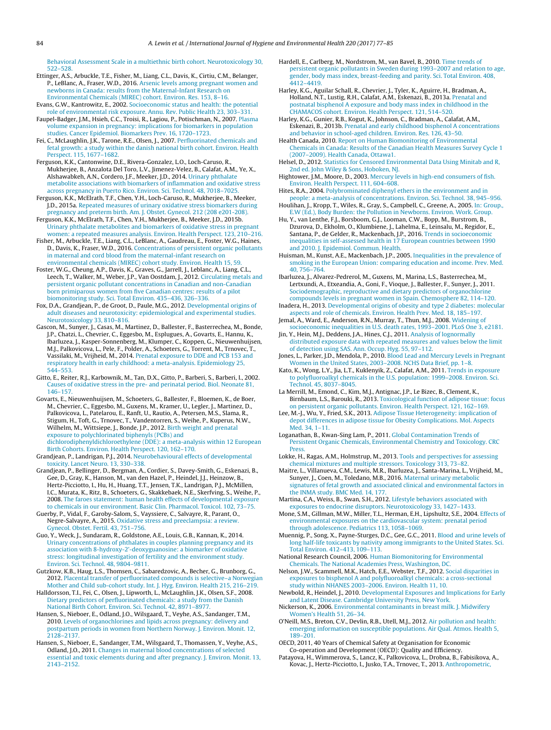<span id="page-7-0"></span>[Behavioral](http://refhub.elsevier.com/S1438-4639(16)30178-X/sbref0170) [Assessment](http://refhub.elsevier.com/S1438-4639(16)30178-X/sbref0170) [Scale](http://refhub.elsevier.com/S1438-4639(16)30178-X/sbref0170) [in](http://refhub.elsevier.com/S1438-4639(16)30178-X/sbref0170) [a](http://refhub.elsevier.com/S1438-4639(16)30178-X/sbref0170) [multiethnic](http://refhub.elsevier.com/S1438-4639(16)30178-X/sbref0170) [birth](http://refhub.elsevier.com/S1438-4639(16)30178-X/sbref0170) [cohort.](http://refhub.elsevier.com/S1438-4639(16)30178-X/sbref0170) [Neurotoxicology](http://refhub.elsevier.com/S1438-4639(16)30178-X/sbref0170) [30,](http://refhub.elsevier.com/S1438-4639(16)30178-X/sbref0170) [522](http://refhub.elsevier.com/S1438-4639(16)30178-X/sbref0170)–[528.](http://refhub.elsevier.com/S1438-4639(16)30178-X/sbref0170)

Ettinger, A.S., Arbuckle, T.E., Fisher, M., Liang, C.L., Davis, K., Cirtiu, C.M., Belanger, P., LeBlanc, A., Fraser, W.D., 2016. [Arsenic](http://refhub.elsevier.com/S1438-4639(16)30178-X/sbref0175) [levels](http://refhub.elsevier.com/S1438-4639(16)30178-X/sbref0175) [among](http://refhub.elsevier.com/S1438-4639(16)30178-X/sbref0175) [pregnant](http://refhub.elsevier.com/S1438-4639(16)30178-X/sbref0175) [women](http://refhub.elsevier.com/S1438-4639(16)30178-X/sbref0175) [and](http://refhub.elsevier.com/S1438-4639(16)30178-X/sbref0175) [newborns](http://refhub.elsevier.com/S1438-4639(16)30178-X/sbref0175) [in](http://refhub.elsevier.com/S1438-4639(16)30178-X/sbref0175) [Canada:](http://refhub.elsevier.com/S1438-4639(16)30178-X/sbref0175) [results](http://refhub.elsevier.com/S1438-4639(16)30178-X/sbref0175) [from](http://refhub.elsevier.com/S1438-4639(16)30178-X/sbref0175) [the](http://refhub.elsevier.com/S1438-4639(16)30178-X/sbref0175) [Maternal-Infant](http://refhub.elsevier.com/S1438-4639(16)30178-X/sbref0175) [Research](http://refhub.elsevier.com/S1438-4639(16)30178-X/sbref0175) [on](http://refhub.elsevier.com/S1438-4639(16)30178-X/sbref0175) [Environmental](http://refhub.elsevier.com/S1438-4639(16)30178-X/sbref0175) [Chemicals](http://refhub.elsevier.com/S1438-4639(16)30178-X/sbref0175) [\(MIREC\)](http://refhub.elsevier.com/S1438-4639(16)30178-X/sbref0175) [cohort.](http://refhub.elsevier.com/S1438-4639(16)30178-X/sbref0175) [Environ.](http://refhub.elsevier.com/S1438-4639(16)30178-X/sbref0175) [Res.](http://refhub.elsevier.com/S1438-4639(16)30178-X/sbref0175) [153,](http://refhub.elsevier.com/S1438-4639(16)30178-X/sbref0175) [8](http://refhub.elsevier.com/S1438-4639(16)30178-X/sbref0175)–[16.](http://refhub.elsevier.com/S1438-4639(16)30178-X/sbref0175)

Evans, G.W., Kantrowitz, E., 2002. [Socioeconomic](http://refhub.elsevier.com/S1438-4639(16)30178-X/sbref0180) [status](http://refhub.elsevier.com/S1438-4639(16)30178-X/sbref0180) [and](http://refhub.elsevier.com/S1438-4639(16)30178-X/sbref0180) [health:](http://refhub.elsevier.com/S1438-4639(16)30178-X/sbref0180) [the](http://refhub.elsevier.com/S1438-4639(16)30178-X/sbref0180) [potential](http://refhub.elsevier.com/S1438-4639(16)30178-X/sbref0180) [role](http://refhub.elsevier.com/S1438-4639(16)30178-X/sbref0180) [of](http://refhub.elsevier.com/S1438-4639(16)30178-X/sbref0180) [environmental](http://refhub.elsevier.com/S1438-4639(16)30178-X/sbref0180) [risk](http://refhub.elsevier.com/S1438-4639(16)30178-X/sbref0180) [exposure.](http://refhub.elsevier.com/S1438-4639(16)30178-X/sbref0180) [Annu.](http://refhub.elsevier.com/S1438-4639(16)30178-X/sbref0180) [Rev.](http://refhub.elsevier.com/S1438-4639(16)30178-X/sbref0180) [Public](http://refhub.elsevier.com/S1438-4639(16)30178-X/sbref0180) [Health](http://refhub.elsevier.com/S1438-4639(16)30178-X/sbref0180) [23,](http://refhub.elsevier.com/S1438-4639(16)30178-X/sbref0180) [303](http://refhub.elsevier.com/S1438-4639(16)30178-X/sbref0180)–[331.](http://refhub.elsevier.com/S1438-4639(16)30178-X/sbref0180) Faupel-Badger, J.M., Hsieh, C.C., Troisi, R., Lagiou, P., Potischman, N., 2007. [Plasma](http://refhub.elsevier.com/S1438-4639(16)30178-X/sbref0185)

[volume](http://refhub.elsevier.com/S1438-4639(16)30178-X/sbref0185) [expansion](http://refhub.elsevier.com/S1438-4639(16)30178-X/sbref0185) [in](http://refhub.elsevier.com/S1438-4639(16)30178-X/sbref0185) [pregnancy:](http://refhub.elsevier.com/S1438-4639(16)30178-X/sbref0185) [implications](http://refhub.elsevier.com/S1438-4639(16)30178-X/sbref0185) [for](http://refhub.elsevier.com/S1438-4639(16)30178-X/sbref0185) [biomarkers](http://refhub.elsevier.com/S1438-4639(16)30178-X/sbref0185) [in](http://refhub.elsevier.com/S1438-4639(16)30178-X/sbref0185) [population](http://refhub.elsevier.com/S1438-4639(16)30178-X/sbref0185) [studies.](http://refhub.elsevier.com/S1438-4639(16)30178-X/sbref0185) [Cancer](http://refhub.elsevier.com/S1438-4639(16)30178-X/sbref0185) [Epidemiol.](http://refhub.elsevier.com/S1438-4639(16)30178-X/sbref0185) [Biomarkers](http://refhub.elsevier.com/S1438-4639(16)30178-X/sbref0185) [Prev.](http://refhub.elsevier.com/S1438-4639(16)30178-X/sbref0185) [16,](http://refhub.elsevier.com/S1438-4639(16)30178-X/sbref0185) [1720–1723.](http://refhub.elsevier.com/S1438-4639(16)30178-X/sbref0185)

Fei, C., McLaughlin, J.K., Tarone, R.E., Olsen, J., 2007. [Perfluorinated](http://refhub.elsevier.com/S1438-4639(16)30178-X/sbref0190) [chemicals](http://refhub.elsevier.com/S1438-4639(16)30178-X/sbref0190) [and](http://refhub.elsevier.com/S1438-4639(16)30178-X/sbref0190) [fetal](http://refhub.elsevier.com/S1438-4639(16)30178-X/sbref0190) [growth:](http://refhub.elsevier.com/S1438-4639(16)30178-X/sbref0190) [a](http://refhub.elsevier.com/S1438-4639(16)30178-X/sbref0190) [study](http://refhub.elsevier.com/S1438-4639(16)30178-X/sbref0190) [within](http://refhub.elsevier.com/S1438-4639(16)30178-X/sbref0190) [the](http://refhub.elsevier.com/S1438-4639(16)30178-X/sbref0190) [danish](http://refhub.elsevier.com/S1438-4639(16)30178-X/sbref0190) [national](http://refhub.elsevier.com/S1438-4639(16)30178-X/sbref0190) [birth](http://refhub.elsevier.com/S1438-4639(16)30178-X/sbref0190) [cohort.](http://refhub.elsevier.com/S1438-4639(16)30178-X/sbref0190) [Environ.](http://refhub.elsevier.com/S1438-4639(16)30178-X/sbref0190) [Health](http://refhub.elsevier.com/S1438-4639(16)30178-X/sbref0190) [Perspect.](http://refhub.elsevier.com/S1438-4639(16)30178-X/sbref0190) [115,](http://refhub.elsevier.com/S1438-4639(16)30178-X/sbref0190) [1677–1682.](http://refhub.elsevier.com/S1438-4639(16)30178-X/sbref0190)

Ferguson, K.K., Cantonwine, D.E., Rivera-Gonzalez, L.O., Loch-Caruso, R., Mukherjee, B., Anzalota Del Toro, L.V., Jimenez-Velez, B., Calafat, A.M., Ye, X., Alshawabkeh, A.N., Cordero, J.F., Meeker, J.D., 2014. [Urinary](http://refhub.elsevier.com/S1438-4639(16)30178-X/sbref0195) [phthalate](http://refhub.elsevier.com/S1438-4639(16)30178-X/sbref0195) [metabolite](http://refhub.elsevier.com/S1438-4639(16)30178-X/sbref0195) [associations](http://refhub.elsevier.com/S1438-4639(16)30178-X/sbref0195) [with](http://refhub.elsevier.com/S1438-4639(16)30178-X/sbref0195) [biomarkers](http://refhub.elsevier.com/S1438-4639(16)30178-X/sbref0195) [of](http://refhub.elsevier.com/S1438-4639(16)30178-X/sbref0195) [inflammation](http://refhub.elsevier.com/S1438-4639(16)30178-X/sbref0195) [and](http://refhub.elsevier.com/S1438-4639(16)30178-X/sbref0195) [oxidative](http://refhub.elsevier.com/S1438-4639(16)30178-X/sbref0195) [stress](http://refhub.elsevier.com/S1438-4639(16)30178-X/sbref0195) [across](http://refhub.elsevier.com/S1438-4639(16)30178-X/sbref0195) [pregnancy](http://refhub.elsevier.com/S1438-4639(16)30178-X/sbref0195) [in](http://refhub.elsevier.com/S1438-4639(16)30178-X/sbref0195) [Puerto](http://refhub.elsevier.com/S1438-4639(16)30178-X/sbref0195) [Rico.](http://refhub.elsevier.com/S1438-4639(16)30178-X/sbref0195) [Environ.](http://refhub.elsevier.com/S1438-4639(16)30178-X/sbref0195) [Sci.](http://refhub.elsevier.com/S1438-4639(16)30178-X/sbref0195) [Technol.](http://refhub.elsevier.com/S1438-4639(16)30178-X/sbref0195) [48,](http://refhub.elsevier.com/S1438-4639(16)30178-X/sbref0195) [7018–7025.](http://refhub.elsevier.com/S1438-4639(16)30178-X/sbref0195)

Ferguson, K.K., McElrath, T.F., Chen, Y.H., Loch-Caruso, R., Mukherjee, B., Meeker, J.D., 2015a. [Repeated](http://refhub.elsevier.com/S1438-4639(16)30178-X/sbref0200) [measures](http://refhub.elsevier.com/S1438-4639(16)30178-X/sbref0200) [of](http://refhub.elsevier.com/S1438-4639(16)30178-X/sbref0200) [urinary](http://refhub.elsevier.com/S1438-4639(16)30178-X/sbref0200) [oxidative](http://refhub.elsevier.com/S1438-4639(16)30178-X/sbref0200) [stress](http://refhub.elsevier.com/S1438-4639(16)30178-X/sbref0200) [biomarkers](http://refhub.elsevier.com/S1438-4639(16)30178-X/sbref0200) [during](http://refhub.elsevier.com/S1438-4639(16)30178-X/sbref0200) [pregnancy](http://refhub.elsevier.com/S1438-4639(16)30178-X/sbref0200) [and](http://refhub.elsevier.com/S1438-4639(16)30178-X/sbref0200) [preterm](http://refhub.elsevier.com/S1438-4639(16)30178-X/sbref0200) [birth.](http://refhub.elsevier.com/S1438-4639(16)30178-X/sbref0200) [Am.](http://refhub.elsevier.com/S1438-4639(16)30178-X/sbref0200) [J.](http://refhub.elsevier.com/S1438-4639(16)30178-X/sbref0200) [Obstet.](http://refhub.elsevier.com/S1438-4639(16)30178-X/sbref0200) [Gynecol.](http://refhub.elsevier.com/S1438-4639(16)30178-X/sbref0200) [212](http://refhub.elsevier.com/S1438-4639(16)30178-X/sbref0200) [\(208](http://refhub.elsevier.com/S1438-4639(16)30178-X/sbref0200) [e201-208\).](http://refhub.elsevier.com/S1438-4639(16)30178-X/sbref0200)

Ferguson, K.K., McElrath, T.F., Chen, Y.H., Mukherjee, B., Meeker, J.D., 2015b. [Urinary](http://refhub.elsevier.com/S1438-4639(16)30178-X/sbref0205) [phthalate](http://refhub.elsevier.com/S1438-4639(16)30178-X/sbref0205) [metabolites](http://refhub.elsevier.com/S1438-4639(16)30178-X/sbref0205) [and](http://refhub.elsevier.com/S1438-4639(16)30178-X/sbref0205) [biomarkers](http://refhub.elsevier.com/S1438-4639(16)30178-X/sbref0205) [of](http://refhub.elsevier.com/S1438-4639(16)30178-X/sbref0205) [oxidative](http://refhub.elsevier.com/S1438-4639(16)30178-X/sbref0205) [stress](http://refhub.elsevier.com/S1438-4639(16)30178-X/sbref0205) [in](http://refhub.elsevier.com/S1438-4639(16)30178-X/sbref0205) [pregnant](http://refhub.elsevier.com/S1438-4639(16)30178-X/sbref0205) [women:](http://refhub.elsevier.com/S1438-4639(16)30178-X/sbref0205) [a](http://refhub.elsevier.com/S1438-4639(16)30178-X/sbref0205) [repeated](http://refhub.elsevier.com/S1438-4639(16)30178-X/sbref0205) [measures](http://refhub.elsevier.com/S1438-4639(16)30178-X/sbref0205) [analysis.](http://refhub.elsevier.com/S1438-4639(16)30178-X/sbref0205) [Environ.](http://refhub.elsevier.com/S1438-4639(16)30178-X/sbref0205) [Health](http://refhub.elsevier.com/S1438-4639(16)30178-X/sbref0205) [Perspect.](http://refhub.elsevier.com/S1438-4639(16)30178-X/sbref0205) [123,](http://refhub.elsevier.com/S1438-4639(16)30178-X/sbref0205) [210](http://refhub.elsevier.com/S1438-4639(16)30178-X/sbref0205)–[216.](http://refhub.elsevier.com/S1438-4639(16)30178-X/sbref0205)

Fisher, M., Arbuckle, T.E., Liang, C.L., LeBlanc, A., Gaudreau, E., Foster, W.G., Haines, D., Davis, K., Fraser, W.D., 2016. [Concentrations](http://refhub.elsevier.com/S1438-4639(16)30178-X/sbref0210) [of](http://refhub.elsevier.com/S1438-4639(16)30178-X/sbref0210) [persistent](http://refhub.elsevier.com/S1438-4639(16)30178-X/sbref0210) [organic](http://refhub.elsevier.com/S1438-4639(16)30178-X/sbref0210) [pollutants](http://refhub.elsevier.com/S1438-4639(16)30178-X/sbref0210) [in](http://refhub.elsevier.com/S1438-4639(16)30178-X/sbref0210) [maternal](http://refhub.elsevier.com/S1438-4639(16)30178-X/sbref0210) [and](http://refhub.elsevier.com/S1438-4639(16)30178-X/sbref0210) [cord](http://refhub.elsevier.com/S1438-4639(16)30178-X/sbref0210) [blood](http://refhub.elsevier.com/S1438-4639(16)30178-X/sbref0210) [from](http://refhub.elsevier.com/S1438-4639(16)30178-X/sbref0210) [the](http://refhub.elsevier.com/S1438-4639(16)30178-X/sbref0210) [maternal-infant](http://refhub.elsevier.com/S1438-4639(16)30178-X/sbref0210) [research](http://refhub.elsevier.com/S1438-4639(16)30178-X/sbref0210) [on](http://refhub.elsevier.com/S1438-4639(16)30178-X/sbref0210) [environmental](http://refhub.elsevier.com/S1438-4639(16)30178-X/sbref0210) [chemicals](http://refhub.elsevier.com/S1438-4639(16)30178-X/sbref0210) [\(MIREC\)](http://refhub.elsevier.com/S1438-4639(16)30178-X/sbref0210) [cohort](http://refhub.elsevier.com/S1438-4639(16)30178-X/sbref0210) [study.](http://refhub.elsevier.com/S1438-4639(16)30178-X/sbref0210) [Environ.](http://refhub.elsevier.com/S1438-4639(16)30178-X/sbref0210) [Health](http://refhub.elsevier.com/S1438-4639(16)30178-X/sbref0210) [15,](http://refhub.elsevier.com/S1438-4639(16)30178-X/sbref0210) [59.](http://refhub.elsevier.com/S1438-4639(16)30178-X/sbref0210)

Foster, W.G., Cheung, A.P., Davis, K., Graves, G., Jarrell, J., Leblanc, A., Liang, C.L., Leech, T., Walker, M., Weber, J.P., Van Oostdam, J., 2012. [Circulating](http://refhub.elsevier.com/S1438-4639(16)30178-X/sbref0215) [metals](http://refhub.elsevier.com/S1438-4639(16)30178-X/sbref0215) [and](http://refhub.elsevier.com/S1438-4639(16)30178-X/sbref0215) [persistent](http://refhub.elsevier.com/S1438-4639(16)30178-X/sbref0215) [organic](http://refhub.elsevier.com/S1438-4639(16)30178-X/sbref0215) [pollutant](http://refhub.elsevier.com/S1438-4639(16)30178-X/sbref0215) [concentrations](http://refhub.elsevier.com/S1438-4639(16)30178-X/sbref0215) [in](http://refhub.elsevier.com/S1438-4639(16)30178-X/sbref0215) [Canadian](http://refhub.elsevier.com/S1438-4639(16)30178-X/sbref0215) [and](http://refhub.elsevier.com/S1438-4639(16)30178-X/sbref0215) [non-Canadian](http://refhub.elsevier.com/S1438-4639(16)30178-X/sbref0215) [born](http://refhub.elsevier.com/S1438-4639(16)30178-X/sbref0215) [primiparous](http://refhub.elsevier.com/S1438-4639(16)30178-X/sbref0215) [women](http://refhub.elsevier.com/S1438-4639(16)30178-X/sbref0215) [from](http://refhub.elsevier.com/S1438-4639(16)30178-X/sbref0215) [five](http://refhub.elsevier.com/S1438-4639(16)30178-X/sbref0215) [Canadian](http://refhub.elsevier.com/S1438-4639(16)30178-X/sbref0215) [centres:](http://refhub.elsevier.com/S1438-4639(16)30178-X/sbref0215) [results](http://refhub.elsevier.com/S1438-4639(16)30178-X/sbref0215) [of](http://refhub.elsevier.com/S1438-4639(16)30178-X/sbref0215) [a](http://refhub.elsevier.com/S1438-4639(16)30178-X/sbref0215) [pilot](http://refhub.elsevier.com/S1438-4639(16)30178-X/sbref0215) [biomonitoring](http://refhub.elsevier.com/S1438-4639(16)30178-X/sbref0215) [study.](http://refhub.elsevier.com/S1438-4639(16)30178-X/sbref0215) [Sci.](http://refhub.elsevier.com/S1438-4639(16)30178-X/sbref0215) [Total](http://refhub.elsevier.com/S1438-4639(16)30178-X/sbref0215) [Environ.](http://refhub.elsevier.com/S1438-4639(16)30178-X/sbref0215) [435–436,](http://refhub.elsevier.com/S1438-4639(16)30178-X/sbref0215) [326–336.](http://refhub.elsevier.com/S1438-4639(16)30178-X/sbref0215)

Fox, D.A., Grandjean, P., de Groot, D., Paule, M.G., 2012. [Developmental](http://refhub.elsevier.com/S1438-4639(16)30178-X/sbref0220) [origins](http://refhub.elsevier.com/S1438-4639(16)30178-X/sbref0220) [of](http://refhub.elsevier.com/S1438-4639(16)30178-X/sbref0220) [adult](http://refhub.elsevier.com/S1438-4639(16)30178-X/sbref0220) [diseases](http://refhub.elsevier.com/S1438-4639(16)30178-X/sbref0220) [and](http://refhub.elsevier.com/S1438-4639(16)30178-X/sbref0220) [neurotoxicity:](http://refhub.elsevier.com/S1438-4639(16)30178-X/sbref0220) [epidemiological](http://refhub.elsevier.com/S1438-4639(16)30178-X/sbref0220) [and](http://refhub.elsevier.com/S1438-4639(16)30178-X/sbref0220) [experimental](http://refhub.elsevier.com/S1438-4639(16)30178-X/sbref0220) [studies.](http://refhub.elsevier.com/S1438-4639(16)30178-X/sbref0220) [Neurotoxicology](http://refhub.elsevier.com/S1438-4639(16)30178-X/sbref0220) [33,](http://refhub.elsevier.com/S1438-4639(16)30178-X/sbref0220) [810](http://refhub.elsevier.com/S1438-4639(16)30178-X/sbref0220)–[816.](http://refhub.elsevier.com/S1438-4639(16)30178-X/sbref0220)

Gascon, M., Sunyer, J., Casas, M., Martinez, D., Ballester, F., Basterrechea, M., Bonde, J.P., Chatzi, L., Chevrier, C., Eggesbo, M., Esplugues, A., Govarts, E., Hannu, K., Ibarluzea, J., Kasper-Sonnenberg, M., Klumper, C., Koppen, G., Nieuwenhuijsen, M.J., Palkovicova, L., Pele, F., Polder, A., Schoeters, G., Torrent, M., Trnovec, T., Vassilaki, M., Vrijheid, M., 2014. [Prenatal](http://refhub.elsevier.com/S1438-4639(16)30178-X/sbref0225) [exposure](http://refhub.elsevier.com/S1438-4639(16)30178-X/sbref0225) [to](http://refhub.elsevier.com/S1438-4639(16)30178-X/sbref0225) [DDE](http://refhub.elsevier.com/S1438-4639(16)30178-X/sbref0225) [and](http://refhub.elsevier.com/S1438-4639(16)30178-X/sbref0225) [PCB](http://refhub.elsevier.com/S1438-4639(16)30178-X/sbref0225) [153](http://refhub.elsevier.com/S1438-4639(16)30178-X/sbref0225) [and](http://refhub.elsevier.com/S1438-4639(16)30178-X/sbref0225) [respiratory](http://refhub.elsevier.com/S1438-4639(16)30178-X/sbref0225) [health](http://refhub.elsevier.com/S1438-4639(16)30178-X/sbref0225) [in](http://refhub.elsevier.com/S1438-4639(16)30178-X/sbref0225) [early](http://refhub.elsevier.com/S1438-4639(16)30178-X/sbref0225) [childhood:](http://refhub.elsevier.com/S1438-4639(16)30178-X/sbref0225) [a](http://refhub.elsevier.com/S1438-4639(16)30178-X/sbref0225) [meta-analysis.](http://refhub.elsevier.com/S1438-4639(16)30178-X/sbref0225) [Epidemiology](http://refhub.elsevier.com/S1438-4639(16)30178-X/sbref0225) [25,](http://refhub.elsevier.com/S1438-4639(16)30178-X/sbref0225) [544–553.](http://refhub.elsevier.com/S1438-4639(16)30178-X/sbref0225)

Gitto, E., Reiter, R.J., Karbownik, M., Tan, D.X., Gitto, P., Barberi, S., Barberi, I., 2002. [Causes](http://refhub.elsevier.com/S1438-4639(16)30178-X/sbref0230) [of](http://refhub.elsevier.com/S1438-4639(16)30178-X/sbref0230) [oxidative](http://refhub.elsevier.com/S1438-4639(16)30178-X/sbref0230) [stress](http://refhub.elsevier.com/S1438-4639(16)30178-X/sbref0230) [in](http://refhub.elsevier.com/S1438-4639(16)30178-X/sbref0230) [the](http://refhub.elsevier.com/S1438-4639(16)30178-X/sbref0230) [pre-](http://refhub.elsevier.com/S1438-4639(16)30178-X/sbref0230) [and](http://refhub.elsevier.com/S1438-4639(16)30178-X/sbref0230) [perinatal](http://refhub.elsevier.com/S1438-4639(16)30178-X/sbref0230) [period.](http://refhub.elsevier.com/S1438-4639(16)30178-X/sbref0230) [Biol.](http://refhub.elsevier.com/S1438-4639(16)30178-X/sbref0230) [Neonate](http://refhub.elsevier.com/S1438-4639(16)30178-X/sbref0230) [81,](http://refhub.elsevier.com/S1438-4639(16)30178-X/sbref0230) [146–157.](http://refhub.elsevier.com/S1438-4639(16)30178-X/sbref0230)

Govarts, E., Nieuwenhuijsen, M., Schoeters, G., Ballester, F., Bloemen, K., de Boer, M., Chevrier, C., Eggesbo, M., Guxens, M., Kramer, U., Legler, J., Martinez, D., Palkovicova, L., Patelarou, E., Ranft, U., Rautio, A., Petersen, M.S., Slama, R., Stigum, H., Toft, G., Trnovec, T., Vandentorren, S., Weihe, P., Kuperus, N.W., Wilhelm, M., Wittsiepe, J., Bonde, J.P., 2012. [Birth](http://refhub.elsevier.com/S1438-4639(16)30178-X/sbref0235) [weight](http://refhub.elsevier.com/S1438-4639(16)30178-X/sbref0235) [and](http://refhub.elsevier.com/S1438-4639(16)30178-X/sbref0235) [prenatal](http://refhub.elsevier.com/S1438-4639(16)30178-X/sbref0235) [exposure](http://refhub.elsevier.com/S1438-4639(16)30178-X/sbref0235) [to](http://refhub.elsevier.com/S1438-4639(16)30178-X/sbref0235) [polychlorinated](http://refhub.elsevier.com/S1438-4639(16)30178-X/sbref0235) [biphenyls](http://refhub.elsevier.com/S1438-4639(16)30178-X/sbref0235) [\(PCBs\)](http://refhub.elsevier.com/S1438-4639(16)30178-X/sbref0235) [and](http://refhub.elsevier.com/S1438-4639(16)30178-X/sbref0235) [dichlorodiphenyldichloroethylene](http://refhub.elsevier.com/S1438-4639(16)30178-X/sbref0235) [\(DDE\):](http://refhub.elsevier.com/S1438-4639(16)30178-X/sbref0235) [a](http://refhub.elsevier.com/S1438-4639(16)30178-X/sbref0235) [meta-analysis](http://refhub.elsevier.com/S1438-4639(16)30178-X/sbref0235) [within](http://refhub.elsevier.com/S1438-4639(16)30178-X/sbref0235) [12](http://refhub.elsevier.com/S1438-4639(16)30178-X/sbref0235) [European](http://refhub.elsevier.com/S1438-4639(16)30178-X/sbref0235) [Birth](http://refhub.elsevier.com/S1438-4639(16)30178-X/sbref0235) [Cohorts.](http://refhub.elsevier.com/S1438-4639(16)30178-X/sbref0235) [Environ.](http://refhub.elsevier.com/S1438-4639(16)30178-X/sbref0235) [Health](http://refhub.elsevier.com/S1438-4639(16)30178-X/sbref0235) [Perspect.](http://refhub.elsevier.com/S1438-4639(16)30178-X/sbref0235) [120,](http://refhub.elsevier.com/S1438-4639(16)30178-X/sbref0235) [162–170.](http://refhub.elsevier.com/S1438-4639(16)30178-X/sbref0235)

Grandjean, P., Landrigan, P.J., 2014. [Neurobehavioural](http://refhub.elsevier.com/S1438-4639(16)30178-X/sbref0240) [effects](http://refhub.elsevier.com/S1438-4639(16)30178-X/sbref0240) [of](http://refhub.elsevier.com/S1438-4639(16)30178-X/sbref0240) [developmental](http://refhub.elsevier.com/S1438-4639(16)30178-X/sbref0240) [toxicity.](http://refhub.elsevier.com/S1438-4639(16)30178-X/sbref0240) [Lancet](http://refhub.elsevier.com/S1438-4639(16)30178-X/sbref0240) [Neuro.](http://refhub.elsevier.com/S1438-4639(16)30178-X/sbref0240) [13,](http://refhub.elsevier.com/S1438-4639(16)30178-X/sbref0240) [330–338.](http://refhub.elsevier.com/S1438-4639(16)30178-X/sbref0240)

Grandjean, P., Bellinger, D., Bergman, A., Cordier, S., Davey-Smith, G., Eskenazi, B., Gee, D., Gray, K., Hanson, M., van den Hazel, P., Heindel, J.J., Heinzow, B., Hertz-Picciotto, I., Hu, H., Huang, T.T., Jensen, T.K., Landrigan, P.J., McMillen, I.C., Murata, K., Ritz, B., Schoeters, G., Skakkebaek, N.E., Skerfving, S., Weihe, P., 2008. [The](http://refhub.elsevier.com/S1438-4639(16)30178-X/sbref0245) [faroes](http://refhub.elsevier.com/S1438-4639(16)30178-X/sbref0245) [statement:](http://refhub.elsevier.com/S1438-4639(16)30178-X/sbref0245) [human](http://refhub.elsevier.com/S1438-4639(16)30178-X/sbref0245) [health](http://refhub.elsevier.com/S1438-4639(16)30178-X/sbref0245) [effects](http://refhub.elsevier.com/S1438-4639(16)30178-X/sbref0245) [of](http://refhub.elsevier.com/S1438-4639(16)30178-X/sbref0245) [developmental](http://refhub.elsevier.com/S1438-4639(16)30178-X/sbref0245) [exposure](http://refhub.elsevier.com/S1438-4639(16)30178-X/sbref0245) [to](http://refhub.elsevier.com/S1438-4639(16)30178-X/sbref0245) [chemicals](http://refhub.elsevier.com/S1438-4639(16)30178-X/sbref0245) [in](http://refhub.elsevier.com/S1438-4639(16)30178-X/sbref0245) [our](http://refhub.elsevier.com/S1438-4639(16)30178-X/sbref0245) [environment.](http://refhub.elsevier.com/S1438-4639(16)30178-X/sbref0245) [Basic](http://refhub.elsevier.com/S1438-4639(16)30178-X/sbref0245) [Clin.](http://refhub.elsevier.com/S1438-4639(16)30178-X/sbref0245) [Pharmacol.](http://refhub.elsevier.com/S1438-4639(16)30178-X/sbref0245) [Toxicol.](http://refhub.elsevier.com/S1438-4639(16)30178-X/sbref0245) [102,](http://refhub.elsevier.com/S1438-4639(16)30178-X/sbref0245) [73–75.](http://refhub.elsevier.com/S1438-4639(16)30178-X/sbref0245)

Guerby, P., Vidal, F., Garoby-Salom, S., Vayssiere, C., Salvayre, R., Parant, O., Negre-Salvayre, A., 2015. [Oxidative](http://refhub.elsevier.com/S1438-4639(16)30178-X/sbref0250) [stress](http://refhub.elsevier.com/S1438-4639(16)30178-X/sbref0250) [and](http://refhub.elsevier.com/S1438-4639(16)30178-X/sbref0250) [preeclampsia:](http://refhub.elsevier.com/S1438-4639(16)30178-X/sbref0250) [a](http://refhub.elsevier.com/S1438-4639(16)30178-X/sbref0250) [review.](http://refhub.elsevier.com/S1438-4639(16)30178-X/sbref0250) [Gynecol.](http://refhub.elsevier.com/S1438-4639(16)30178-X/sbref0250) [Obstet.](http://refhub.elsevier.com/S1438-4639(16)30178-X/sbref0250) [Fertil.](http://refhub.elsevier.com/S1438-4639(16)30178-X/sbref0250) [43,](http://refhub.elsevier.com/S1438-4639(16)30178-X/sbref0250) [751](http://refhub.elsevier.com/S1438-4639(16)30178-X/sbref0250)–[756.](http://refhub.elsevier.com/S1438-4639(16)30178-X/sbref0250)

Guo, Y., Weck, J., Sundaram, R., Goldstone, A.E., Louis, G.B., Kannan, K., 2014. [Urinary](http://refhub.elsevier.com/S1438-4639(16)30178-X/sbref0255) [concentrations](http://refhub.elsevier.com/S1438-4639(16)30178-X/sbref0255) [of](http://refhub.elsevier.com/S1438-4639(16)30178-X/sbref0255) [phthalates](http://refhub.elsevier.com/S1438-4639(16)30178-X/sbref0255) [in](http://refhub.elsevier.com/S1438-4639(16)30178-X/sbref0255) [couples](http://refhub.elsevier.com/S1438-4639(16)30178-X/sbref0255) [planning](http://refhub.elsevier.com/S1438-4639(16)30178-X/sbref0255) [pregnancy](http://refhub.elsevier.com/S1438-4639(16)30178-X/sbref0255) [and](http://refhub.elsevier.com/S1438-4639(16)30178-X/sbref0255) [its](http://refhub.elsevier.com/S1438-4639(16)30178-X/sbref0255) [association](http://refhub.elsevier.com/S1438-4639(16)30178-X/sbref0255) [with](http://refhub.elsevier.com/S1438-4639(16)30178-X/sbref0255) [8-hydroxy-2'-deoxyguanosine:](http://refhub.elsevier.com/S1438-4639(16)30178-X/sbref0255) [a](http://refhub.elsevier.com/S1438-4639(16)30178-X/sbref0255) [biomarker](http://refhub.elsevier.com/S1438-4639(16)30178-X/sbref0255) [of](http://refhub.elsevier.com/S1438-4639(16)30178-X/sbref0255) [oxidative](http://refhub.elsevier.com/S1438-4639(16)30178-X/sbref0255) [stress:](http://refhub.elsevier.com/S1438-4639(16)30178-X/sbref0255) [longitudinal](http://refhub.elsevier.com/S1438-4639(16)30178-X/sbref0255) [investigation](http://refhub.elsevier.com/S1438-4639(16)30178-X/sbref0255) [of](http://refhub.elsevier.com/S1438-4639(16)30178-X/sbref0255) [fertility](http://refhub.elsevier.com/S1438-4639(16)30178-X/sbref0255) [and](http://refhub.elsevier.com/S1438-4639(16)30178-X/sbref0255) [the](http://refhub.elsevier.com/S1438-4639(16)30178-X/sbref0255) [environment](http://refhub.elsevier.com/S1438-4639(16)30178-X/sbref0255) [study.](http://refhub.elsevier.com/S1438-4639(16)30178-X/sbref0255) [Environ.](http://refhub.elsevier.com/S1438-4639(16)30178-X/sbref0255) [Sci.](http://refhub.elsevier.com/S1438-4639(16)30178-X/sbref0255) [Technol.](http://refhub.elsevier.com/S1438-4639(16)30178-X/sbref0255) [48,](http://refhub.elsevier.com/S1438-4639(16)30178-X/sbref0255) [9804–9811.](http://refhub.elsevier.com/S1438-4639(16)30178-X/sbref0255)

Gutzkow, K.B., Haug, L.S., Thomsen, C., Sabaredzovic, A., Becher, G., Brunborg, G., 2012. [Placental](http://refhub.elsevier.com/S1438-4639(16)30178-X/sbref0260) [transfer](http://refhub.elsevier.com/S1438-4639(16)30178-X/sbref0260) [of](http://refhub.elsevier.com/S1438-4639(16)30178-X/sbref0260) [perfluorinated](http://refhub.elsevier.com/S1438-4639(16)30178-X/sbref0260) [compounds](http://refhub.elsevier.com/S1438-4639(16)30178-X/sbref0260) [is](http://refhub.elsevier.com/S1438-4639(16)30178-X/sbref0260) [selective](http://refhub.elsevier.com/S1438-4639(16)30178-X/sbref0260)–[a](http://refhub.elsevier.com/S1438-4639(16)30178-X/sbref0260) [Norwegian](http://refhub.elsevier.com/S1438-4639(16)30178-X/sbref0260) [Mother](http://refhub.elsevier.com/S1438-4639(16)30178-X/sbref0260) [and](http://refhub.elsevier.com/S1438-4639(16)30178-X/sbref0260) [Child](http://refhub.elsevier.com/S1438-4639(16)30178-X/sbref0260) [sub-cohort](http://refhub.elsevier.com/S1438-4639(16)30178-X/sbref0260) [study.](http://refhub.elsevier.com/S1438-4639(16)30178-X/sbref0260) [Int.](http://refhub.elsevier.com/S1438-4639(16)30178-X/sbref0260) [J.](http://refhub.elsevier.com/S1438-4639(16)30178-X/sbref0260) [Hyg.](http://refhub.elsevier.com/S1438-4639(16)30178-X/sbref0260) [Environ.](http://refhub.elsevier.com/S1438-4639(16)30178-X/sbref0260) [Health](http://refhub.elsevier.com/S1438-4639(16)30178-X/sbref0260) [215,](http://refhub.elsevier.com/S1438-4639(16)30178-X/sbref0260) [216–219.](http://refhub.elsevier.com/S1438-4639(16)30178-X/sbref0260)

Halldorsson, T.I., Fei, C., Olsen, J., Lipworth, L., McLaughlin, J.K., Olsen, S.F., 2008. [Dietary](http://refhub.elsevier.com/S1438-4639(16)30178-X/sbref0265) [predictors](http://refhub.elsevier.com/S1438-4639(16)30178-X/sbref0265) [of](http://refhub.elsevier.com/S1438-4639(16)30178-X/sbref0265) [perfluorinated](http://refhub.elsevier.com/S1438-4639(16)30178-X/sbref0265) [chemicals:](http://refhub.elsevier.com/S1438-4639(16)30178-X/sbref0265) [a](http://refhub.elsevier.com/S1438-4639(16)30178-X/sbref0265) [study](http://refhub.elsevier.com/S1438-4639(16)30178-X/sbref0265) [from](http://refhub.elsevier.com/S1438-4639(16)30178-X/sbref0265) [the](http://refhub.elsevier.com/S1438-4639(16)30178-X/sbref0265) [Danish](http://refhub.elsevier.com/S1438-4639(16)30178-X/sbref0265) [National](http://refhub.elsevier.com/S1438-4639(16)30178-X/sbref0265) [Birth](http://refhub.elsevier.com/S1438-4639(16)30178-X/sbref0265) [Cohort.](http://refhub.elsevier.com/S1438-4639(16)30178-X/sbref0265) [Environ.](http://refhub.elsevier.com/S1438-4639(16)30178-X/sbref0265) [Sci.](http://refhub.elsevier.com/S1438-4639(16)30178-X/sbref0265) [Technol.](http://refhub.elsevier.com/S1438-4639(16)30178-X/sbref0265) [42,](http://refhub.elsevier.com/S1438-4639(16)30178-X/sbref0265) [8971](http://refhub.elsevier.com/S1438-4639(16)30178-X/sbref0265)–[8977.](http://refhub.elsevier.com/S1438-4639(16)30178-X/sbref0265)

Hansen, S., Nieboer, E., Odland, J.O., Wilsgaard, T., Veyhe, A.S., Sandanger, T.M., 2010. [Levels](http://refhub.elsevier.com/S1438-4639(16)30178-X/sbref0270) [of](http://refhub.elsevier.com/S1438-4639(16)30178-X/sbref0270) [organochlorines](http://refhub.elsevier.com/S1438-4639(16)30178-X/sbref0270) [and](http://refhub.elsevier.com/S1438-4639(16)30178-X/sbref0270) [lipids](http://refhub.elsevier.com/S1438-4639(16)30178-X/sbref0270) [across](http://refhub.elsevier.com/S1438-4639(16)30178-X/sbref0270) [pregnancy:](http://refhub.elsevier.com/S1438-4639(16)30178-X/sbref0270) [delivery](http://refhub.elsevier.com/S1438-4639(16)30178-X/sbref0270) [and](http://refhub.elsevier.com/S1438-4639(16)30178-X/sbref0270) [postpartum](http://refhub.elsevier.com/S1438-4639(16)30178-X/sbref0270) [periods](http://refhub.elsevier.com/S1438-4639(16)30178-X/sbref0270) [in](http://refhub.elsevier.com/S1438-4639(16)30178-X/sbref0270) [women](http://refhub.elsevier.com/S1438-4639(16)30178-X/sbref0270) [from](http://refhub.elsevier.com/S1438-4639(16)30178-X/sbref0270) [Northern](http://refhub.elsevier.com/S1438-4639(16)30178-X/sbref0270) [Norway.](http://refhub.elsevier.com/S1438-4639(16)30178-X/sbref0270) [J.](http://refhub.elsevier.com/S1438-4639(16)30178-X/sbref0270) [Environ.](http://refhub.elsevier.com/S1438-4639(16)30178-X/sbref0270) [Monit.](http://refhub.elsevier.com/S1438-4639(16)30178-X/sbref0270) [12,](http://refhub.elsevier.com/S1438-4639(16)30178-X/sbref0270) [2128–2137.](http://refhub.elsevier.com/S1438-4639(16)30178-X/sbref0270)

Hansen, S., Nieboer, E., Sandanger, T.M., Wilsgaard, T., Thomassen, Y., Veyhe, A.S., Odland, J.O., 2011. [Changes](http://refhub.elsevier.com/S1438-4639(16)30178-X/sbref0275) [in](http://refhub.elsevier.com/S1438-4639(16)30178-X/sbref0275) [maternal](http://refhub.elsevier.com/S1438-4639(16)30178-X/sbref0275) [blood](http://refhub.elsevier.com/S1438-4639(16)30178-X/sbref0275) [concentrations](http://refhub.elsevier.com/S1438-4639(16)30178-X/sbref0275) [of](http://refhub.elsevier.com/S1438-4639(16)30178-X/sbref0275) [selected](http://refhub.elsevier.com/S1438-4639(16)30178-X/sbref0275) [essential](http://refhub.elsevier.com/S1438-4639(16)30178-X/sbref0275) [and](http://refhub.elsevier.com/S1438-4639(16)30178-X/sbref0275) [toxic](http://refhub.elsevier.com/S1438-4639(16)30178-X/sbref0275) [elements](http://refhub.elsevier.com/S1438-4639(16)30178-X/sbref0275) [during](http://refhub.elsevier.com/S1438-4639(16)30178-X/sbref0275) [and](http://refhub.elsevier.com/S1438-4639(16)30178-X/sbref0275) [after](http://refhub.elsevier.com/S1438-4639(16)30178-X/sbref0275) [pregnancy.](http://refhub.elsevier.com/S1438-4639(16)30178-X/sbref0275) [J.](http://refhub.elsevier.com/S1438-4639(16)30178-X/sbref0275) [Environ.](http://refhub.elsevier.com/S1438-4639(16)30178-X/sbref0275) [Monit.](http://refhub.elsevier.com/S1438-4639(16)30178-X/sbref0275) [13,](http://refhub.elsevier.com/S1438-4639(16)30178-X/sbref0275) [2143–2152.](http://refhub.elsevier.com/S1438-4639(16)30178-X/sbref0275)

Hardell, E., Carlberg, M., Nordstrom, M., van Bavel, B., 2010. [Time](http://refhub.elsevier.com/S1438-4639(16)30178-X/sbref0280) [trends](http://refhub.elsevier.com/S1438-4639(16)30178-X/sbref0280) [of](http://refhub.elsevier.com/S1438-4639(16)30178-X/sbref0280) [persistent](http://refhub.elsevier.com/S1438-4639(16)30178-X/sbref0280) [organic](http://refhub.elsevier.com/S1438-4639(16)30178-X/sbref0280) [pollutants](http://refhub.elsevier.com/S1438-4639(16)30178-X/sbref0280) [in](http://refhub.elsevier.com/S1438-4639(16)30178-X/sbref0280) [Sweden](http://refhub.elsevier.com/S1438-4639(16)30178-X/sbref0280) [during](http://refhub.elsevier.com/S1438-4639(16)30178-X/sbref0280) [1993–2007](http://refhub.elsevier.com/S1438-4639(16)30178-X/sbref0280) [and](http://refhub.elsevier.com/S1438-4639(16)30178-X/sbref0280) [relation](http://refhub.elsevier.com/S1438-4639(16)30178-X/sbref0280) [to](http://refhub.elsevier.com/S1438-4639(16)30178-X/sbref0280) [age,](http://refhub.elsevier.com/S1438-4639(16)30178-X/sbref0280) [gender,](http://refhub.elsevier.com/S1438-4639(16)30178-X/sbref0280) [body](http://refhub.elsevier.com/S1438-4639(16)30178-X/sbref0280) [mass](http://refhub.elsevier.com/S1438-4639(16)30178-X/sbref0280) [index,](http://refhub.elsevier.com/S1438-4639(16)30178-X/sbref0280) [breast-feeding](http://refhub.elsevier.com/S1438-4639(16)30178-X/sbref0280) [and](http://refhub.elsevier.com/S1438-4639(16)30178-X/sbref0280) [parity.](http://refhub.elsevier.com/S1438-4639(16)30178-X/sbref0280) [Sci.](http://refhub.elsevier.com/S1438-4639(16)30178-X/sbref0280) [Total](http://refhub.elsevier.com/S1438-4639(16)30178-X/sbref0280) [Environ.](http://refhub.elsevier.com/S1438-4639(16)30178-X/sbref0280) [408,](http://refhub.elsevier.com/S1438-4639(16)30178-X/sbref0280) [4412](http://refhub.elsevier.com/S1438-4639(16)30178-X/sbref0280)–[4419.](http://refhub.elsevier.com/S1438-4639(16)30178-X/sbref0280)

Harley, K.G., Aguilar Schall, R., Chevrier, J., Tyler, K., Aguirre, H., Bradman, A., Holland, N.T., Lustig, R.H., Calafat, A.M., Eskenazi, B., 2013a. [Prenatal](http://refhub.elsevier.com/S1438-4639(16)30178-X/sbref0285) [and](http://refhub.elsevier.com/S1438-4639(16)30178-X/sbref0285) [postnatal](http://refhub.elsevier.com/S1438-4639(16)30178-X/sbref0285) [bisphenol](http://refhub.elsevier.com/S1438-4639(16)30178-X/sbref0285) [A](http://refhub.elsevier.com/S1438-4639(16)30178-X/sbref0285) [exposure](http://refhub.elsevier.com/S1438-4639(16)30178-X/sbref0285) [and](http://refhub.elsevier.com/S1438-4639(16)30178-X/sbref0285) [body](http://refhub.elsevier.com/S1438-4639(16)30178-X/sbref0285) [mass](http://refhub.elsevier.com/S1438-4639(16)30178-X/sbref0285) [index](http://refhub.elsevier.com/S1438-4639(16)30178-X/sbref0285) [in](http://refhub.elsevier.com/S1438-4639(16)30178-X/sbref0285) [childhood](http://refhub.elsevier.com/S1438-4639(16)30178-X/sbref0285) [in](http://refhub.elsevier.com/S1438-4639(16)30178-X/sbref0285) [the](http://refhub.elsevier.com/S1438-4639(16)30178-X/sbref0285) [CHAMACOS](http://refhub.elsevier.com/S1438-4639(16)30178-X/sbref0285) [cohort.](http://refhub.elsevier.com/S1438-4639(16)30178-X/sbref0285) [Environ.](http://refhub.elsevier.com/S1438-4639(16)30178-X/sbref0285) [Health](http://refhub.elsevier.com/S1438-4639(16)30178-X/sbref0285) [Perspect.](http://refhub.elsevier.com/S1438-4639(16)30178-X/sbref0285) [121,](http://refhub.elsevier.com/S1438-4639(16)30178-X/sbref0285) [514–520.](http://refhub.elsevier.com/S1438-4639(16)30178-X/sbref0285)

Harley, K.G., Gunier, R.B., Kogut, K., Johnson, C., Bradman, A., Calafat, A.M., Eskenazi, B., 2013b. [Prenatal](http://refhub.elsevier.com/S1438-4639(16)30178-X/sbref0290) [and](http://refhub.elsevier.com/S1438-4639(16)30178-X/sbref0290) [early](http://refhub.elsevier.com/S1438-4639(16)30178-X/sbref0290) [childhood](http://refhub.elsevier.com/S1438-4639(16)30178-X/sbref0290) [bisphenol](http://refhub.elsevier.com/S1438-4639(16)30178-X/sbref0290) [A](http://refhub.elsevier.com/S1438-4639(16)30178-X/sbref0290) [concentrations](http://refhub.elsevier.com/S1438-4639(16)30178-X/sbref0290) [and](http://refhub.elsevier.com/S1438-4639(16)30178-X/sbref0290) [behavior](http://refhub.elsevier.com/S1438-4639(16)30178-X/sbref0290) [in](http://refhub.elsevier.com/S1438-4639(16)30178-X/sbref0290) [school-aged](http://refhub.elsevier.com/S1438-4639(16)30178-X/sbref0290) [children.](http://refhub.elsevier.com/S1438-4639(16)30178-X/sbref0290) [Environ.](http://refhub.elsevier.com/S1438-4639(16)30178-X/sbref0290) [Res.](http://refhub.elsevier.com/S1438-4639(16)30178-X/sbref0290) [126,](http://refhub.elsevier.com/S1438-4639(16)30178-X/sbref0290) [43–50.](http://refhub.elsevier.com/S1438-4639(16)30178-X/sbref0290)

Health Canada, 2010. [Report](http://refhub.elsevier.com/S1438-4639(16)30178-X/sbref0295) [on](http://refhub.elsevier.com/S1438-4639(16)30178-X/sbref0295) [Human](http://refhub.elsevier.com/S1438-4639(16)30178-X/sbref0295) [Biomonitoring](http://refhub.elsevier.com/S1438-4639(16)30178-X/sbref0295) [of](http://refhub.elsevier.com/S1438-4639(16)30178-X/sbref0295) [Environmental](http://refhub.elsevier.com/S1438-4639(16)30178-X/sbref0295) [Chemicals](http://refhub.elsevier.com/S1438-4639(16)30178-X/sbref0295) [in](http://refhub.elsevier.com/S1438-4639(16)30178-X/sbref0295) [Canada:](http://refhub.elsevier.com/S1438-4639(16)30178-X/sbref0295) [Results](http://refhub.elsevier.com/S1438-4639(16)30178-X/sbref0295) [of](http://refhub.elsevier.com/S1438-4639(16)30178-X/sbref0295) [the](http://refhub.elsevier.com/S1438-4639(16)30178-X/sbref0295) [Canadian](http://refhub.elsevier.com/S1438-4639(16)30178-X/sbref0295) [Health](http://refhub.elsevier.com/S1438-4639(16)30178-X/sbref0295) [Measures](http://refhub.elsevier.com/S1438-4639(16)30178-X/sbref0295) [Survey](http://refhub.elsevier.com/S1438-4639(16)30178-X/sbref0295) [Cycle](http://refhub.elsevier.com/S1438-4639(16)30178-X/sbref0295) [1](http://refhub.elsevier.com/S1438-4639(16)30178-X/sbref0295) [\(2007–2009\).](http://refhub.elsevier.com/S1438-4639(16)30178-X/sbref0295) [Health](http://refhub.elsevier.com/S1438-4639(16)30178-X/sbref0295) [Canada,](http://refhub.elsevier.com/S1438-4639(16)30178-X/sbref0295) [Ottawa1.](http://refhub.elsevier.com/S1438-4639(16)30178-X/sbref0295)

Helsel, D., 2012. [Statistics](http://refhub.elsevier.com/S1438-4639(16)30178-X/sbref0300) [for](http://refhub.elsevier.com/S1438-4639(16)30178-X/sbref0300) [Censored](http://refhub.elsevier.com/S1438-4639(16)30178-X/sbref0300) [Environmental](http://refhub.elsevier.com/S1438-4639(16)30178-X/sbref0300) [Data](http://refhub.elsevier.com/S1438-4639(16)30178-X/sbref0300) [Using](http://refhub.elsevier.com/S1438-4639(16)30178-X/sbref0300) [Minitab](http://refhub.elsevier.com/S1438-4639(16)30178-X/sbref0300) [and](http://refhub.elsevier.com/S1438-4639(16)30178-X/sbref0300) [R,](http://refhub.elsevier.com/S1438-4639(16)30178-X/sbref0300) [2nd](http://refhub.elsevier.com/S1438-4639(16)30178-X/sbref0300) [ed.](http://refhub.elsevier.com/S1438-4639(16)30178-X/sbref0300) [John](http://refhub.elsevier.com/S1438-4639(16)30178-X/sbref0300) [Wiley](http://refhub.elsevier.com/S1438-4639(16)30178-X/sbref0300) [&](http://refhub.elsevier.com/S1438-4639(16)30178-X/sbref0300) [Sons,](http://refhub.elsevier.com/S1438-4639(16)30178-X/sbref0300) [Hoboken,](http://refhub.elsevier.com/S1438-4639(16)30178-X/sbref0300) [NJ.](http://refhub.elsevier.com/S1438-4639(16)30178-X/sbref0300)

Hightower, J.M., Moore, D., 2003. [Mercury](http://refhub.elsevier.com/S1438-4639(16)30178-X/sbref0305) [levels](http://refhub.elsevier.com/S1438-4639(16)30178-X/sbref0305) [in](http://refhub.elsevier.com/S1438-4639(16)30178-X/sbref0305) [high-end](http://refhub.elsevier.com/S1438-4639(16)30178-X/sbref0305) [consumers](http://refhub.elsevier.com/S1438-4639(16)30178-X/sbref0305) [of](http://refhub.elsevier.com/S1438-4639(16)30178-X/sbref0305) [fish.](http://refhub.elsevier.com/S1438-4639(16)30178-X/sbref0305) [Environ.](http://refhub.elsevier.com/S1438-4639(16)30178-X/sbref0305) [Health](http://refhub.elsevier.com/S1438-4639(16)30178-X/sbref0305) [Perspect.](http://refhub.elsevier.com/S1438-4639(16)30178-X/sbref0305) [111,](http://refhub.elsevier.com/S1438-4639(16)30178-X/sbref0305) [604–608.](http://refhub.elsevier.com/S1438-4639(16)30178-X/sbref0305)

Hites, R.A., 2004. [Polybrominated](http://refhub.elsevier.com/S1438-4639(16)30178-X/sbref0310) [diphenyl](http://refhub.elsevier.com/S1438-4639(16)30178-X/sbref0310) [ethers](http://refhub.elsevier.com/S1438-4639(16)30178-X/sbref0310) [in](http://refhub.elsevier.com/S1438-4639(16)30178-X/sbref0310) [the](http://refhub.elsevier.com/S1438-4639(16)30178-X/sbref0310) [environment](http://refhub.elsevier.com/S1438-4639(16)30178-X/sbref0310) [and](http://refhub.elsevier.com/S1438-4639(16)30178-X/sbref0310) [in](http://refhub.elsevier.com/S1438-4639(16)30178-X/sbref0310) [people:](http://refhub.elsevier.com/S1438-4639(16)30178-X/sbref0310) [a](http://refhub.elsevier.com/S1438-4639(16)30178-X/sbref0310) [meta-analysis](http://refhub.elsevier.com/S1438-4639(16)30178-X/sbref0310) [of](http://refhub.elsevier.com/S1438-4639(16)30178-X/sbref0310) [concentrations.](http://refhub.elsevier.com/S1438-4639(16)30178-X/sbref0310) [Environ.](http://refhub.elsevier.com/S1438-4639(16)30178-X/sbref0310) [Sci.](http://refhub.elsevier.com/S1438-4639(16)30178-X/sbref0310) [Technol.](http://refhub.elsevier.com/S1438-4639(16)30178-X/sbref0310) [38,](http://refhub.elsevier.com/S1438-4639(16)30178-X/sbref0310) [945–956.](http://refhub.elsevier.com/S1438-4639(16)30178-X/sbref0310)

Houlihan, J., Kropp, T., Wiles, R., Gray, S., Campbell, C., Greene, A., 2005. [In:](http://refhub.elsevier.com/S1438-4639(16)30178-X/sbref0315) [Group.,](http://refhub.elsevier.com/S1438-4639(16)30178-X/sbref0315) [E.W](http://refhub.elsevier.com/S1438-4639(16)30178-X/sbref0315) [\(Ed.\),](http://refhub.elsevier.com/S1438-4639(16)30178-X/sbref0315) [Body](http://refhub.elsevier.com/S1438-4639(16)30178-X/sbref0315) [Burden:](http://refhub.elsevier.com/S1438-4639(16)30178-X/sbref0315) [the](http://refhub.elsevier.com/S1438-4639(16)30178-X/sbref0315) [Pollution](http://refhub.elsevier.com/S1438-4639(16)30178-X/sbref0315) [in](http://refhub.elsevier.com/S1438-4639(16)30178-X/sbref0315) [Newborns.](http://refhub.elsevier.com/S1438-4639(16)30178-X/sbref0315) [Environ.](http://refhub.elsevier.com/S1438-4639(16)30178-X/sbref0315) [Work.](http://refhub.elsevier.com/S1438-4639(16)30178-X/sbref0315) [Group.](http://refhub.elsevier.com/S1438-4639(16)30178-X/sbref0315)

Hu, Y., van Lenthe, F.J., Borsboom, G.J., Looman, C.W., Bopp, M., Burstrom, B., Dzurova, D., Ekholm, O., Klumbiene, J., Lahelma, E., Leinsalu, M., Regidor, E., Santana, P., de Gelder, R., Mackenbach, J.P., 2016. [Trends](http://refhub.elsevier.com/S1438-4639(16)30178-X/sbref0320) [in](http://refhub.elsevier.com/S1438-4639(16)30178-X/sbref0320) [socioeconomic](http://refhub.elsevier.com/S1438-4639(16)30178-X/sbref0320) [inequalities](http://refhub.elsevier.com/S1438-4639(16)30178-X/sbref0320) [in](http://refhub.elsevier.com/S1438-4639(16)30178-X/sbref0320) [self-assessed](http://refhub.elsevier.com/S1438-4639(16)30178-X/sbref0320) [health](http://refhub.elsevier.com/S1438-4639(16)30178-X/sbref0320) [in](http://refhub.elsevier.com/S1438-4639(16)30178-X/sbref0320) [17](http://refhub.elsevier.com/S1438-4639(16)30178-X/sbref0320) [European](http://refhub.elsevier.com/S1438-4639(16)30178-X/sbref0320) [countries](http://refhub.elsevier.com/S1438-4639(16)30178-X/sbref0320) [between](http://refhub.elsevier.com/S1438-4639(16)30178-X/sbref0320) [1990](http://refhub.elsevier.com/S1438-4639(16)30178-X/sbref0320) [and](http://refhub.elsevier.com/S1438-4639(16)30178-X/sbref0320) [2010.](http://refhub.elsevier.com/S1438-4639(16)30178-X/sbref0320) [J.](http://refhub.elsevier.com/S1438-4639(16)30178-X/sbref0320) [Epidemiol.](http://refhub.elsevier.com/S1438-4639(16)30178-X/sbref0320) [Commun.](http://refhub.elsevier.com/S1438-4639(16)30178-X/sbref0320) [Health.](http://refhub.elsevier.com/S1438-4639(16)30178-X/sbref0320)

Huisman, M., Kunst, A.E., Mackenbach, J.P., 2005. [Inequalities](http://refhub.elsevier.com/S1438-4639(16)30178-X/sbref0325) [in](http://refhub.elsevier.com/S1438-4639(16)30178-X/sbref0325) [the](http://refhub.elsevier.com/S1438-4639(16)30178-X/sbref0325) [prevalence](http://refhub.elsevier.com/S1438-4639(16)30178-X/sbref0325) [of](http://refhub.elsevier.com/S1438-4639(16)30178-X/sbref0325) [smoking](http://refhub.elsevier.com/S1438-4639(16)30178-X/sbref0325) [in](http://refhub.elsevier.com/S1438-4639(16)30178-X/sbref0325) [the](http://refhub.elsevier.com/S1438-4639(16)30178-X/sbref0325) [European](http://refhub.elsevier.com/S1438-4639(16)30178-X/sbref0325) [Union:](http://refhub.elsevier.com/S1438-4639(16)30178-X/sbref0325) [comparing](http://refhub.elsevier.com/S1438-4639(16)30178-X/sbref0325) [education](http://refhub.elsevier.com/S1438-4639(16)30178-X/sbref0325) [and](http://refhub.elsevier.com/S1438-4639(16)30178-X/sbref0325) [income.](http://refhub.elsevier.com/S1438-4639(16)30178-X/sbref0325) [Prev.](http://refhub.elsevier.com/S1438-4639(16)30178-X/sbref0325) [Med.](http://refhub.elsevier.com/S1438-4639(16)30178-X/sbref0325) [40,](http://refhub.elsevier.com/S1438-4639(16)30178-X/sbref0325) [756–764.](http://refhub.elsevier.com/S1438-4639(16)30178-X/sbref0325)

Ibarluzea, J., Alvarez-Pedrerol, M., Guxens, M., Marina, L.S., Basterrechea, M., Lertxundi, A., Etxeandia, A., Goni, F., Vioque, J., Ballester, F., Sunyer, J., 2011. [Sociodemographic,](http://refhub.elsevier.com/S1438-4639(16)30178-X/sbref0330) [reproductive](http://refhub.elsevier.com/S1438-4639(16)30178-X/sbref0330) [and](http://refhub.elsevier.com/S1438-4639(16)30178-X/sbref0330) [dietary](http://refhub.elsevier.com/S1438-4639(16)30178-X/sbref0330) [predictors](http://refhub.elsevier.com/S1438-4639(16)30178-X/sbref0330) [of](http://refhub.elsevier.com/S1438-4639(16)30178-X/sbref0330) [organochlorine](http://refhub.elsevier.com/S1438-4639(16)30178-X/sbref0330) [compounds](http://refhub.elsevier.com/S1438-4639(16)30178-X/sbref0330) [levels](http://refhub.elsevier.com/S1438-4639(16)30178-X/sbref0330) [in](http://refhub.elsevier.com/S1438-4639(16)30178-X/sbref0330) [pregnant](http://refhub.elsevier.com/S1438-4639(16)30178-X/sbref0330) [women](http://refhub.elsevier.com/S1438-4639(16)30178-X/sbref0330) [in](http://refhub.elsevier.com/S1438-4639(16)30178-X/sbref0330) [Spain.](http://refhub.elsevier.com/S1438-4639(16)30178-X/sbref0330) [Chemosphere](http://refhub.elsevier.com/S1438-4639(16)30178-X/sbref0330) [82,](http://refhub.elsevier.com/S1438-4639(16)30178-X/sbref0330) [114](http://refhub.elsevier.com/S1438-4639(16)30178-X/sbref0330)–[120.](http://refhub.elsevier.com/S1438-4639(16)30178-X/sbref0330)

Inadera, H., 2013. [Developmental](http://refhub.elsevier.com/S1438-4639(16)30178-X/sbref0335) [origins](http://refhub.elsevier.com/S1438-4639(16)30178-X/sbref0335) [of](http://refhub.elsevier.com/S1438-4639(16)30178-X/sbref0335) [obesity](http://refhub.elsevier.com/S1438-4639(16)30178-X/sbref0335) [and](http://refhub.elsevier.com/S1438-4639(16)30178-X/sbref0335) [type](http://refhub.elsevier.com/S1438-4639(16)30178-X/sbref0335) [2](http://refhub.elsevier.com/S1438-4639(16)30178-X/sbref0335) [diabetes:](http://refhub.elsevier.com/S1438-4639(16)30178-X/sbref0335) [molecular](http://refhub.elsevier.com/S1438-4639(16)30178-X/sbref0335) [aspects](http://refhub.elsevier.com/S1438-4639(16)30178-X/sbref0335) [and](http://refhub.elsevier.com/S1438-4639(16)30178-X/sbref0335) [role](http://refhub.elsevier.com/S1438-4639(16)30178-X/sbref0335) [of](http://refhub.elsevier.com/S1438-4639(16)30178-X/sbref0335) [chemicals.](http://refhub.elsevier.com/S1438-4639(16)30178-X/sbref0335) [Environ.](http://refhub.elsevier.com/S1438-4639(16)30178-X/sbref0335) [Health](http://refhub.elsevier.com/S1438-4639(16)30178-X/sbref0335) [Prev.](http://refhub.elsevier.com/S1438-4639(16)30178-X/sbref0335) [Med.](http://refhub.elsevier.com/S1438-4639(16)30178-X/sbref0335) [18,](http://refhub.elsevier.com/S1438-4639(16)30178-X/sbref0335) [185](http://refhub.elsevier.com/S1438-4639(16)30178-X/sbref0335)–[197.](http://refhub.elsevier.com/S1438-4639(16)30178-X/sbref0335)

Jemal, A., Ward, E., Anderson, R.N., Murray, T., Thun, M.J., 2008. [Widening](http://refhub.elsevier.com/S1438-4639(16)30178-X/sbref0340) [of](http://refhub.elsevier.com/S1438-4639(16)30178-X/sbref0340) [socioeconomic](http://refhub.elsevier.com/S1438-4639(16)30178-X/sbref0340) [inequalities](http://refhub.elsevier.com/S1438-4639(16)30178-X/sbref0340) [in](http://refhub.elsevier.com/S1438-4639(16)30178-X/sbref0340) [U.S.](http://refhub.elsevier.com/S1438-4639(16)30178-X/sbref0340) [death](http://refhub.elsevier.com/S1438-4639(16)30178-X/sbref0340) [rates,](http://refhub.elsevier.com/S1438-4639(16)30178-X/sbref0340) [1993](http://refhub.elsevier.com/S1438-4639(16)30178-X/sbref0340)–[2001.](http://refhub.elsevier.com/S1438-4639(16)30178-X/sbref0340) [PLoS](http://refhub.elsevier.com/S1438-4639(16)30178-X/sbref0340) [One](http://refhub.elsevier.com/S1438-4639(16)30178-X/sbref0340) [3,](http://refhub.elsevier.com/S1438-4639(16)30178-X/sbref0340) [e2181.](http://refhub.elsevier.com/S1438-4639(16)30178-X/sbref0340)

Jin, Y., Hein, M.J., Deddens, J.A., Hines, C.J., 2011. [Analysis](http://refhub.elsevier.com/S1438-4639(16)30178-X/sbref0345) [of](http://refhub.elsevier.com/S1438-4639(16)30178-X/sbref0345) [lognormally](http://refhub.elsevier.com/S1438-4639(16)30178-X/sbref0345) [distributed](http://refhub.elsevier.com/S1438-4639(16)30178-X/sbref0345) [exposure](http://refhub.elsevier.com/S1438-4639(16)30178-X/sbref0345) [data](http://refhub.elsevier.com/S1438-4639(16)30178-X/sbref0345) [with](http://refhub.elsevier.com/S1438-4639(16)30178-X/sbref0345) [repeated](http://refhub.elsevier.com/S1438-4639(16)30178-X/sbref0345) [measures](http://refhub.elsevier.com/S1438-4639(16)30178-X/sbref0345) [and](http://refhub.elsevier.com/S1438-4639(16)30178-X/sbref0345) [values](http://refhub.elsevier.com/S1438-4639(16)30178-X/sbref0345) [below](http://refhub.elsevier.com/S1438-4639(16)30178-X/sbref0345) [the](http://refhub.elsevier.com/S1438-4639(16)30178-X/sbref0345) [limit](http://refhub.elsevier.com/S1438-4639(16)30178-X/sbref0345) [of](http://refhub.elsevier.com/S1438-4639(16)30178-X/sbref0345) [detection](http://refhub.elsevier.com/S1438-4639(16)30178-X/sbref0345) [using](http://refhub.elsevier.com/S1438-4639(16)30178-X/sbref0345) [SAS.](http://refhub.elsevier.com/S1438-4639(16)30178-X/sbref0345) [Ann.](http://refhub.elsevier.com/S1438-4639(16)30178-X/sbref0345) [Occup.](http://refhub.elsevier.com/S1438-4639(16)30178-X/sbref0345) [Hyg.](http://refhub.elsevier.com/S1438-4639(16)30178-X/sbref0345) [55,](http://refhub.elsevier.com/S1438-4639(16)30178-X/sbref0345) [97](http://refhub.elsevier.com/S1438-4639(16)30178-X/sbref0345)–[112.](http://refhub.elsevier.com/S1438-4639(16)30178-X/sbref0345)

Jones, L., Parker, J.D., Mendola, P., 2010. [Blood](http://refhub.elsevier.com/S1438-4639(16)30178-X/sbref0350) [Lead](http://refhub.elsevier.com/S1438-4639(16)30178-X/sbref0350) [and](http://refhub.elsevier.com/S1438-4639(16)30178-X/sbref0350) [Mercury](http://refhub.elsevier.com/S1438-4639(16)30178-X/sbref0350) [Levels](http://refhub.elsevier.com/S1438-4639(16)30178-X/sbref0350) [in](http://refhub.elsevier.com/S1438-4639(16)30178-X/sbref0350) [Pregnant](http://refhub.elsevier.com/S1438-4639(16)30178-X/sbref0350) [Women](http://refhub.elsevier.com/S1438-4639(16)30178-X/sbref0350) [in](http://refhub.elsevier.com/S1438-4639(16)30178-X/sbref0350) [the](http://refhub.elsevier.com/S1438-4639(16)30178-X/sbref0350) [United](http://refhub.elsevier.com/S1438-4639(16)30178-X/sbref0350) [States,](http://refhub.elsevier.com/S1438-4639(16)30178-X/sbref0350) [2003–2008.](http://refhub.elsevier.com/S1438-4639(16)30178-X/sbref0350) [NCHS](http://refhub.elsevier.com/S1438-4639(16)30178-X/sbref0350) [Data](http://refhub.elsevier.com/S1438-4639(16)30178-X/sbref0350) [Brief,](http://refhub.elsevier.com/S1438-4639(16)30178-X/sbref0350) [pp.](http://refhub.elsevier.com/S1438-4639(16)30178-X/sbref0350) [1–8.](http://refhub.elsevier.com/S1438-4639(16)30178-X/sbref0350)

Kato, K., Wong, L.Y., Jia, L.T., Kuklenyik, Z., Calafat, A.M., 2011. [Trends](http://refhub.elsevier.com/S1438-4639(16)30178-X/sbref0355) [in](http://refhub.elsevier.com/S1438-4639(16)30178-X/sbref0355) [exposure](http://refhub.elsevier.com/S1438-4639(16)30178-X/sbref0355) [to](http://refhub.elsevier.com/S1438-4639(16)30178-X/sbref0355) [polyfluoroalkyl](http://refhub.elsevier.com/S1438-4639(16)30178-X/sbref0355) [chemicals](http://refhub.elsevier.com/S1438-4639(16)30178-X/sbref0355) [in](http://refhub.elsevier.com/S1438-4639(16)30178-X/sbref0355) [the](http://refhub.elsevier.com/S1438-4639(16)30178-X/sbref0355) [U.S.](http://refhub.elsevier.com/S1438-4639(16)30178-X/sbref0355) [population:](http://refhub.elsevier.com/S1438-4639(16)30178-X/sbref0355) [1999–2008.](http://refhub.elsevier.com/S1438-4639(16)30178-X/sbref0355) [Environ.](http://refhub.elsevier.com/S1438-4639(16)30178-X/sbref0355) [Sci.](http://refhub.elsevier.com/S1438-4639(16)30178-X/sbref0355) [Technol.](http://refhub.elsevier.com/S1438-4639(16)30178-X/sbref0355) [45,](http://refhub.elsevier.com/S1438-4639(16)30178-X/sbref0355) [8037–8045.](http://refhub.elsevier.com/S1438-4639(16)30178-X/sbref0355)

La Merrill, M., Emond, C., Kim, M.J., Antignac, J.P., Le Bizec, B., Clement, K., Birnbaum, L.S., Barouki, R., 2013. [Toxicological](http://refhub.elsevier.com/S1438-4639(16)30178-X/sbref0360) [function](http://refhub.elsevier.com/S1438-4639(16)30178-X/sbref0360) [of](http://refhub.elsevier.com/S1438-4639(16)30178-X/sbref0360) [adipose](http://refhub.elsevier.com/S1438-4639(16)30178-X/sbref0360) [tissue:](http://refhub.elsevier.com/S1438-4639(16)30178-X/sbref0360) [focus](http://refhub.elsevier.com/S1438-4639(16)30178-X/sbref0360) [on](http://refhub.elsevier.com/S1438-4639(16)30178-X/sbref0360) [persistent](http://refhub.elsevier.com/S1438-4639(16)30178-X/sbref0360) [organic](http://refhub.elsevier.com/S1438-4639(16)30178-X/sbref0360) [pollutants.](http://refhub.elsevier.com/S1438-4639(16)30178-X/sbref0360) [Environ.](http://refhub.elsevier.com/S1438-4639(16)30178-X/sbref0360) [Health](http://refhub.elsevier.com/S1438-4639(16)30178-X/sbref0360) [Perspect.](http://refhub.elsevier.com/S1438-4639(16)30178-X/sbref0360) [121,](http://refhub.elsevier.com/S1438-4639(16)30178-X/sbref0360) [162–169.](http://refhub.elsevier.com/S1438-4639(16)30178-X/sbref0360)

Lee, M.-J., Wu, Y., Fried, S.K., 2013. [Adipose](http://refhub.elsevier.com/S1438-4639(16)30178-X/sbref0365) [Tissue](http://refhub.elsevier.com/S1438-4639(16)30178-X/sbref0365) [Heterogeneity:](http://refhub.elsevier.com/S1438-4639(16)30178-X/sbref0365) [implication](http://refhub.elsevier.com/S1438-4639(16)30178-X/sbref0365) [of](http://refhub.elsevier.com/S1438-4639(16)30178-X/sbref0365) [depot](http://refhub.elsevier.com/S1438-4639(16)30178-X/sbref0365) [differences](http://refhub.elsevier.com/S1438-4639(16)30178-X/sbref0365) [in](http://refhub.elsevier.com/S1438-4639(16)30178-X/sbref0365) [adipose](http://refhub.elsevier.com/S1438-4639(16)30178-X/sbref0365) [tissue](http://refhub.elsevier.com/S1438-4639(16)30178-X/sbref0365) [for](http://refhub.elsevier.com/S1438-4639(16)30178-X/sbref0365) [Obesity](http://refhub.elsevier.com/S1438-4639(16)30178-X/sbref0365) [Complications.](http://refhub.elsevier.com/S1438-4639(16)30178-X/sbref0365) [Mol.](http://refhub.elsevier.com/S1438-4639(16)30178-X/sbref0365) [Aspects](http://refhub.elsevier.com/S1438-4639(16)30178-X/sbref0365) [Med.](http://refhub.elsevier.com/S1438-4639(16)30178-X/sbref0365) [34,](http://refhub.elsevier.com/S1438-4639(16)30178-X/sbref0365) [1–11.](http://refhub.elsevier.com/S1438-4639(16)30178-X/sbref0365)

Loganathan, B., Kwan-Sing Lam, P., 2011. [Global](http://refhub.elsevier.com/S1438-4639(16)30178-X/sbref0370) [Contamination](http://refhub.elsevier.com/S1438-4639(16)30178-X/sbref0370) [Trends](http://refhub.elsevier.com/S1438-4639(16)30178-X/sbref0370) [of](http://refhub.elsevier.com/S1438-4639(16)30178-X/sbref0370) [Persistent](http://refhub.elsevier.com/S1438-4639(16)30178-X/sbref0370) [Organic](http://refhub.elsevier.com/S1438-4639(16)30178-X/sbref0370) [Chemicals,](http://refhub.elsevier.com/S1438-4639(16)30178-X/sbref0370) [Environmental](http://refhub.elsevier.com/S1438-4639(16)30178-X/sbref0370) [Chemistry](http://refhub.elsevier.com/S1438-4639(16)30178-X/sbref0370) [and](http://refhub.elsevier.com/S1438-4639(16)30178-X/sbref0370) [Toxicology.](http://refhub.elsevier.com/S1438-4639(16)30178-X/sbref0370) [CRC](http://refhub.elsevier.com/S1438-4639(16)30178-X/sbref0370) **Press** 

Lokke, H., Ragas, A.M., Holmstrup, M., 2013. [Tools](http://refhub.elsevier.com/S1438-4639(16)30178-X/sbref0375) [and](http://refhub.elsevier.com/S1438-4639(16)30178-X/sbref0375) [perspectives](http://refhub.elsevier.com/S1438-4639(16)30178-X/sbref0375) [for](http://refhub.elsevier.com/S1438-4639(16)30178-X/sbref0375) [assessing](http://refhub.elsevier.com/S1438-4639(16)30178-X/sbref0375) [chemical](http://refhub.elsevier.com/S1438-4639(16)30178-X/sbref0375) [mixtures](http://refhub.elsevier.com/S1438-4639(16)30178-X/sbref0375) [and](http://refhub.elsevier.com/S1438-4639(16)30178-X/sbref0375) [multiple](http://refhub.elsevier.com/S1438-4639(16)30178-X/sbref0375) [stressors.](http://refhub.elsevier.com/S1438-4639(16)30178-X/sbref0375) [Toxicology](http://refhub.elsevier.com/S1438-4639(16)30178-X/sbref0375) [313,](http://refhub.elsevier.com/S1438-4639(16)30178-X/sbref0375) [73–82.](http://refhub.elsevier.com/S1438-4639(16)30178-X/sbref0375)

Maitre, L., Villanueva, C.M., Lewis, M.R., Ibarluzea, J., Santa-Marina, L., Vrijheid, M., Sunyer, J., Coen, M., Toledano, M.B., 2016. [Maternal](http://refhub.elsevier.com/S1438-4639(16)30178-X/sbref0380) [urinary](http://refhub.elsevier.com/S1438-4639(16)30178-X/sbref0380) [metabolic](http://refhub.elsevier.com/S1438-4639(16)30178-X/sbref0380) [signatures](http://refhub.elsevier.com/S1438-4639(16)30178-X/sbref0380) [of](http://refhub.elsevier.com/S1438-4639(16)30178-X/sbref0380) [fetal](http://refhub.elsevier.com/S1438-4639(16)30178-X/sbref0380) [growth](http://refhub.elsevier.com/S1438-4639(16)30178-X/sbref0380) [and](http://refhub.elsevier.com/S1438-4639(16)30178-X/sbref0380) [associated](http://refhub.elsevier.com/S1438-4639(16)30178-X/sbref0380) [clinical](http://refhub.elsevier.com/S1438-4639(16)30178-X/sbref0380) [and](http://refhub.elsevier.com/S1438-4639(16)30178-X/sbref0380) [environmental](http://refhub.elsevier.com/S1438-4639(16)30178-X/sbref0380) [factors](http://refhub.elsevier.com/S1438-4639(16)30178-X/sbref0380) [in](http://refhub.elsevier.com/S1438-4639(16)30178-X/sbref0380) [the](http://refhub.elsevier.com/S1438-4639(16)30178-X/sbref0380) [INMA](http://refhub.elsevier.com/S1438-4639(16)30178-X/sbref0380) [study.](http://refhub.elsevier.com/S1438-4639(16)30178-X/sbref0380) [BMC](http://refhub.elsevier.com/S1438-4639(16)30178-X/sbref0380) [Med.](http://refhub.elsevier.com/S1438-4639(16)30178-X/sbref0380) [14,](http://refhub.elsevier.com/S1438-4639(16)30178-X/sbref0380) [177.](http://refhub.elsevier.com/S1438-4639(16)30178-X/sbref0380)

Martina, C.A., Weiss, B., Swan, S.H., 2012. [Lifestyle](http://refhub.elsevier.com/S1438-4639(16)30178-X/sbref0385) [behaviors](http://refhub.elsevier.com/S1438-4639(16)30178-X/sbref0385) [associated](http://refhub.elsevier.com/S1438-4639(16)30178-X/sbref0385) [with](http://refhub.elsevier.com/S1438-4639(16)30178-X/sbref0385) [exposures](http://refhub.elsevier.com/S1438-4639(16)30178-X/sbref0385) [to](http://refhub.elsevier.com/S1438-4639(16)30178-X/sbref0385) [endocrine](http://refhub.elsevier.com/S1438-4639(16)30178-X/sbref0385) [disruptors.](http://refhub.elsevier.com/S1438-4639(16)30178-X/sbref0385) [Neurotoxicology](http://refhub.elsevier.com/S1438-4639(16)30178-X/sbref0385) [33,](http://refhub.elsevier.com/S1438-4639(16)30178-X/sbref0385) [1427](http://refhub.elsevier.com/S1438-4639(16)30178-X/sbref0385)–[1433.](http://refhub.elsevier.com/S1438-4639(16)30178-X/sbref0385)

Mone, S.M., Gillman, M.W., Miller, T.L., Herman, E.H., Lipshultz, S.E., 2004. [Effects](http://refhub.elsevier.com/S1438-4639(16)30178-X/sbref0390) [of](http://refhub.elsevier.com/S1438-4639(16)30178-X/sbref0390) [environmental](http://refhub.elsevier.com/S1438-4639(16)30178-X/sbref0390) [exposures](http://refhub.elsevier.com/S1438-4639(16)30178-X/sbref0390) [on](http://refhub.elsevier.com/S1438-4639(16)30178-X/sbref0390) [the](http://refhub.elsevier.com/S1438-4639(16)30178-X/sbref0390) [cardiovascular](http://refhub.elsevier.com/S1438-4639(16)30178-X/sbref0390) [system:](http://refhub.elsevier.com/S1438-4639(16)30178-X/sbref0390) [prenatal](http://refhub.elsevier.com/S1438-4639(16)30178-X/sbref0390) [period](http://refhub.elsevier.com/S1438-4639(16)30178-X/sbref0390) [through](http://refhub.elsevier.com/S1438-4639(16)30178-X/sbref0390) [adolescence.](http://refhub.elsevier.com/S1438-4639(16)30178-X/sbref0390) [Pediatrics](http://refhub.elsevier.com/S1438-4639(16)30178-X/sbref0390) [113,](http://refhub.elsevier.com/S1438-4639(16)30178-X/sbref0390) [1058](http://refhub.elsevier.com/S1438-4639(16)30178-X/sbref0390)–[1069.](http://refhub.elsevier.com/S1438-4639(16)30178-X/sbref0390)

Muennig, P., Song, X., Payne-Sturges, D.C., Gee, G.C., 2011. [Blood](http://refhub.elsevier.com/S1438-4639(16)30178-X/sbref0395) [and](http://refhub.elsevier.com/S1438-4639(16)30178-X/sbref0395) [urine](http://refhub.elsevier.com/S1438-4639(16)30178-X/sbref0395) [levels](http://refhub.elsevier.com/S1438-4639(16)30178-X/sbref0395) [of](http://refhub.elsevier.com/S1438-4639(16)30178-X/sbref0395) [long](http://refhub.elsevier.com/S1438-4639(16)30178-X/sbref0395) [half-life](http://refhub.elsevier.com/S1438-4639(16)30178-X/sbref0395) [toxicants](http://refhub.elsevier.com/S1438-4639(16)30178-X/sbref0395) [by](http://refhub.elsevier.com/S1438-4639(16)30178-X/sbref0395) [nativity](http://refhub.elsevier.com/S1438-4639(16)30178-X/sbref0395) [among](http://refhub.elsevier.com/S1438-4639(16)30178-X/sbref0395) [immigrants](http://refhub.elsevier.com/S1438-4639(16)30178-X/sbref0395) [to](http://refhub.elsevier.com/S1438-4639(16)30178-X/sbref0395) [the](http://refhub.elsevier.com/S1438-4639(16)30178-X/sbref0395) [United](http://refhub.elsevier.com/S1438-4639(16)30178-X/sbref0395) [States.](http://refhub.elsevier.com/S1438-4639(16)30178-X/sbref0395) [Sci.](http://refhub.elsevier.com/S1438-4639(16)30178-X/sbref0395) [Total](http://refhub.elsevier.com/S1438-4639(16)30178-X/sbref0395) [Environ.](http://refhub.elsevier.com/S1438-4639(16)30178-X/sbref0395) [412–413,](http://refhub.elsevier.com/S1438-4639(16)30178-X/sbref0395) [109](http://refhub.elsevier.com/S1438-4639(16)30178-X/sbref0395)–[113.](http://refhub.elsevier.com/S1438-4639(16)30178-X/sbref0395)

National Research Council, 2006. [Human](http://refhub.elsevier.com/S1438-4639(16)30178-X/sbref0400) [Biomonitoring](http://refhub.elsevier.com/S1438-4639(16)30178-X/sbref0400) [for](http://refhub.elsevier.com/S1438-4639(16)30178-X/sbref0400) [Environmental](http://refhub.elsevier.com/S1438-4639(16)30178-X/sbref0400) [Chemicals.](http://refhub.elsevier.com/S1438-4639(16)30178-X/sbref0400) [The](http://refhub.elsevier.com/S1438-4639(16)30178-X/sbref0400) [National](http://refhub.elsevier.com/S1438-4639(16)30178-X/sbref0400) [Academies](http://refhub.elsevier.com/S1438-4639(16)30178-X/sbref0400) [Press,](http://refhub.elsevier.com/S1438-4639(16)30178-X/sbref0400) [Washington,](http://refhub.elsevier.com/S1438-4639(16)30178-X/sbref0400) [DC.](http://refhub.elsevier.com/S1438-4639(16)30178-X/sbref0400)

Nelson, J.W., Scammell, M.K., Hatch, E.E., Webster, T.F., 2012. [Social](http://refhub.elsevier.com/S1438-4639(16)30178-X/sbref0405) [disparities](http://refhub.elsevier.com/S1438-4639(16)30178-X/sbref0405) [in](http://refhub.elsevier.com/S1438-4639(16)30178-X/sbref0405) [exposures](http://refhub.elsevier.com/S1438-4639(16)30178-X/sbref0405) [to](http://refhub.elsevier.com/S1438-4639(16)30178-X/sbref0405) [bisphenol](http://refhub.elsevier.com/S1438-4639(16)30178-X/sbref0405) [A](http://refhub.elsevier.com/S1438-4639(16)30178-X/sbref0405) [and](http://refhub.elsevier.com/S1438-4639(16)30178-X/sbref0405) [polyfluoroalkyl](http://refhub.elsevier.com/S1438-4639(16)30178-X/sbref0405) [chemicals:](http://refhub.elsevier.com/S1438-4639(16)30178-X/sbref0405) [a](http://refhub.elsevier.com/S1438-4639(16)30178-X/sbref0405) [cross-sectional](http://refhub.elsevier.com/S1438-4639(16)30178-X/sbref0405) [study](http://refhub.elsevier.com/S1438-4639(16)30178-X/sbref0405) [within](http://refhub.elsevier.com/S1438-4639(16)30178-X/sbref0405) [NHANES](http://refhub.elsevier.com/S1438-4639(16)30178-X/sbref0405) [2003–2006.](http://refhub.elsevier.com/S1438-4639(16)30178-X/sbref0405) [Environ.](http://refhub.elsevier.com/S1438-4639(16)30178-X/sbref0405) [Health](http://refhub.elsevier.com/S1438-4639(16)30178-X/sbref0405) [11,](http://refhub.elsevier.com/S1438-4639(16)30178-X/sbref0405) [10.](http://refhub.elsevier.com/S1438-4639(16)30178-X/sbref0405)

Newbold, R., Heindel, J., 2010. [Developmental](http://refhub.elsevier.com/S1438-4639(16)30178-X/sbref0410) [Exposures](http://refhub.elsevier.com/S1438-4639(16)30178-X/sbref0410) [and](http://refhub.elsevier.com/S1438-4639(16)30178-X/sbref0410) [Implications](http://refhub.elsevier.com/S1438-4639(16)30178-X/sbref0410) [for](http://refhub.elsevier.com/S1438-4639(16)30178-X/sbref0410) [Early](http://refhub.elsevier.com/S1438-4639(16)30178-X/sbref0410) [and](http://refhub.elsevier.com/S1438-4639(16)30178-X/sbref0410) [Latent](http://refhub.elsevier.com/S1438-4639(16)30178-X/sbref0410) [Disease.](http://refhub.elsevier.com/S1438-4639(16)30178-X/sbref0410) [Cambridge](http://refhub.elsevier.com/S1438-4639(16)30178-X/sbref0410) [University](http://refhub.elsevier.com/S1438-4639(16)30178-X/sbref0410) [Press,](http://refhub.elsevier.com/S1438-4639(16)30178-X/sbref0410) [New](http://refhub.elsevier.com/S1438-4639(16)30178-X/sbref0410) [York.](http://refhub.elsevier.com/S1438-4639(16)30178-X/sbref0410)

Nickerson, K., 2006. [Environmental](http://refhub.elsevier.com/S1438-4639(16)30178-X/sbref0415) [contaminants](http://refhub.elsevier.com/S1438-4639(16)30178-X/sbref0415) [in](http://refhub.elsevier.com/S1438-4639(16)30178-X/sbref0415) [breast](http://refhub.elsevier.com/S1438-4639(16)30178-X/sbref0415) [milk.](http://refhub.elsevier.com/S1438-4639(16)30178-X/sbref0415) [J.](http://refhub.elsevier.com/S1438-4639(16)30178-X/sbref0415) [Midwifery](http://refhub.elsevier.com/S1438-4639(16)30178-X/sbref0415) [Women's](http://refhub.elsevier.com/S1438-4639(16)30178-X/sbref0415) [Health](http://refhub.elsevier.com/S1438-4639(16)30178-X/sbref0415) [51,](http://refhub.elsevier.com/S1438-4639(16)30178-X/sbref0415) [26–34.](http://refhub.elsevier.com/S1438-4639(16)30178-X/sbref0415)

O'Neill, M.S., Breton, C.V., Devlin, R.B., Utell, M.J., 2012. [Air](http://refhub.elsevier.com/S1438-4639(16)30178-X/sbref0420) [pollution](http://refhub.elsevier.com/S1438-4639(16)30178-X/sbref0420) [and](http://refhub.elsevier.com/S1438-4639(16)30178-X/sbref0420) [health:](http://refhub.elsevier.com/S1438-4639(16)30178-X/sbref0420) [emerging](http://refhub.elsevier.com/S1438-4639(16)30178-X/sbref0420) [information](http://refhub.elsevier.com/S1438-4639(16)30178-X/sbref0420) [on](http://refhub.elsevier.com/S1438-4639(16)30178-X/sbref0420) [susceptible](http://refhub.elsevier.com/S1438-4639(16)30178-X/sbref0420) [populations.](http://refhub.elsevier.com/S1438-4639(16)30178-X/sbref0420) [Air](http://refhub.elsevier.com/S1438-4639(16)30178-X/sbref0420) [Qual.](http://refhub.elsevier.com/S1438-4639(16)30178-X/sbref0420) [Atmos.](http://refhub.elsevier.com/S1438-4639(16)30178-X/sbref0420) [Health](http://refhub.elsevier.com/S1438-4639(16)30178-X/sbref0420) [5,](http://refhub.elsevier.com/S1438-4639(16)30178-X/sbref0420) [189–201.](http://refhub.elsevier.com/S1438-4639(16)30178-X/sbref0420)

OECD, 2011, 40 Years of Chemical Safety at Organisation for Economic Co-operation and Development (OECD): Quality and Efficiency.

Patayova, H., Wimmerova, S., Lancz, K., Palkovicova, L., Drobna, B., Fabisikova, A., Kovac, J., Hertz-Picciotto, I., Jusko, T.A., Trnovec, T., 2013. [Anthropometric,](http://refhub.elsevier.com/S1438-4639(16)30178-X/sbref0430)